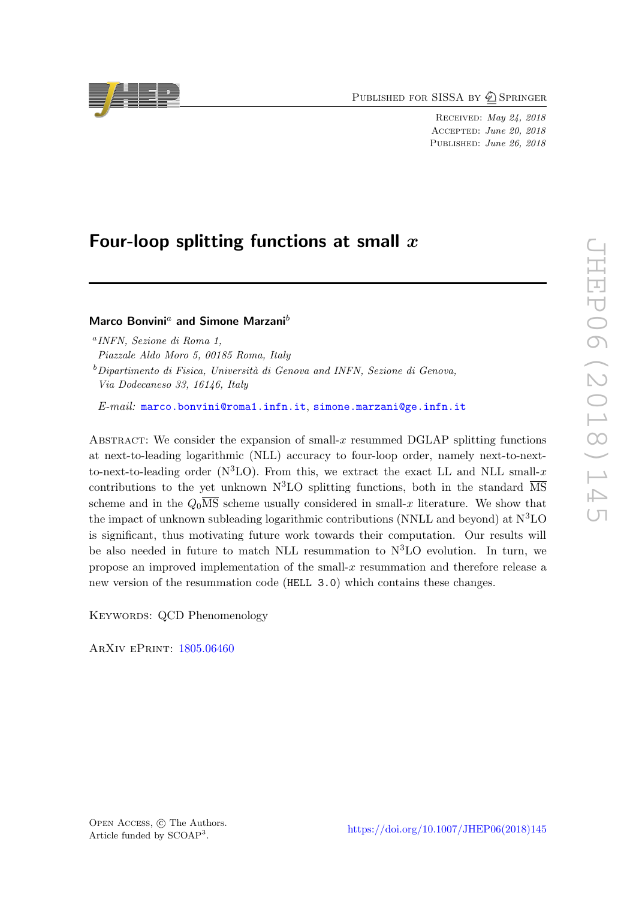PUBLISHED FOR SISSA BY 2 SPRINGER

Received: May 24, 2018 Accepted: June 20, 2018 PUBLISHED: June 26, 2018

# Four-loop splitting functions at small  $x$

Marco Bonvini<sup>a</sup> and Simone Marzani<sup>b</sup>

 $b$ Dipartimento di Fisica, Università di Genova and INFN, Sezione di Genova, Via Dodecaneso 33, 16146, Italy

 $E-mail:$  [marco.bonvini@roma1.infn.it](mailto:marco.bonvini@roma1.infn.it), [simone.marzani@ge.infn.it](mailto:simone.marzani@ge.infn.it)

Abstract: We consider the expansion of small-x resummed DGLAP splitting functions at next-to-leading logarithmic (NLL) accuracy to four-loop order, namely next-to-nextto-next-to-leading order ( $N^3LO$ ). From this, we extract the exact LL and NLL small-x contributions to the yet unknown  $N^3LO$  splitting functions, both in the standard  $\overline{MS}$ scheme and in the  $Q_0\overline{\text{MS}}$  scheme usually considered in small-x literature. We show that the impact of unknown subleading logarithmic contributions (NNLL and beyond) at  $N^3LO$ is significant, thus motivating future work towards their computation. Our results will be also needed in future to match NLL resummation to  $N<sup>3</sup>LO$  evolution. In turn, we propose an improved implementation of the small- $x$  resummation and therefore release a new version of the resummation code (HELL 3.0) which contains these changes.

KEYWORDS: QCD Phenomenology

ArXiv ePrint: [1805.06460](https://arxiv.org/abs/1805.06460)



a INFN, Sezione di Roma 1,

Piazzale Aldo Moro 5, 00185 Roma, Italy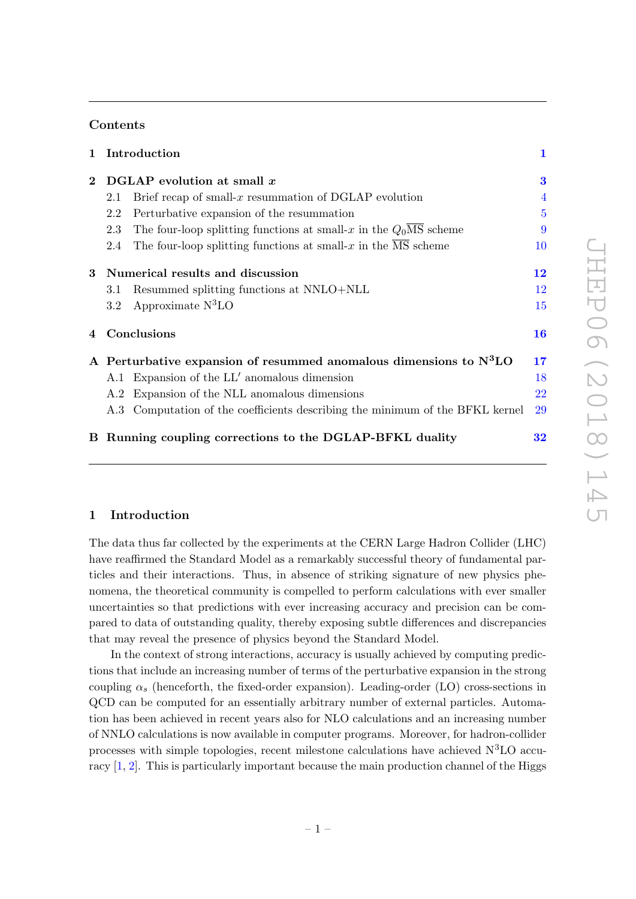## Contents

|              |                                                                      | 1 Introduction                                                                       | 1              |
|--------------|----------------------------------------------------------------------|--------------------------------------------------------------------------------------|----------------|
| $\mathbf{2}$ | DGLAP evolution at small $x$                                         |                                                                                      | 3              |
|              | 2.1                                                                  | Brief recap of small-x resummation of DGLAP evolution                                | $\overline{4}$ |
|              | 2.2                                                                  | Perturbative expansion of the resummation                                            | $\overline{5}$ |
|              | 2.3                                                                  | The four-loop splitting functions at small-x in the $Q_0\overline{\text{MS}}$ scheme | 9              |
|              | 2.4                                                                  | The four-loop splitting functions at small-x in the $\overline{\text{MS}}$ scheme    | 10             |
|              | 3 Numerical results and discussion                                   |                                                                                      | 12             |
|              | 3.1                                                                  | Resummed splitting functions at NNLO+NLL                                             | 12             |
|              | 3.2                                                                  | Approximate $N^3LO$                                                                  | 15             |
| 4            | Conclusions                                                          |                                                                                      | 16             |
|              | A Perturbative expansion of resummed anomalous dimensions to $N^3LO$ |                                                                                      | 17             |
|              |                                                                      | A.1 Expansion of the LL' anomalous dimension                                         | 18             |
|              |                                                                      | A.2 Expansion of the NLL anomalous dimensions                                        | 22             |
|              |                                                                      | A.3 Computation of the coefficients describing the minimum of the BFKL kernel        | 29             |
|              |                                                                      | B Running coupling corrections to the DGLAP-BFKL duality                             | $\bf{32}$      |

## <span id="page-1-0"></span>1 Introduction

The data thus far collected by the experiments at the CERN Large Hadron Collider (LHC) have reaffirmed the Standard Model as a remarkably successful theory of fundamental particles and their interactions. Thus, in absence of striking signature of new physics phenomena, the theoretical community is compelled to perform calculations with ever smaller uncertainties so that predictions with ever increasing accuracy and precision can be compared to data of outstanding quality, thereby exposing subtle differences and discrepancies that may reveal the presence of physics beyond the Standard Model.

In the context of strong interactions, accuracy is usually achieved by computing predictions that include an increasing number of terms of the perturbative expansion in the strong coupling  $\alpha_s$  (henceforth, the fixed-order expansion). Leading-order (LO) cross-sections in QCD can be computed for an essentially arbitrary number of external particles. Automation has been achieved in recent years also for NLO calculations and an increasing number of NNLO calculations is now available in computer programs. Moreover, for hadron-collider processes with simple topologies, recent milestone calculations have achieved  $N<sup>3</sup>LO$  accuracy [\[1,](#page-35-0) [2\]](#page-35-1). This is particularly important because the main production channel of the Higgs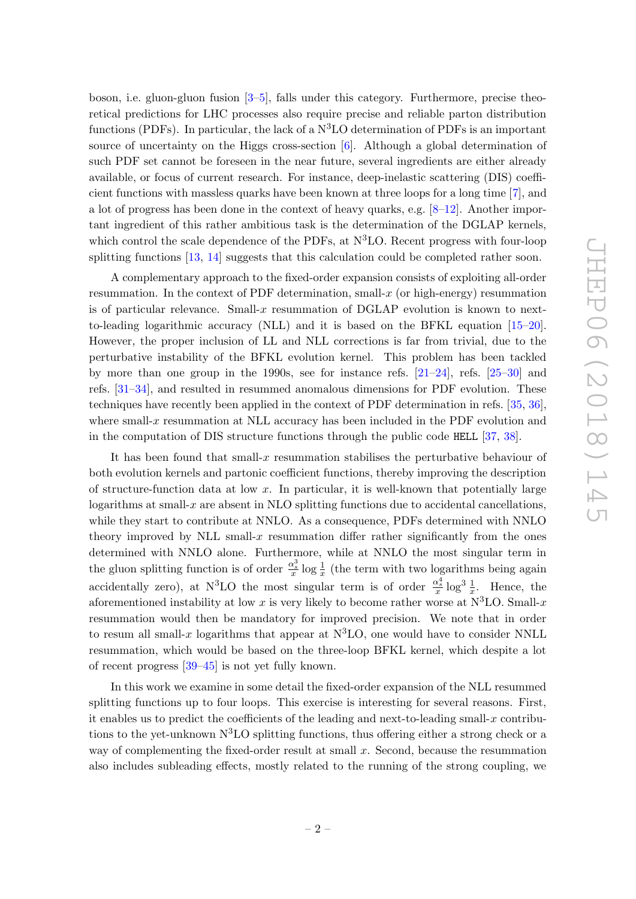boson, i.e. gluon-gluon fusion [\[3](#page-35-2)[–5\]](#page-35-3), falls under this category. Furthermore, precise theoretical predictions for LHC processes also require precise and reliable parton distribution functions (PDFs). In particular, the lack of a  $N<sup>3</sup>LO$  determination of PDFs is an important source of uncertainty on the Higgs cross-section [\[6\]](#page-35-4). Although a global determination of such PDF set cannot be foreseen in the near future, several ingredients are either already available, or focus of current research. For instance, deep-inelastic scattering (DIS) coefficient functions with massless quarks have been known at three loops for a long time [\[7\]](#page-35-5), and a lot of progress has been done in the context of heavy quarks, e.g.  $[8-12]$  $[8-12]$ . Another important ingredient of this rather ambitious task is the determination of the DGLAP kernels, which control the scale dependence of the PDFs, at  $\rm N^3LO$ . Recent progress with four-loop splitting functions [\[13,](#page-35-8) [14\]](#page-35-9) suggests that this calculation could be completed rather soon.

A complementary approach to the fixed-order expansion consists of exploiting all-order resummation. In the context of PDF determination, small- $x$  (or high-energy) resummation is of particular relevance. Small-x resummation of DGLAP evolution is known to nextto-leading logarithmic accuracy (NLL) and it is based on the BFKL equation [\[15–](#page-35-10)[20\]](#page-36-0). However, the proper inclusion of LL and NLL corrections is far from trivial, due to the perturbative instability of the BFKL evolution kernel. This problem has been tackled by more than one group in the 1990s, see for instance refs.  $[21-24]$  $[21-24]$ , refs.  $[25-30]$  $[25-30]$  and refs. [\[31–](#page-36-5)[34\]](#page-36-6), and resulted in resummed anomalous dimensions for PDF evolution. These techniques have recently been applied in the context of PDF determination in refs. [\[35,](#page-36-7) [36\]](#page-36-8), where small-x resummation at NLL accuracy has been included in the PDF evolution and in the computation of DIS structure functions through the public code HELL [\[37,](#page-36-9) [38\]](#page-37-0).

It has been found that small-x resummation stabilises the perturbative behaviour of both evolution kernels and partonic coefficient functions, thereby improving the description of structure-function data at low  $x$ . In particular, it is well-known that potentially large logarithms at small- $x$  are absent in NLO splitting functions due to accidental cancellations, while they start to contribute at NNLO. As a consequence, PDFs determined with NNLO theory improved by NLL small-x resummation differ rather significantly from the ones determined with NNLO alone. Furthermore, while at NNLO the most singular term in the gluon splitting function is of order  $\frac{\alpha_s^3}{x} \log \frac{1}{x}$  (the term with two logarithms being again accidentally zero), at N<sup>3</sup>LO the most singular term is of order  $\frac{\alpha_s^4}{x} \log^3 \frac{1}{x}$ . Hence, the aforementioned instability at low x is very likely to become rather worse at  $N^3LO$ . Small-x resummation would then be mandatory for improved precision. We note that in order to resum all small-x logarithms that appear at  $N^3LO$ , one would have to consider NNLL resummation, which would be based on the three-loop BFKL kernel, which despite a lot of recent progress [\[39–](#page-37-1)[45\]](#page-37-2) is not yet fully known.

In this work we examine in some detail the fixed-order expansion of the NLL resummed splitting functions up to four loops. This exercise is interesting for several reasons. First, it enables us to predict the coefficients of the leading and next-to-leading small-x contributions to the yet-unknown  $N<sup>3</sup>LO$  splitting functions, thus offering either a strong check or a way of complementing the fixed-order result at small  $x$ . Second, because the resummation also includes subleading effects, mostly related to the running of the strong coupling, we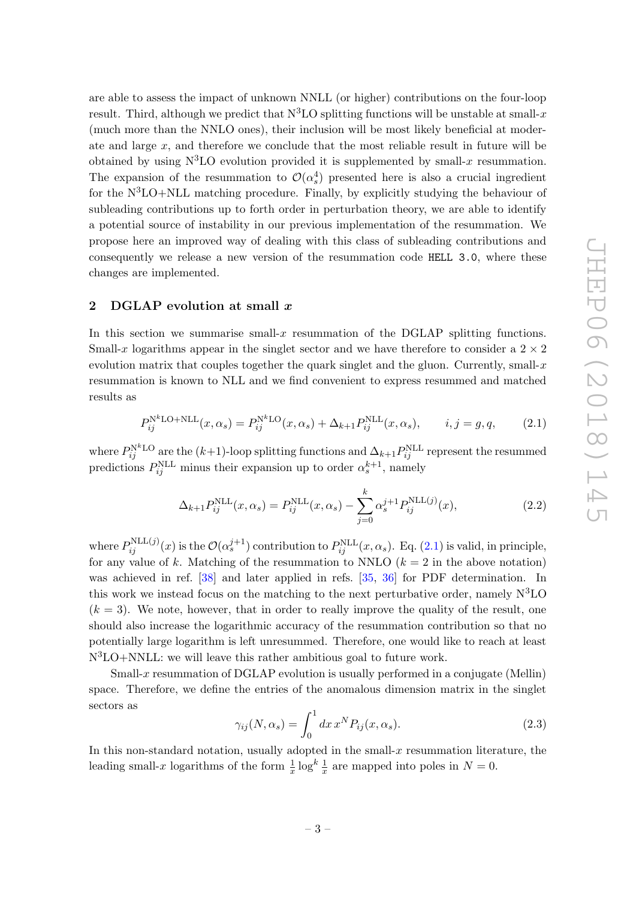are able to assess the impact of unknown NNLL (or higher) contributions on the four-loop result. Third, although we predict that  $N^3LO$  splitting functions will be unstable at small-x (much more than the NNLO ones), their inclusion will be most likely beneficial at moderate and large  $x$ , and therefore we conclude that the most reliable result in future will be obtained by using  $N^3LO$  evolution provided it is supplemented by small-x resummation. The expansion of the resummation to  $\mathcal{O}(\alpha_s^4)$  presented here is also a crucial ingredient for the  $N^3LO+NLL$  matching procedure. Finally, by explicitly studying the behaviour of subleading contributions up to forth order in perturbation theory, we are able to identify a potential source of instability in our previous implementation of the resummation. We propose here an improved way of dealing with this class of subleading contributions and consequently we release a new version of the resummation code HELL 3.0, where these changes are implemented.

## <span id="page-3-0"></span>2 DGLAP evolution at small x

In this section we summarise small- $x$  resummation of the DGLAP splitting functions. Small-x logarithms appear in the singlet sector and we have therefore to consider a  $2 \times 2$ evolution matrix that couples together the quark singlet and the gluon. Currently, small- $x$ resummation is known to NLL and we find convenient to express resummed and matched results as

<span id="page-3-1"></span>
$$
P_{ij}^{\text{N}^k\text{LO+NLL}}(x,\alpha_s) = P_{ij}^{\text{N}^k\text{LO}}(x,\alpha_s) + \Delta_{k+1} P_{ij}^{\text{NLL}}(x,\alpha_s), \qquad i,j = g,q,\tag{2.1}
$$

where  $P_{ij}^{\text{N}^k\text{LO}}$  are the  $(k+1)$ -loop splitting functions and  $\Delta_{k+1}P_{ij}^{\text{NLL}}$  represent the resummed predictions  $P_{ij}^{\text{NLL}}$  minus their expansion up to order  $\alpha_s^{k+1}$ , namely

<span id="page-3-3"></span>
$$
\Delta_{k+1} P_{ij}^{\text{NLL}}(x, \alpha_s) = P_{ij}^{\text{NLL}}(x, \alpha_s) - \sum_{j=0}^{k} \alpha_s^{j+1} P_{ij}^{\text{NLL}(j)}(x), \tag{2.2}
$$

where  $P_{ij}^{NLL(j)}(x)$  is the  $\mathcal{O}(\alpha_s^{j+1})$  contribution to  $P_{ij}^{NLL}(x,\alpha_s)$ . Eq. [\(2.1\)](#page-3-1) is valid, in principle, for any value of k. Matching of the resummation to NNLO  $(k = 2$  in the above notation) was achieved in ref. [\[38\]](#page-37-0) and later applied in refs. [\[35,](#page-36-7) [36\]](#page-36-8) for PDF determination. In this work we instead focus on the matching to the next perturbative order, namely  $N^3LO$  $(k = 3)$ . We note, however, that in order to really improve the quality of the result, one should also increase the logarithmic accuracy of the resummation contribution so that no potentially large logarithm is left unresummed. Therefore, one would like to reach at least N3LO+NNLL: we will leave this rather ambitious goal to future work.

Small-x resummation of DGLAP evolution is usually performed in a conjugate (Mellin) space. Therefore, we define the entries of the anomalous dimension matrix in the singlet sectors as

<span id="page-3-2"></span>
$$
\gamma_{ij}(N,\alpha_s) = \int_0^1 dx \, x^N P_{ij}(x,\alpha_s). \tag{2.3}
$$

In this non-standard notation, usually adopted in the small-x resummation literature, the leading small-x logarithms of the form  $\frac{1}{x} \log^k \frac{1}{x}$  are mapped into poles in  $N = 0$ .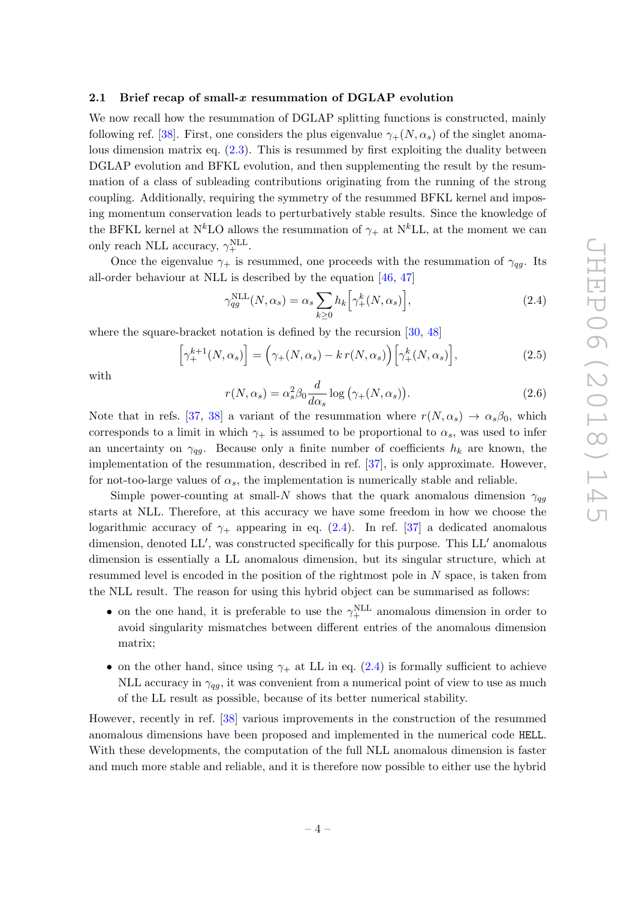## <span id="page-4-0"></span>2.1 Brief recap of small- $x$  resummation of DGLAP evolution

We now recall how the resummation of DGLAP splitting functions is constructed, mainly following ref. [\[38\]](#page-37-0). First, one considers the plus eigenvalue  $\gamma_{+}(N, \alpha_s)$  of the singlet anomalous dimension matrix eq. [\(2.3\)](#page-3-2). This is resummed by first exploiting the duality between DGLAP evolution and BFKL evolution, and then supplementing the result by the resummation of a class of subleading contributions originating from the running of the strong coupling. Additionally, requiring the symmetry of the resummed BFKL kernel and imposing momentum conservation leads to perturbatively stable results. Since the knowledge of the BFKL kernel at N<sup>k</sup>LO allows the resummation of  $\gamma_+$  at N<sup>k</sup>LL, at the moment we can only reach NLL accuracy,  $\gamma_+^{\text{NLL}}$ .

Once the eigenvalue  $\gamma_+$  is resummed, one proceeds with the resummation of  $\gamma_{qg}$ . Its all-order behaviour at NLL is described by the equation [\[46,](#page-37-3) [47\]](#page-37-4)

<span id="page-4-1"></span>
$$
\gamma_{qg}^{\text{NLL}}(N,\alpha_s) = \alpha_s \sum_{k \ge 0} h_k \left[ \gamma_+^k(N,\alpha_s) \right],\tag{2.4}
$$

where the square-bracket notation is defined by the recursion [\[30,](#page-36-4) [48\]](#page-37-5)

<span id="page-4-2"></span>
$$
\left[\gamma_{+}^{k+1}(N,\alpha_{s})\right] = \left(\gamma_{+}(N,\alpha_{s}) - k r(N,\alpha_{s})\right)\left[\gamma_{+}^{k}(N,\alpha_{s})\right],\tag{2.5}
$$

with

<span id="page-4-3"></span>
$$
r(N, \alpha_s) = \alpha_s^2 \beta_0 \frac{d}{d\alpha_s} \log \left( \gamma_+(N, \alpha_s) \right).
$$
 (2.6)

Note that in refs. [\[37,](#page-36-9) [38\]](#page-37-0) a variant of the resummation where  $r(N, \alpha_s) \rightarrow \alpha_s \beta_0$ , which corresponds to a limit in which  $\gamma_+$  is assumed to be proportional to  $\alpha_s$ , was used to infer an uncertainty on  $\gamma_{qg}$ . Because only a finite number of coefficients  $h_k$  are known, the implementation of the resummation, described in ref. [\[37\]](#page-36-9), is only approximate. However, for not-too-large values of  $\alpha_s$ , the implementation is numerically stable and reliable.

Simple power-counting at small-N shows that the quark anomalous dimension  $\gamma_{qg}$ starts at NLL. Therefore, at this accuracy we have some freedom in how we choose the logarithmic accuracy of  $\gamma_+$  appearing in eq. [\(2.4\)](#page-4-1). In ref. [\[37\]](#page-36-9) a dedicated anomalous dimension, denoted LL', was constructed specifically for this purpose. This LL' anomalous dimension is essentially a LL anomalous dimension, but its singular structure, which at resummed level is encoded in the position of the rightmost pole in N space, is taken from the NLL result. The reason for using this hybrid object can be summarised as follows:

- on the one hand, it is preferable to use the  $\gamma_+^{\text{NLL}}$  anomalous dimension in order to avoid singularity mismatches between different entries of the anomalous dimension matrix;
- on the other hand, since using  $\gamma_+$  at LL in eq. [\(2.4\)](#page-4-1) is formally sufficient to achieve NLL accuracy in  $\gamma_{qg}$ , it was convenient from a numerical point of view to use as much of the LL result as possible, because of its better numerical stability.

However, recently in ref. [\[38\]](#page-37-0) various improvements in the construction of the resummed anomalous dimensions have been proposed and implemented in the numerical code HELL. With these developments, the computation of the full NLL anomalous dimension is faster and much more stable and reliable, and it is therefore now possible to either use the hybrid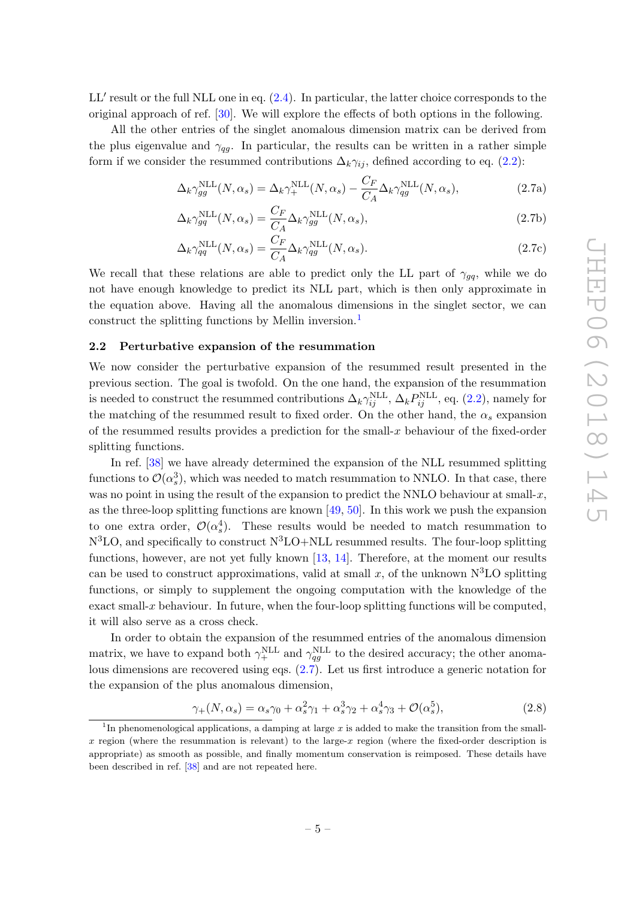$LL'$  result or the full NLL one in eq.  $(2.4)$ . In particular, the latter choice corresponds to the original approach of ref. [\[30\]](#page-36-4). We will explore the effects of both options in the following.

All the other entries of the singlet anomalous dimension matrix can be derived from the plus eigenvalue and  $\gamma_{qg}$ . In particular, the results can be written in a rather simple form if we consider the resummed contributions  $\Delta_k \gamma_{ij}$ , defined according to eq. [\(2.2\)](#page-3-3):

<span id="page-5-2"></span>
$$
\Delta_k \gamma_{gg}^{\text{NLL}}(N, \alpha_s) = \Delta_k \gamma_+^{\text{NLL}}(N, \alpha_s) - \frac{C_F}{C_A} \Delta_k \gamma_{qg}^{\text{NLL}}(N, \alpha_s), \tag{2.7a}
$$

$$
\Delta_k \gamma_{gg}^{\text{NLL}}(N, \alpha_s) = \frac{C_F}{C_A} \Delta_k \gamma_{gg}^{\text{NLL}}(N, \alpha_s), \qquad (2.7b)
$$

$$
\Delta_k \gamma_{qq}^{\text{NLL}}(N, \alpha_s) = \frac{C_F}{C_A} \Delta_k \gamma_{qg}^{\text{NLL}}(N, \alpha_s).
$$
\n(2.7c)

We recall that these relations are able to predict only the LL part of  $\gamma_{qq}$ , while we do not have enough knowledge to predict its NLL part, which is then only approximate in the equation above. Having all the anomalous dimensions in the singlet sector, we can construct the splitting functions by Mellin inversion.[1](#page-5-1)

## <span id="page-5-0"></span>2.2 Perturbative expansion of the resummation

We now consider the perturbative expansion of the resummed result presented in the previous section. The goal is twofold. On the one hand, the expansion of the resummation is needed to construct the resummed contributions  $\Delta_k \gamma_{ij}^{\text{NLL}}, \Delta_k P_{ij}^{\text{NLL}},$  eq. [\(2.2\)](#page-3-3), namely for the matching of the resummed result to fixed order. On the other hand, the  $\alpha_s$  expansion of the resummed results provides a prediction for the small- $x$  behaviour of the fixed-order splitting functions.

In ref. [\[38\]](#page-37-0) we have already determined the expansion of the NLL resummed splitting functions to  $\mathcal{O}(\alpha_s^3)$ , which was needed to match resummation to NNLO. In that case, there was no point in using the result of the expansion to predict the NNLO behaviour at small- $x$ , as the three-loop splitting functions are known [\[49,](#page-37-6) [50\]](#page-37-7). In this work we push the expansion to one extra order,  $\mathcal{O}(\alpha_s^4)$ . These results would be needed to match resummation to  $N<sup>3</sup>LO$ , and specifically to construct  $N<sup>3</sup>LO+NLL$  resummed results. The four-loop splitting functions, however, are not yet fully known [\[13,](#page-35-8) [14\]](#page-35-9). Therefore, at the moment our results can be used to construct approximations, valid at small x, of the unknown  $N<sup>3</sup>LO$  splitting functions, or simply to supplement the ongoing computation with the knowledge of the exact small-x behaviour. In future, when the four-loop splitting functions will be computed, it will also serve as a cross check.

In order to obtain the expansion of the resummed entries of the anomalous dimension matrix, we have to expand both  $\gamma_+^{\text{NLL}}$  and  $\gamma_{qg}^{\text{NLL}}$  to the desired accuracy; the other anomalous dimensions are recovered using eqs. [\(2.7\)](#page-5-2). Let us first introduce a generic notation for the expansion of the plus anomalous dimension,

<span id="page-5-3"></span>
$$
\gamma_+(N,\alpha_s) = \alpha_s \gamma_0 + \alpha_s^2 \gamma_1 + \alpha_s^3 \gamma_2 + \alpha_s^4 \gamma_3 + \mathcal{O}(\alpha_s^5),\tag{2.8}
$$

<span id="page-5-1"></span><sup>&</sup>lt;sup>1</sup>In phenomenological applications, a damping at large x is added to make the transition from the smallx region (where the resummation is relevant) to the large-x region (where the fixed-order description is appropriate) as smooth as possible, and finally momentum conservation is reimposed. These details have been described in ref. [\[38\]](#page-37-0) and are not repeated here.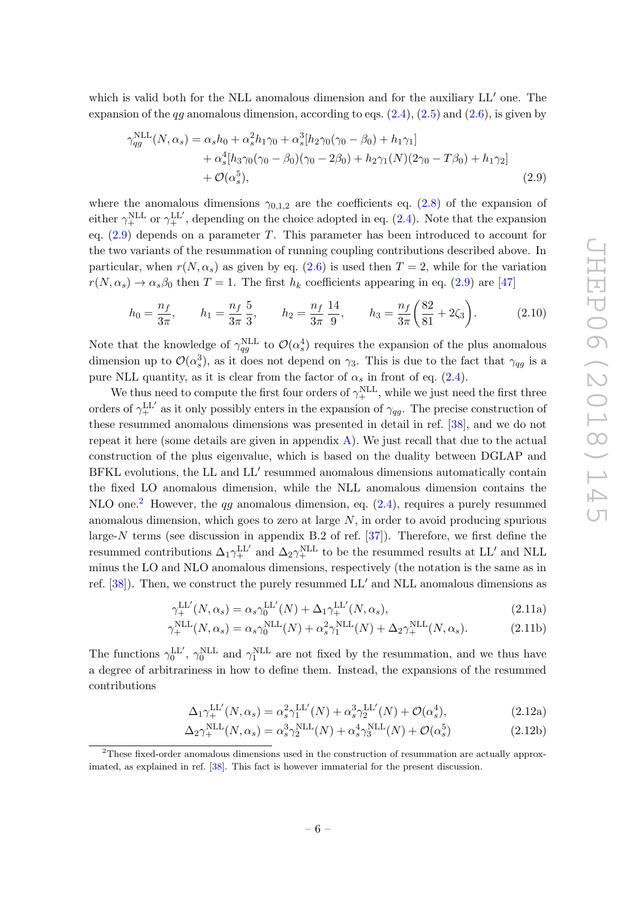which is valid both for the NLL anomalous dimension and for the auxiliary  $LL'$  one. The expansion of the  $qq$  anomalous dimension, according to eqs.  $(2.4)$ ,  $(2.5)$  and  $(2.6)$ , is given by

<span id="page-6-0"></span>
$$
\gamma_{qg}^{\text{NLL}}(N, \alpha_s) = \alpha_s h_0 + \alpha_s^2 h_1 \gamma_0 + \alpha_s^3 [h_2 \gamma_0 (\gamma_0 - \beta_0) + h_1 \gamma_1] + \alpha_s^4 [h_3 \gamma_0 (\gamma_0 - \beta_0) (\gamma_0 - 2\beta_0) + h_2 \gamma_1(N) (2\gamma_0 - T\beta_0) + h_1 \gamma_2] + \mathcal{O}(\alpha_s^5),
$$
\n(2.9)

where the anomalous dimensions  $\gamma_{0,1,2}$  are the coefficients eq. [\(2.8\)](#page-5-3) of the expansion of either  $\gamma_+^{\text{NLL}}$  or  $\gamma_+^{\text{LL'}}$ , depending on the choice adopted in eq. [\(2.4\)](#page-4-1). Note that the expansion eq.  $(2.9)$  depends on a parameter T. This parameter has been introduced to account for the two variants of the resummation of running coupling contributions described above. In particular, when  $r(N, \alpha_s)$  as given by eq. [\(2.6\)](#page-4-3) is used then  $T = 2$ , while for the variation  $r(N, \alpha_s) \rightarrow \alpha_s \beta_0$  then  $T = 1$ . The first  $h_k$  coefficients appearing in eq. [\(2.9\)](#page-6-0) are [\[47\]](#page-37-4)

$$
h_0 = \frac{n_f}{3\pi}, \qquad h_1 = \frac{n_f}{3\pi} \frac{5}{3}, \qquad h_2 = \frac{n_f}{3\pi} \frac{14}{9}, \qquad h_3 = \frac{n_f}{3\pi} \left(\frac{82}{81} + 2\zeta_3\right). \tag{2.10}
$$

Note that the knowledge of  $\gamma_{qg}^{\text{NLL}}$  to  $\mathcal{O}(\alpha_s^4)$  requires the expansion of the plus anomalous dimension up to  $\mathcal{O}(\alpha_s^3)$ , as it does not depend on  $\gamma_3$ . This is due to the fact that  $\gamma_{qg}$  is a pure NLL quantity, as it is clear from the factor of  $\alpha_s$  in front of eq. [\(2.4\)](#page-4-1).

We thus need to compute the first four orders of  $\gamma_+^{\text{NLL}}$ , while we just need the first three orders of  $\gamma_+^{\text{LL}'}$  as it only possibly enters in the expansion of  $\gamma_{qg}$ . The precise construction of these resummed anomalous dimensions was presented in detail in ref. [\[38\]](#page-37-0), and we do not repeat it here (some details are given in appendix  $A$ ). We just recall that due to the actual construction of the plus eigenvalue, which is based on the duality between DGLAP and BFKL evolutions, the LL and LL' resummed anomalous dimensions automatically contain the fixed LO anomalous dimension, while the NLL anomalous dimension contains the NLO one.<sup>[2](#page-6-1)</sup> However, the qq anomalous dimension, eq.  $(2.4)$ , requires a purely resummed anomalous dimension, which goes to zero at large  $N$ , in order to avoid producing spurious large-N terms (see discussion in appendix B.2 of ref.  $[37]$ ). Therefore, we first define the resummed contributions  $\Delta_1 \gamma_+^{\text{LL'}}$  and  $\Delta_2 \gamma_+^{\text{NLL}}$  to be the resummed results at LL' and NLL minus the LO and NLO anomalous dimensions, respectively (the notation is the same as in ref.  $[38]$ . Then, we construct the purely resummed LL' and NLL anomalous dimensions as

$$
\gamma_{+}^{\text{LL}'}(N,\alpha_{s}) = \alpha_{s}\gamma_{0}^{\text{LL}'}(N) + \Delta_{1}\gamma_{+}^{\text{LL}'}(N,\alpha_{s}), \qquad (2.11a)
$$

$$
\gamma_{+}^{\text{NLL}}(N,\alpha_s) = \alpha_s \gamma_0^{\text{NLL}}(N) + \alpha_s^2 \gamma_1^{\text{NLL}}(N) + \Delta_2 \gamma_+^{\text{NLL}}(N,\alpha_s). \tag{2.11b}
$$

The functions  $\gamma_0^{\text{LL}}$ ,  $\gamma_0^{\text{NLL}}$  and  $\gamma_1^{\text{NLL}}$  are not fixed by the resummation, and we thus have a degree of arbitrariness in how to define them. Instead, the expansions of the resummed contributions

$$
\Delta_1 \gamma_+^{\text{LL}'}(N, \alpha_s) = \alpha_s^2 \gamma_1^{\text{LL}'}(N) + \alpha_s^3 \gamma_2^{\text{LL}'}(N) + \mathcal{O}(\alpha_s^4),\tag{2.12a}
$$

$$
\Delta_2 \gamma_+^{\text{NLL}}(N, \alpha_s) = \alpha_s^3 \gamma_2^{\text{NLL}}(N) + \alpha_s^4 \gamma_3^{\text{NLL}}(N) + \mathcal{O}(\alpha_s^5)
$$
\n(2.12b)

<span id="page-6-1"></span><sup>2</sup>These fixed-order anomalous dimensions used in the construction of resummation are actually approximated, as explained in ref. [\[38\]](#page-37-0). This fact is however immaterial for the present discussion.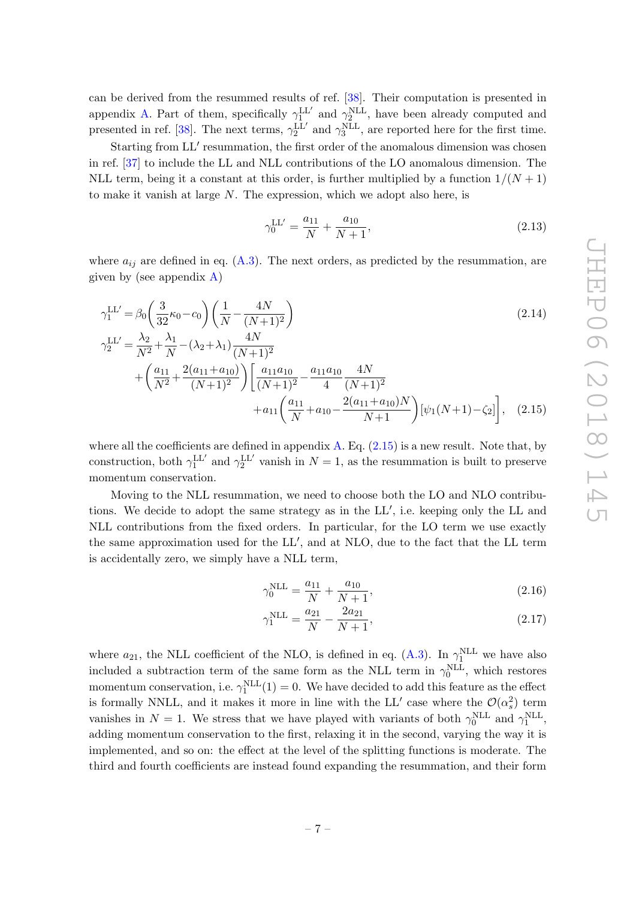can be derived from the resummed results of ref. [\[38\]](#page-37-0). Their computation is presented in appendix [A.](#page-17-0) Part of them, specifically  $\gamma_1^{\text{LL}'}$  and  $\gamma_2^{\text{NLL}}$ , have been already computed and presented in ref. [\[38\]](#page-37-0). The next terms,  $\gamma_2^{\text{LL'}}$  and  $\gamma_3^{\text{NLL}}$ , are reported here for the first time.

Starting from LL' resummation, the first order of the anomalous dimension was chosen in ref. [\[37\]](#page-36-9) to include the LL and NLL contributions of the LO anomalous dimension. The NLL term, being it a constant at this order, is further multiplied by a function  $1/(N+1)$ to make it vanish at large  $N$ . The expression, which we adopt also here, is

<span id="page-7-1"></span><span id="page-7-0"></span>
$$
\gamma_0^{\text{LL}'} = \frac{a_{11}}{N} + \frac{a_{10}}{N+1},\tag{2.13}
$$

where  $a_{ij}$  are defined in eq. [\(A.3\)](#page-18-1). The next orders, as predicted by the resummation, are given by (see appendix [A\)](#page-17-0)

$$
\gamma_1^{\text{LL}'} = \beta_0 \left( \frac{3}{32} \kappa_0 - c_0 \right) \left( \frac{1}{N} - \frac{4N}{(N+1)^2} \right) \n\gamma_2^{\text{LL}'} = \frac{\lambda_2}{N^2} + \frac{\lambda_1}{N} - (\lambda_2 + \lambda_1) \frac{4N}{(N+1)^2}
$$
\n(2.14)

$$
{}_{2}^{2} = N^{2} N \sqrt{(N+1)^{2}}
$$
  
+  $\left(\frac{a_{11}}{N^{2}} + \frac{2(a_{11} + a_{10})}{(N+1)^{2}}\right) \left[\frac{a_{11}a_{10}}{(N+1)^{2}} - \frac{a_{11}a_{10}}{4} \frac{4N}{(N+1)^{2}} + a_{11}\left(\frac{a_{11}}{N} + a_{10} - \frac{2(a_{11} + a_{10})N}{N+1}\right) [\psi_{1}(N+1) - \zeta_{2}] \right],$  (2.15)

where all the coefficients are defined in appendix  $A$ . Eq.  $(2.15)$  is a new result. Note that, by construction, both  $\gamma_1^{\text{LL}'}$  and  $\gamma_2^{\text{LL}'}$  vanish in  $N = 1$ , as the resummation is built to preserve momentum conservation.

Moving to the NLL resummation, we need to choose both the LO and NLO contributions. We decide to adopt the same strategy as in the LL', i.e. keeping only the LL and NLL contributions from the fixed orders. In particular, for the LO term we use exactly the same approximation used for the LL', and at NLO, due to the fact that the LL term is accidentally zero, we simply have a NLL term,

$$
\gamma_0^{\text{NLL}} = \frac{a_{11}}{N} + \frac{a_{10}}{N+1},\tag{2.16}
$$

$$
\gamma_1^{\text{NLL}} = \frac{a_{21}}{N} - \frac{2a_{21}}{N+1},\tag{2.17}
$$

where  $a_{21}$ , the NLL coefficient of the NLO, is defined in eq. [\(A.3\)](#page-18-1). In  $\gamma_1^{\text{NLL}}$  we have also included a subtraction term of the same form as the NLL term in  $\gamma_0^{\text{NLL}}$ , which restores momentum conservation, i.e.  $\gamma_1^{\text{NLL}}(1) = 0$ . We have decided to add this feature as the effect is formally NNLL, and it makes it more in line with the LL' case where the  $\mathcal{O}(\alpha_s^2)$  term vanishes in  $N = 1$ . We stress that we have played with variants of both  $\gamma_0^{\text{NLL}}$  and  $\gamma_1^{\text{NLL}}$ , adding momentum conservation to the first, relaxing it in the second, varying the way it is implemented, and so on: the effect at the level of the splitting functions is moderate. The third and fourth coefficients are instead found expanding the resummation, and their form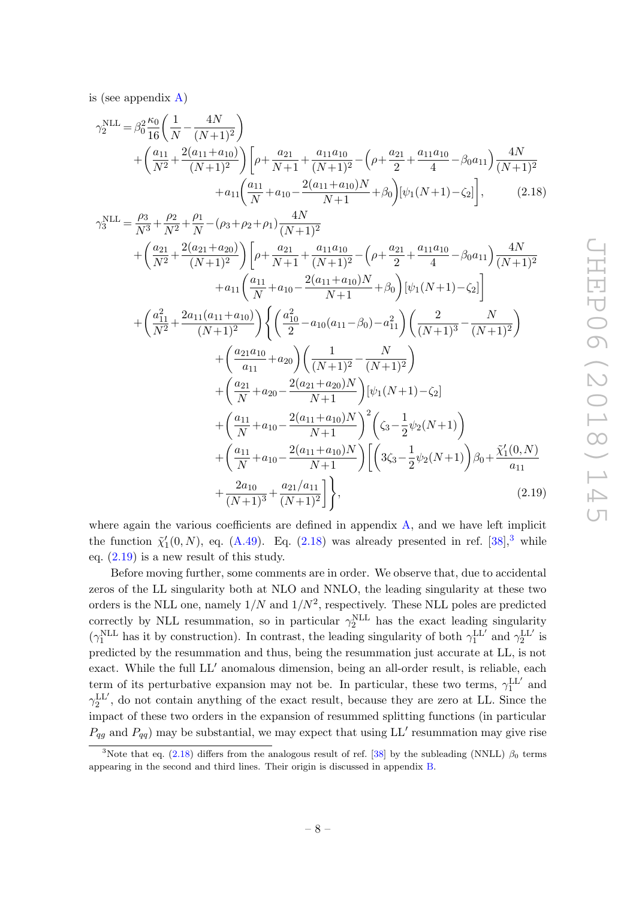is (see appendix [A\)](#page-17-0)

$$
\gamma_2^{\text{NLL}} = \beta_0^2 \frac{\kappa_0}{16} \left( \frac{1}{N} - \frac{4N}{(N+1)^2} \right)
$$
  
+ 
$$
\left( \frac{a_{11}}{N^2} + \frac{2(a_{11} + a_{10})}{(N+1)^2} \right) \left[ \rho + \frac{a_{21}}{N+1} + \frac{a_{11}a_{10}}{(N+1)^2} - \left( \rho + \frac{a_{21}}{2} + \frac{a_{11}a_{10}}{4} - \beta_0 a_{11} \right) \frac{4N}{(N+1)^2} + a_{11} \left( \frac{a_{11}}{N} + a_{10} - \frac{2(a_{11} + a_{10})N}{N+1} + \beta_0 \right) \left[ \psi_1(N+1) - \zeta_2 \right], \tag{2.18}
$$

<span id="page-8-0"></span>
$$
\gamma_3^{\text{NLL}} = \frac{\rho_3}{N^3} + \frac{\rho_2}{N^2} + \frac{\rho_1}{N} - (\rho_3 + \rho_2 + \rho_1) \frac{4N}{(N+1)^2} \n+ \left(\frac{a_{21}}{N^2} + \frac{2(a_{21} + a_{20})}{(N+1)^2}\right) \left[\rho + \frac{a_{21}}{N+1} + \frac{a_{11}a_{10}}{(N+1)^2} - \left(\rho + \frac{a_{21}}{2} + \frac{a_{11}a_{10}}{4} - \beta_0 a_{11}\right) \frac{4N}{(N+1)^2} \n+ a_{11} \left(\frac{a_{11}}{N} + a_{10} - \frac{2(a_{11} + a_{10})N}{N+1} + \beta_0\right) \left[\psi_1(N+1) - \zeta_2\right] \n+ \left(\frac{a_{11}^2}{N^2} + \frac{2a_{11}(a_{11} + a_{10})}{(N+1)^2}\right) \left\{\left(\frac{a_{10}^2}{2} - a_{10}(a_{11} - \beta_0) - a_{11}^2\right) \left(\frac{2}{(N+1)^3} - \frac{N}{(N+1)^2}\right) \n+ \left(\frac{a_{21}a_{10}}{a_{11}} + a_{20}\right) \left(\frac{1}{(N+1)^2} - \frac{N}{(N+1)^2}\right) \n+ \left(\frac{a_{21}}{N} + a_{20} - \frac{2(a_{21} + a_{20})N}{N+1}\right) \left[\psi_1(N+1) - \zeta_2\right] \n+ \left(\frac{a_{11}}{N} + a_{10} - \frac{2(a_{11} + a_{10})N}{N+1}\right)^2 \left(\zeta_3 - \frac{1}{2}\psi_2(N+1)\right) \n+ \left(\frac{a_{11}}{N} + a_{10} - \frac{2(a_{11} + a_{10})N}{N+1}\right) \left[\left(3\zeta_3 - \frac{1}{2}\psi_2(N+1)\right)\beta_0 + \frac{\tilde{\chi}_1'(0, N)}{a_{11}} + \frac{2a_{10}}{(N+1)^3} + \frac{a_{21}/a_{11}}{(N
$$

<span id="page-8-2"></span>where again the various coefficients are defined in appendix [A,](#page-17-0) and we have left implicit the function  $\tilde{\chi}'_1(0, N)$ , eq. [\(A.49\)](#page-25-0). Eq. [\(2.18\)](#page-8-0) was already presented in ref. [\[38\]](#page-37-0),<sup>[3](#page-8-1)</sup> while eq. [\(2.19\)](#page-8-2) is a new result of this study.

Before moving further, some comments are in order. We observe that, due to accidental zeros of the LL singularity both at NLO and NNLO, the leading singularity at these two orders is the NLL one, namely  $1/N$  and  $1/N^2$ , respectively. These NLL poles are predicted correctly by NLL resummation, so in particular  $\gamma_2^{\text{NLL}}$  has the exact leading singularity ( $\gamma_1^{\text{NLL}}$  has it by construction). In contrast, the leading singularity of both  $\gamma_1^{\text{LL'}}$  and  $\gamma_2^{\text{LL'}}$  is predicted by the resummation and thus, being the resummation just accurate at LL, is not exact. While the full  $LL'$  anomalous dimension, being an all-order result, is reliable, each term of its perturbative expansion may not be. In particular, these two terms,  $\gamma_1^{\text{LL}'}$  and  $\gamma_2^{\text{LL}'},$  do not contain anything of the exact result, because they are zero at LL. Since the impact of these two orders in the expansion of resummed splitting functions (in particular  $P_{qg}$  and  $P_{qq}$ ) may be substantial, we may expect that using LL' resummation may give rise

<span id="page-8-1"></span><sup>&</sup>lt;sup>3</sup>Note that eq. [\(2.18\)](#page-8-0) differs from the analogous result of ref. [\[38\]](#page-37-0) by the subleading (NNLL)  $\beta_0$  terms appearing in the second and third lines. Their origin is discussed in appendix [B.](#page-32-0)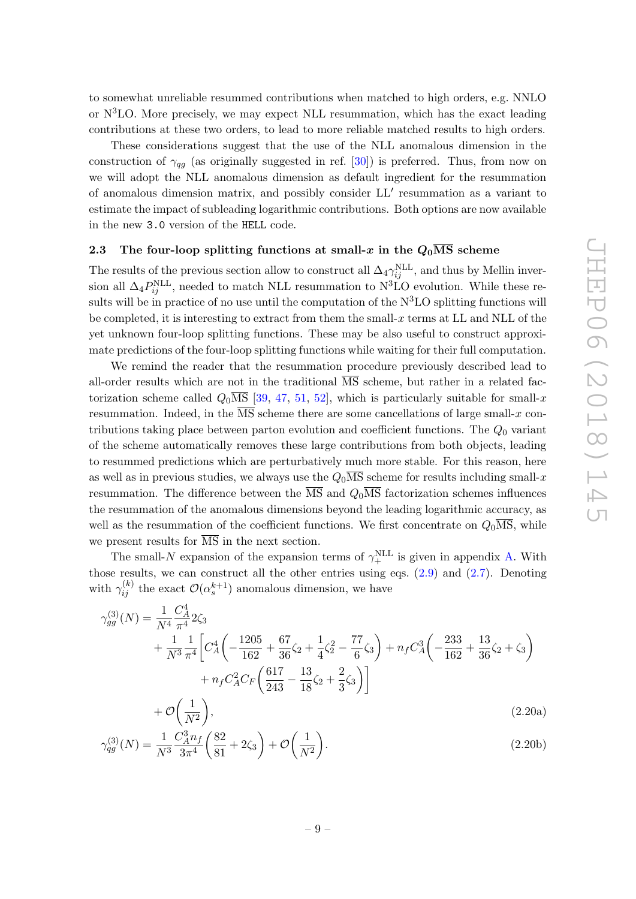to somewhat unreliable resummed contributions when matched to high orders, e.g. NNLO or  $N<sup>3</sup>LO$ . More precisely, we may expect NLL resummation, which has the exact leading contributions at these two orders, to lead to more reliable matched results to high orders.

These considerations suggest that the use of the NLL anomalous dimension in the construction of  $\gamma_{qq}$  (as originally suggested in ref. [\[30\]](#page-36-4)) is preferred. Thus, from now on we will adopt the NLL anomalous dimension as default ingredient for the resummation of anomalous dimension matrix, and possibly consider LL' resummation as a variant to estimate the impact of subleading logarithmic contributions. Both options are now available in the new 3.0 version of the HELL code.

## <span id="page-9-0"></span>2.3 The four-loop splitting functions at small-x in the  $Q_0\overline{\text{MS}}$  scheme

The results of the previous section allow to construct all  $\Delta_4 \gamma_{ij}^{\text{NLL}}$ , and thus by Mellin inversion all  $\Delta_4 P_{ij}^{\text{NLL}}$ , needed to match NLL resummation to N<sup>3</sup>LO evolution. While these results will be in practice of no use until the computation of the  $N<sup>3</sup>LO$  splitting functions will be completed, it is interesting to extract from them the small- $x$  terms at LL and NLL of the yet unknown four-loop splitting functions. These may be also useful to construct approximate predictions of the four-loop splitting functions while waiting for their full computation.

We remind the reader that the resummation procedure previously described lead to all-order results which are not in the traditional  $\overline{\text{MS}}$  scheme, but rather in a related factorization scheme called  $Q_0\overline{\text{MS}}$  [\[39,](#page-37-1) [47,](#page-37-4) [51,](#page-37-8) [52\]](#page-37-9), which is particularly suitable for small-x resummation. Indeed, in the  $\overline{\text{MS}}$  scheme there are some cancellations of large small-x contributions taking place between parton evolution and coefficient functions. The  $Q_0$  variant of the scheme automatically removes these large contributions from both objects, leading to resummed predictions which are perturbatively much more stable. For this reason, here as well as in previous studies, we always use the  $Q_0\overline{\text{MS}}$  scheme for results including small-x resummation. The difference between the  $\overline{\text{MS}}$  and  $Q_0\overline{\text{MS}}$  factorization schemes influences the resummation of the anomalous dimensions beyond the leading logarithmic accuracy, as well as the resummation of the coefficient functions. We first concentrate on  $Q_0$ MS, while we present results for  $\overline{\text{MS}}$  in the next section.

The small-N expansion of the expansion terms of  $\gamma_+^{\text{NLL}}$  is given in appendix [A.](#page-17-0) With those results, we can construct all the other entries using eqs.  $(2.9)$  and  $(2.7)$ . Denoting with  $\gamma_{ij}^{(k)}$  the exact  $\mathcal{O}(\alpha_s^{k+1})$  anomalous dimension, we have

<span id="page-9-1"></span>
$$
\gamma_{gg}^{(3)}(N) = \frac{1}{N^4} \frac{C_A^4}{\pi^4} 2\zeta_3 \n+ \frac{1}{N^3} \frac{1}{\pi^4} \left[ C_A^4 \left( -\frac{1205}{162} + \frac{67}{36} \zeta_2 + \frac{1}{4} \zeta_2^2 - \frac{77}{6} \zeta_3 \right) + n_f C_A^3 \left( -\frac{233}{162} + \frac{13}{36} \zeta_2 + \zeta_3 \right) \right. \n+ n_f C_A^2 C_F \left( \frac{617}{243} - \frac{13}{18} \zeta_2 + \frac{2}{3} \zeta_3 \right) \n+ \mathcal{O}\left(\frac{1}{N^2}\right),
$$
\n(2.20a)

$$
\gamma_{qg}^{(3)}(N) = \frac{1}{N^3} \frac{C_A^3 n_f}{3\pi^4} \left(\frac{82}{81} + 2\zeta_3\right) + \mathcal{O}\left(\frac{1}{N^2}\right). \tag{2.20b}
$$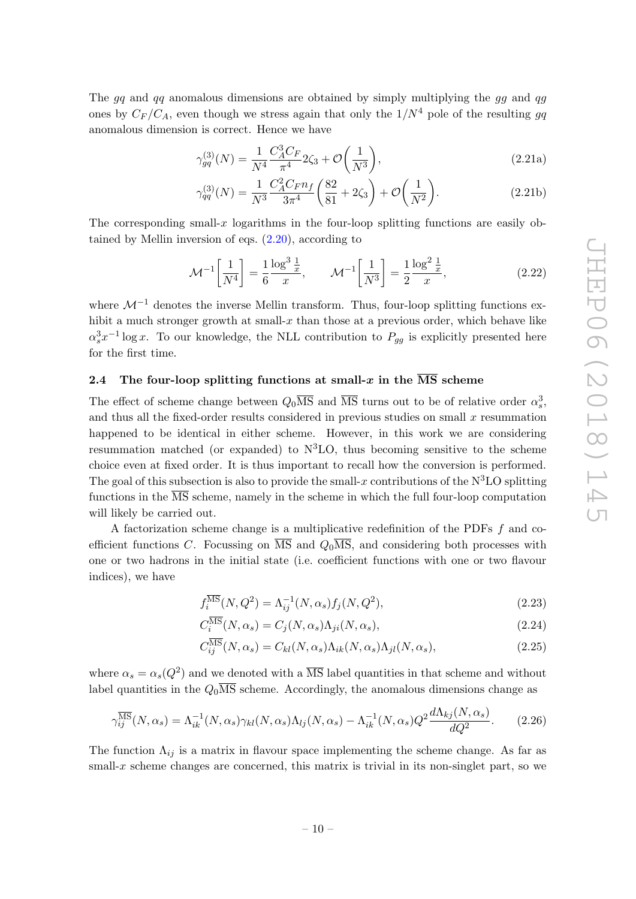The gq and qq anomalous dimensions are obtained by simply multiplying the gg and qg ones by  $C_F/C_A$ , even though we stress again that only the  $1/N^4$  pole of the resulting gq anomalous dimension is correct. Hence we have

$$
\gamma_{gg}^{(3)}(N) = \frac{1}{N^4} \frac{C_A^3 C_F}{\pi^4} 2\zeta_3 + \mathcal{O}\left(\frac{1}{N^3}\right),\tag{2.21a}
$$

$$
\gamma_{qq}^{(3)}(N) = \frac{1}{N^3} \frac{C_A^2 C_F n_f}{3\pi^4} \left(\frac{82}{81} + 2\zeta_3\right) + \mathcal{O}\left(\frac{1}{N^2}\right). \tag{2.21b}
$$

The corresponding small-x logarithms in the four-loop splitting functions are easily obtained by Mellin inversion of eqs.  $(2.20)$ , according to

$$
\mathcal{M}^{-1} \left[ \frac{1}{N^4} \right] = \frac{1}{6} \frac{\log^3 \frac{1}{x}}{x}, \qquad \mathcal{M}^{-1} \left[ \frac{1}{N^3} \right] = \frac{1}{2} \frac{\log^2 \frac{1}{x}}{x}, \tag{2.22}
$$

where  $\mathcal{M}^{-1}$  denotes the inverse Mellin transform. Thus, four-loop splitting functions exhibit a much stronger growth at small- $x$  than those at a previous order, which behave like  $\alpha_s^3 x^{-1} \log x$ . To our knowledge, the NLL contribution to  $P_{gg}$  is explicitly presented here for the first time.

## <span id="page-10-0"></span>2.4 The four-loop splitting functions at small-x in the  $\overline{\text{MS}}$  scheme

The effect of scheme change between  $Q_0\overline{\text{MS}}$  and  $\overline{\text{MS}}$  turns out to be of relative order  $\alpha_s^3$ , and thus all the fixed-order results considered in previous studies on small  $x$  resummation happened to be identical in either scheme. However, in this work we are considering resummation matched (or expanded) to  $N<sup>3</sup>LO$ , thus becoming sensitive to the scheme choice even at fixed order. It is thus important to recall how the conversion is performed. The goal of this subsection is also to provide the small-x contributions of the  $N<sup>3</sup>LO$  splitting functions in the  $\overline{\text{MS}}$  scheme, namely in the scheme in which the full four-loop computation will likely be carried out.

A factorization scheme change is a multiplicative redefinition of the PDFs f and coefficient functions C. Focussing on  $\overline{\text{MS}}$  and  $Q_0\overline{\text{MS}}$ , and considering both processes with one or two hadrons in the initial state (i.e. coefficient functions with one or two flavour indices), we have

$$
f_i^{\overline{\rm MS}}(N,Q^2) = \Lambda_{ij}^{-1}(N,\alpha_s) f_j(N,Q^2),
$$
\n(2.23)

$$
C_i^{\overline{\rm MS}}(N,\alpha_s) = C_j(N,\alpha_s)\Lambda_{ji}(N,\alpha_s),\tag{2.24}
$$

$$
C_{ij}^{\overline{\rm MS}}(N,\alpha_s) = C_{kl}(N,\alpha_s)\Lambda_{ik}(N,\alpha_s)\Lambda_{jl}(N,\alpha_s),\tag{2.25}
$$

where  $\alpha_s = \alpha_s(Q^2)$  and we denoted with a  $\overline{\text{MS}}$  label quantities in that scheme and without label quantities in the  $Q_0\overline{\text{MS}}$  scheme. Accordingly, the anomalous dimensions change as

<span id="page-10-1"></span>
$$
\gamma_{ij}^{\overline{\rm MS}}(N,\alpha_s) = \Lambda_{ik}^{-1}(N,\alpha_s)\gamma_{kl}(N,\alpha_s)\Lambda_{lj}(N,\alpha_s) - \Lambda_{ik}^{-1}(N,\alpha_s)Q^2\frac{d\Lambda_{kj}(N,\alpha_s)}{dQ^2}.\tag{2.26}
$$

The function  $\Lambda_{ij}$  is a matrix in flavour space implementing the scheme change. As far as small-x scheme changes are concerned, this matrix is trivial in its non-singlet part, so we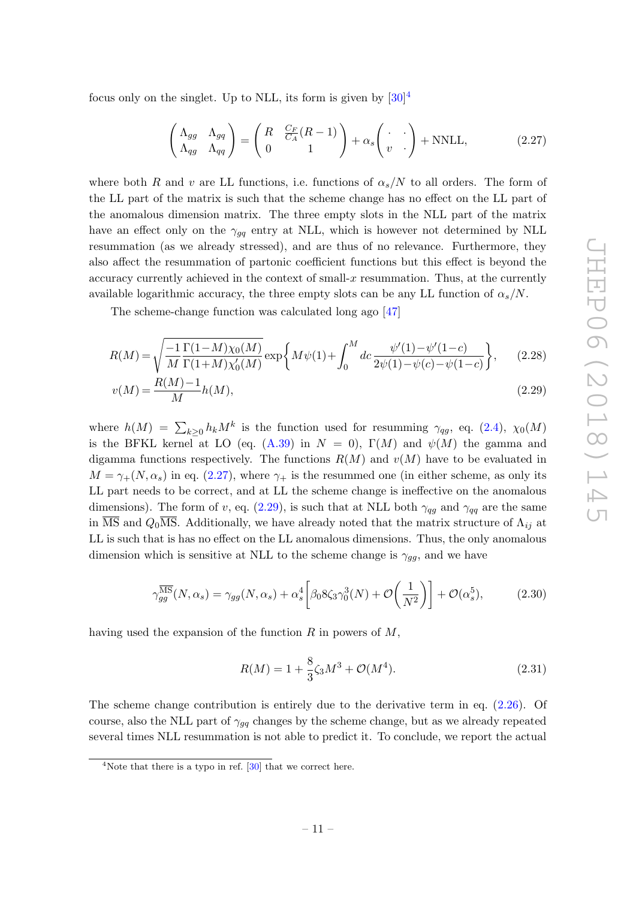focus only on the singlet. Up to NLL, its form is given by  $[30]^4$  $[30]^4$ 

<span id="page-11-1"></span>
$$
\begin{pmatrix}\n\Lambda_{gg} & \Lambda_{gq} \\
\Lambda_{qg} & \Lambda_{qq}\n\end{pmatrix} = \begin{pmatrix}\nR & \frac{C_F}{C_A}(R-1) \\
0 & 1\n\end{pmatrix} + \alpha_s \begin{pmatrix} \cdot & \cdot \\
v & \cdot\n\end{pmatrix} + \text{NNLL},
$$
\n(2.27)

where both R and v are LL functions, i.e. functions of  $\alpha_s/N$  to all orders. The form of the LL part of the matrix is such that the scheme change has no effect on the LL part of the anomalous dimension matrix. The three empty slots in the NLL part of the matrix have an effect only on the  $\gamma_{qq}$  entry at NLL, which is however not determined by NLL resummation (as we already stressed), and are thus of no relevance. Furthermore, they also affect the resummation of partonic coefficient functions but this effect is beyond the accuracy currently achieved in the context of small-x resummation. Thus, at the currently available logarithmic accuracy, the three empty slots can be any LL function of  $\alpha_s/N$ .

The scheme-change function was calculated long ago [\[47\]](#page-37-4)

$$
R(M) = \sqrt{\frac{-1}{M} \frac{\Gamma(1-M)\chi_0(M)}{\Gamma(1+M)\chi_0'(M)}} \exp\left\{M\psi(1) + \int_0^M dc \frac{\psi'(1) - \psi'(1-c)}{2\psi(1) - \psi(c) - \psi(1-c)}\right\},\tag{2.28}
$$

$$
v(M) = \frac{R(M) - 1}{M}h(M),
$$
\n(2.29)

where  $h(M) = \sum_{k\geq 0} h_k M^k$  is the function used for resumming  $\gamma_{qg}$ , eq. [\(2.4\)](#page-4-1),  $\chi_0(M)$ is the BFKL kernel at LO (eq.  $(A.39)$  in  $N = 0$ ),  $\Gamma(M)$  and  $\psi(M)$  the gamma and digamma functions respectively. The functions  $R(M)$  and  $v(M)$  have to be evaluated in  $M = \gamma_{+}(N, \alpha_s)$  in eq. [\(2.27\)](#page-11-1), where  $\gamma_{+}$  is the resummed one (in either scheme, as only its LL part needs to be correct, and at LL the scheme change is ineffective on the anomalous dimensions). The form of v, eq. [\(2.29\)](#page-11-2), is such that at NLL both  $\gamma_{qq}$  and  $\gamma_{qq}$  are the same in  $\overline{\text{MS}}$  and  $Q_0\overline{\text{MS}}$ . Additionally, we have already noted that the matrix structure of  $\Lambda_{ij}$  at LL is such that is has no effect on the LL anomalous dimensions. Thus, the only anomalous dimension which is sensitive at NLL to the scheme change is  $\gamma_{qq}$ , and we have

$$
\gamma_{gg}^{\overline{\rm MS}}(N,\alpha_s) = \gamma_{gg}(N,\alpha_s) + \alpha_s^4 \left[ \beta_0 8 \zeta_3 \gamma_0^3(N) + \mathcal{O}\left(\frac{1}{N^2}\right) \right] + \mathcal{O}(\alpha_s^5),\tag{2.30}
$$

having used the expansion of the function  $R$  in powers of  $M$ ,

<span id="page-11-2"></span>
$$
R(M) = 1 + \frac{8}{3}\zeta_3 M^3 + \mathcal{O}(M^4). \tag{2.31}
$$

The scheme change contribution is entirely due to the derivative term in eq. [\(2.26\)](#page-10-1). Of course, also the NLL part of  $\gamma_{gg}$  changes by the scheme change, but as we already repeated several times NLL resummation is not able to predict it. To conclude, we report the actual

<span id="page-11-0"></span><sup>&</sup>lt;sup>4</sup>Note that there is a typo in ref.  $[30]$  that we correct here.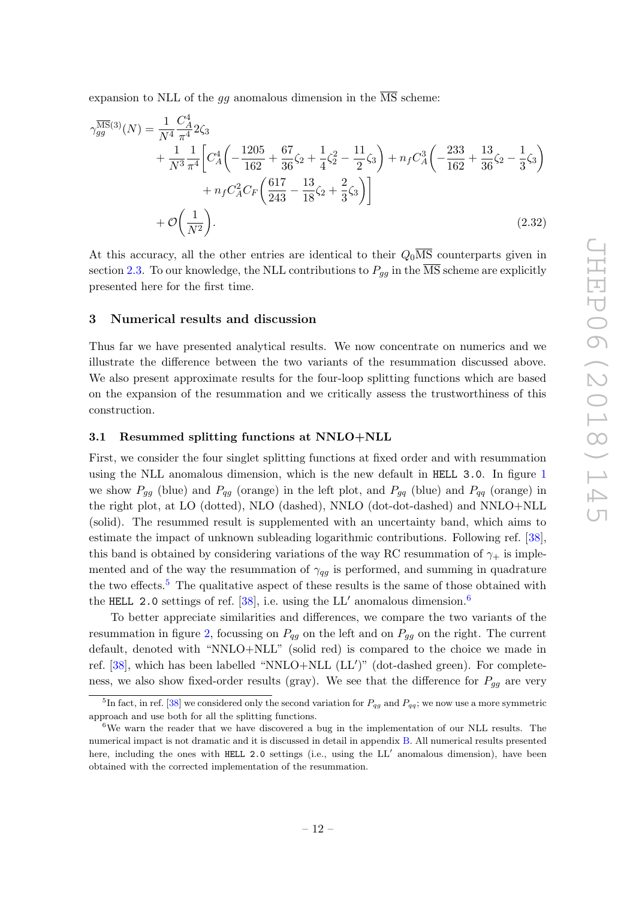expansion to NLL of the  $gg$  anomalous dimension in the  $\overline{\text{MS}}$  scheme:

$$
\gamma_{gg}^{\overline{\text{MS}}(3)}(N) = \frac{1}{N^4} \frac{C_A^4}{\pi^4} 2\zeta_3 \n+ \frac{1}{N^3} \frac{1}{\pi^4} \left[ C_A^4 \left( -\frac{1205}{162} + \frac{67}{36} \zeta_2 + \frac{1}{4} \zeta_2^2 - \frac{11}{2} \zeta_3 \right) + n_f C_A^3 \left( -\frac{233}{162} + \frac{13}{36} \zeta_2 - \frac{1}{3} \zeta_3 \right) \right. \n+ n_f C_A^2 C_F \left( \frac{617}{243} - \frac{13}{18} \zeta_2 + \frac{2}{3} \zeta_3 \right) \n+ \mathcal{O}\left(\frac{1}{N^2}\right).
$$
\n(2.32)

<span id="page-12-4"></span>At this accuracy, all the other entries are identical to their  $Q_0\overline{\text{MS}}$  counterparts given in section [2.3.](#page-9-0) To our knowledge, the NLL contributions to  $P_{gg}$  in the  $\overline{\text{MS}}$  scheme are explicitly presented here for the first time.

#### <span id="page-12-0"></span>3 Numerical results and discussion

Thus far we have presented analytical results. We now concentrate on numerics and we illustrate the difference between the two variants of the resummation discussed above. We also present approximate results for the four-loop splitting functions which are based on the expansion of the resummation and we critically assess the trustworthiness of this construction.

## <span id="page-12-1"></span>3.1 Resummed splitting functions at NNLO+NLL

First, we consider the four singlet splitting functions at fixed order and with resummation using the NLL anomalous dimension, which is the new default in HELL 3.0. In figure [1](#page-13-0) we show  $P_{gg}$  (blue) and  $P_{qg}$  (orange) in the left plot, and  $P_{gq}$  (blue) and  $P_{qq}$  (orange) in the right plot, at LO (dotted), NLO (dashed), NNLO (dot-dot-dashed) and NNLO+NLL (solid). The resummed result is supplemented with an uncertainty band, which aims to estimate the impact of unknown subleading logarithmic contributions. Following ref. [\[38\]](#page-37-0), this band is obtained by considering variations of the way RC resummation of  $\gamma_+$  is implemented and of the way the resummation of  $\gamma_{qq}$  is performed, and summing in quadrature the two effects.<sup>[5](#page-12-2)</sup> The qualitative aspect of these results is the same of those obtained with the HELL 2.0 settings of ref. [\[38\]](#page-37-0), i.e. using the LL' anomalous dimension.<sup>[6](#page-12-3)</sup>

To better appreciate similarities and differences, we compare the two variants of the resummation in figure [2,](#page-13-1) focussing on  $P_{qg}$  on the left and on  $P_{gg}$  on the right. The current default, denoted with "NNLO+NLL" (solid red) is compared to the choice we made in ref.  $[38]$ , which has been labelled "NNLO+NLL  $(LL')$ " (dot-dashed green). For completeness, we also show fixed-order results (gray). We see that the difference for  $P_{gg}$  are very

<span id="page-12-2"></span><sup>&</sup>lt;sup>5</sup>In fact, in ref. [\[38\]](#page-37-0) we considered only the second variation for  $P_{qg}$  and  $P_{qq}$ ; we now use a more symmetric approach and use both for all the splitting functions.

<span id="page-12-3"></span> $6$ We warn the reader that we have discovered a bug in the implementation of our NLL results. The numerical impact is not dramatic and it is discussed in detail in appendix [B.](#page-32-0) All numerical results presented here, including the ones with HELL 2.0 settings (i.e., using the LL' anomalous dimension), have been obtained with the corrected implementation of the resummation.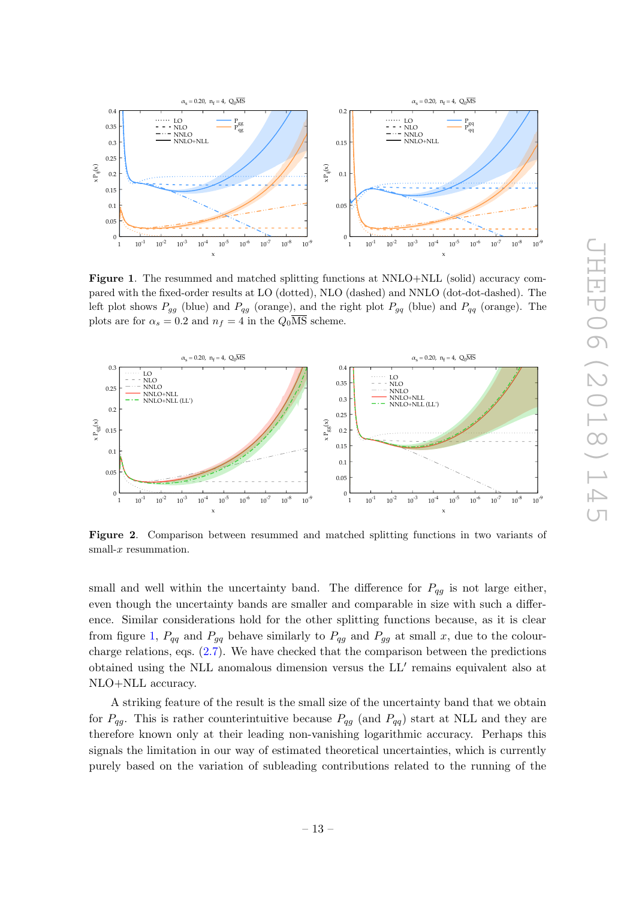

<span id="page-13-0"></span>Figure 1. The resummed and matched splitting functions at NNLO+NLL (solid) accuracy compared with the fixed-order results at LO (dotted), NLO (dashed) and NNLO (dot-dot-dashed). The left plot shows  $P_{gg}$  (blue) and  $P_{qg}$  (orange), and the right plot  $P_{gq}$  (blue) and  $P_{qq}$  (orange). The plots are for  $\alpha_s = 0.2$  and  $n_f = 4$  in the  $Q_0 \overline{\text{MS}}$  scheme.



<span id="page-13-1"></span>Figure 2. Comparison between resummed and matched splitting functions in two variants of small- $x$  resummation.

small and well within the uncertainty band. The difference for  $P_{qq}$  is not large either, even though the uncertainty bands are smaller and comparable in size with such a difference. Similar considerations hold for the other splitting functions because, as it is clear from figure [1,](#page-13-0)  $P_{qq}$  and  $P_{gg}$  behave similarly to  $P_{qg}$  and  $P_{gg}$  at small x, due to the colourcharge relations, eqs. [\(2.7\)](#page-5-2). We have checked that the comparison between the predictions obtained using the NLL anomalous dimension versus the  $LL'$  remains equivalent also at NLO+NLL accuracy.

A striking feature of the result is the small size of the uncertainty band that we obtain for  $P_{qq}$ . This is rather counterintuitive because  $P_{qq}$  (and  $P_{qq}$ ) start at NLL and they are therefore known only at their leading non-vanishing logarithmic accuracy. Perhaps this signals the limitation in our way of estimated theoretical uncertainties, which is currently purely based on the variation of subleading contributions related to the running of the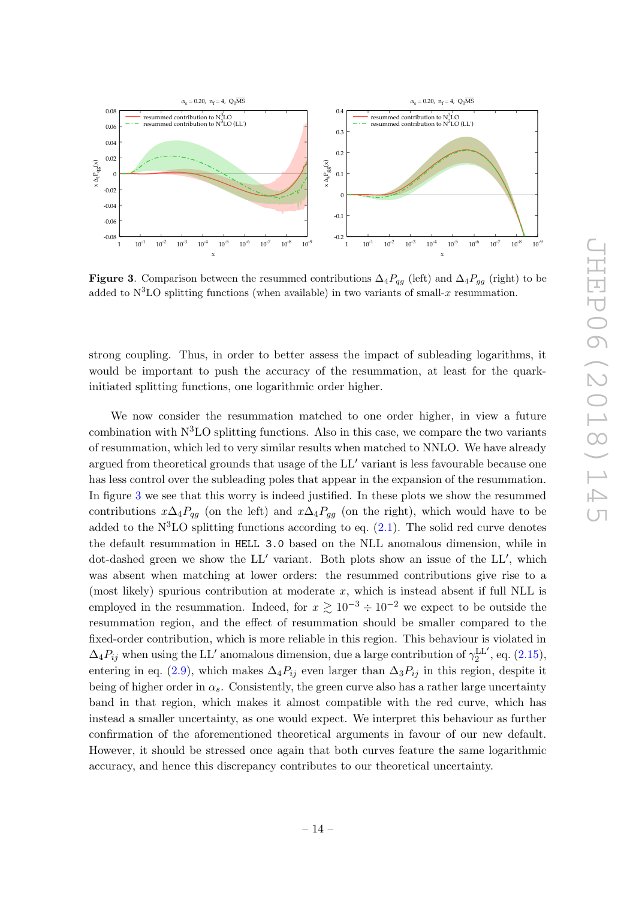

<span id="page-14-0"></span>Figure 3. Comparison between the resummed contributions  $\Delta_4P_{qg}$  (left) and  $\Delta_4P_{gg}$  (right) to be added to  $N^3LO$  splitting functions (when available) in two variants of small-x resummation.

strong coupling. Thus, in order to better assess the impact of subleading logarithms, it would be important to push the accuracy of the resummation, at least for the quarkinitiated splitting functions, one logarithmic order higher.

We now consider the resummation matched to one order higher, in view a future combination with  $N<sup>3</sup>LO$  splitting functions. Also in this case, we compare the two variants of resummation, which led to very similar results when matched to NNLO. We have already argued from theoretical grounds that usage of the  $LL'$  variant is less favourable because one has less control over the subleading poles that appear in the expansion of the resummation. In figure [3](#page-14-0) we see that this worry is indeed justified. In these plots we show the resummed contributions  $x\Delta_4P_{qg}$  (on the left) and  $x\Delta_4P_{gg}$  (on the right), which would have to be added to the  $N<sup>3</sup>LO$  splitting functions according to eq.  $(2.1)$ . The solid red curve denotes the default resummation in HELL 3.0 based on the NLL anomalous dimension, while in dot-dashed green we show the  $LL'$  variant. Both plots show an issue of the  $LL'$ , which was absent when matching at lower orders: the resummed contributions give rise to a (most likely) spurious contribution at moderate  $x$ , which is instead absent if full NLL is employed in the resummation. Indeed, for  $x \ge 10^{-3} \div 10^{-2}$  we expect to be outside the resummation region, and the effect of resummation should be smaller compared to the fixed-order contribution, which is more reliable in this region. This behaviour is violated in  $\Delta_4 P_{ij}$  when using the LL' anomalous dimension, due a large contribution of  $\gamma_2^{\text{LL}'},$  eq. [\(2.15\)](#page-7-0), entering in eq. [\(2.9\)](#page-6-0), which makes  $\Delta_4 P_{ij}$  even larger than  $\Delta_3 P_{ij}$  in this region, despite it being of higher order in  $\alpha_s$ . Consistently, the green curve also has a rather large uncertainty band in that region, which makes it almost compatible with the red curve, which has instead a smaller uncertainty, as one would expect. We interpret this behaviour as further confirmation of the aforementioned theoretical arguments in favour of our new default. However, it should be stressed once again that both curves feature the same logarithmic accuracy, and hence this discrepancy contributes to our theoretical uncertainty.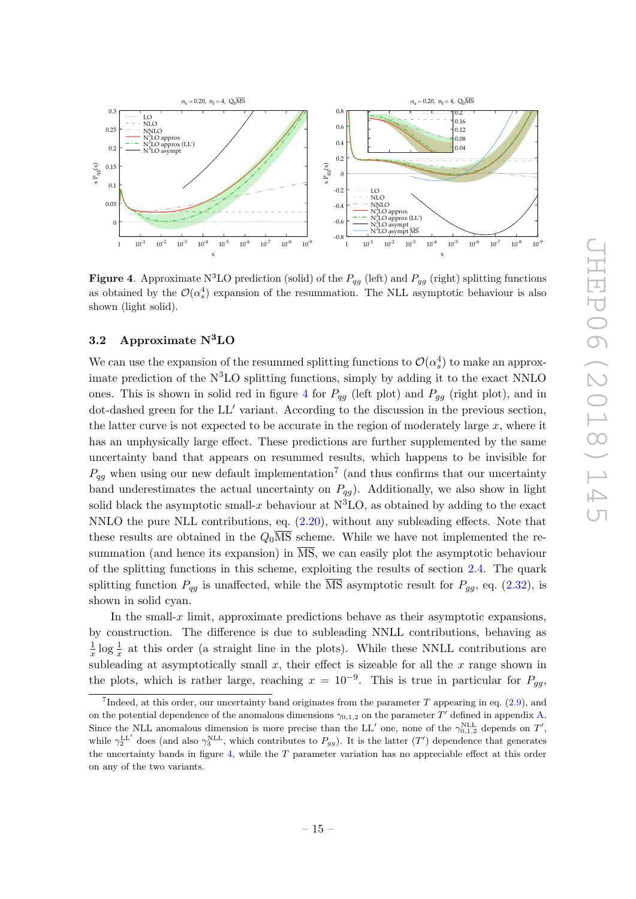

<span id="page-15-1"></span>**Figure 4.** Approximate N<sup>3</sup>LO prediction (solid) of the  $P_{qg}$  (left) and  $P_{gg}$  (right) splitting functions as obtained by the  $\mathcal{O}(\alpha_s^4)$  expansion of the resummation. The NLL asymptotic behaviour is also shown (light solid).

## <span id="page-15-0"></span>3.2 Approximate N3LO

We can use the expansion of the resummed splitting functions to  $\mathcal{O}(\alpha_s^4)$  to make an approximate prediction of the  $N<sup>3</sup>LO$  splitting functions, simply by adding it to the exact NNLO ones. This is shown in solid red in figure [4](#page-15-1) for  $P_{qg}$  (left plot) and  $P_{gg}$  (right plot), and in dot-dashed green for the LL' variant. According to the discussion in the previous section, the latter curve is not expected to be accurate in the region of moderately large  $x$ , where it has an unphysically large effect. These predictions are further supplemented by the same uncertainty band that appears on resummed results, which happens to be invisible for  $P_{qg}$  when using our new default implementation<sup>[7](#page-15-2)</sup> (and thus confirms that our uncertainty band underestimates the actual uncertainty on  $P_{qg}$ ). Additionally, we also show in light solid black the asymptotic small-x behaviour at  $N<sup>3</sup>LO$ , as obtained by adding to the exact NNLO the pure NLL contributions, eq.  $(2.20)$ , without any subleading effects. Note that these results are obtained in the  $Q_0\overline{\text{MS}}$  scheme. While we have not implemented the resummation (and hence its expansion) in  $\overline{\text{MS}}$ , we can easily plot the asymptotic behaviour of the splitting functions in this scheme, exploiting the results of section [2.4.](#page-10-0) The quark splitting function  $P_{qq}$  is unaffected, while the  $\overline{\text{MS}}$  asymptotic result for  $P_{qq}$ , eq. [\(2.32\)](#page-12-4), is shown in solid cyan.

In the small- $x$  limit, approximate predictions behave as their asymptotic expansions, by construction. The difference is due to subleading NNLL contributions, behaving as 1  $\frac{1}{x}$  log  $\frac{1}{x}$  at this order (a straight line in the plots). While these NNLL contributions are subleading at asymptotically small  $x$ , their effect is sizeable for all the  $x$  range shown in the plots, which is rather large, reaching  $x = 10^{-9}$ . This is true in particular for  $P_{gg}$ ,

<span id="page-15-2"></span><sup>&</sup>lt;sup>7</sup>Indeed, at this order, our uncertainty band originates from the parameter  $T$  appearing in eq. [\(2.9\)](#page-6-0), and on the potential dependence of the anomalous dimensions  $\gamma_{0,1,2}$  on the parameter T' defined in appendix [A.](#page-17-0) Since the NLL anomalous dimension is more precise than the LL' one, none of the  $\gamma_{0,1,2}^{\text{NLL}}$  depends on T', while  $\gamma_2^{\text{LL'}}$  does (and also  $\gamma_3^{\text{NLL}}$ , which contributes to  $P_{gg}$ ). It is the latter  $(T')$  dependence that generates the uncertainty bands in figure [4,](#page-15-1) while the  $T$  parameter variation has no appreciable effect at this order on any of the two variants.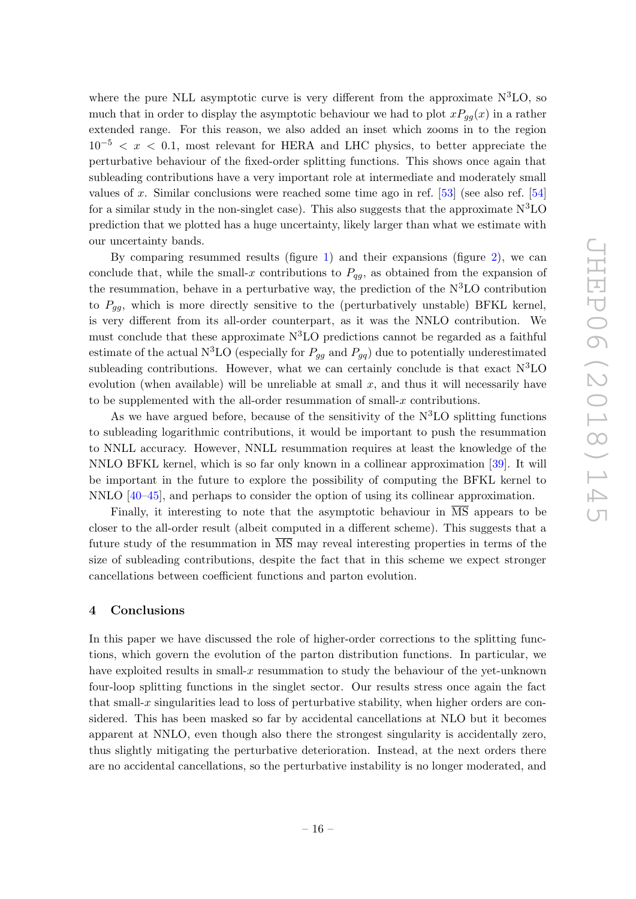where the pure NLL asymptotic curve is very different from the approximate  $\rm N^{3}LO$ , so much that in order to display the asymptotic behaviour we had to plot  $xP_{aa}(x)$  in a rather extended range. For this reason, we also added an inset which zooms in to the region  $10^{-5} < x < 0.1$ , most relevant for HERA and LHC physics, to better appreciate the perturbative behaviour of the fixed-order splitting functions. This shows once again that subleading contributions have a very important role at intermediate and moderately small values of x. Similar conclusions were reached some time ago in ref.  $[53]$  (see also ref.  $[54]$ for a similar study in the non-singlet case). This also suggests that the approximate  $N<sup>3</sup>LO$ prediction that we plotted has a huge uncertainty, likely larger than what we estimate with our uncertainty bands.

By comparing resummed results (figure [1\)](#page-13-0) and their expansions (figure [2\)](#page-13-1), we can conclude that, while the small-x contributions to  $P_{qg}$ , as obtained from the expansion of the resummation, behave in a perturbative way, the prediction of the  $N<sup>3</sup>LO$  contribution to  $P_{gg}$ , which is more directly sensitive to the (perturbatively unstable) BFKL kernel, is very different from its all-order counterpart, as it was the NNLO contribution. We must conclude that these approximate  $N<sup>3</sup>LO$  predictions cannot be regarded as a faithful estimate of the actual N<sup>3</sup>LO (especially for  $P_{gg}$  and  $P_{gg}$ ) due to potentially underestimated subleading contributions. However, what we can certainly conclude is that exact  $N^3LO$ evolution (when available) will be unreliable at small  $x$ , and thus it will necessarily have to be supplemented with the all-order resummation of small-x contributions.

As we have argued before, because of the sensitivity of the  $N<sup>3</sup>LO$  splitting functions to subleading logarithmic contributions, it would be important to push the resummation to NNLL accuracy. However, NNLL resummation requires at least the knowledge of the NNLO BFKL kernel, which is so far only known in a collinear approximation [\[39\]](#page-37-1). It will be important in the future to explore the possibility of computing the BFKL kernel to NNLO [\[40–](#page-37-12)[45\]](#page-37-2), and perhaps to consider the option of using its collinear approximation.

Finally, it interesting to note that the asymptotic behaviour in  $\overline{MS}$  appears to be closer to the all-order result (albeit computed in a different scheme). This suggests that a future study of the resummation in  $\overline{\text{MS}}$  may reveal interesting properties in terms of the size of subleading contributions, despite the fact that in this scheme we expect stronger cancellations between coefficient functions and parton evolution.

#### <span id="page-16-0"></span>4 Conclusions

In this paper we have discussed the role of higher-order corrections to the splitting functions, which govern the evolution of the parton distribution functions. In particular, we have exploited results in small- $x$  resummation to study the behaviour of the yet-unknown four-loop splitting functions in the singlet sector. Our results stress once again the fact that small-x singularities lead to loss of perturbative stability, when higher orders are considered. This has been masked so far by accidental cancellations at NLO but it becomes apparent at NNLO, even though also there the strongest singularity is accidentally zero, thus slightly mitigating the perturbative deterioration. Instead, at the next orders there are no accidental cancellations, so the perturbative instability is no longer moderated, and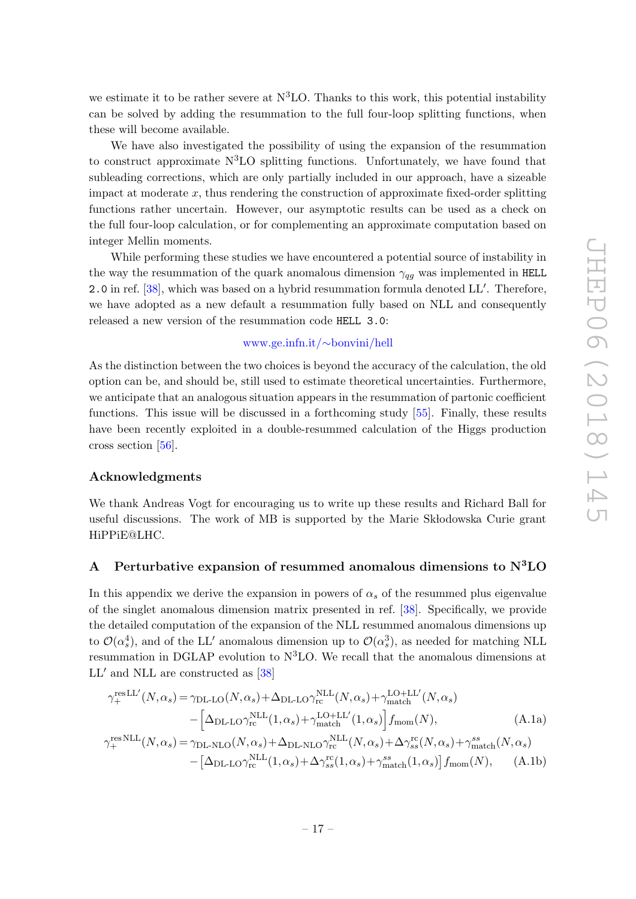we estimate it to be rather severe at  $N<sup>3</sup>LO$ . Thanks to this work, this potential instability can be solved by adding the resummation to the full four-loop splitting functions, when these will become available.

We have also investigated the possibility of using the expansion of the resummation to construct approximate  $N<sup>3</sup>LO$  splitting functions. Unfortunately, we have found that subleading corrections, which are only partially included in our approach, have a sizeable impact at moderate  $x$ , thus rendering the construction of approximate fixed-order splitting functions rather uncertain. However, our asymptotic results can be used as a check on the full four-loop calculation, or for complementing an approximate computation based on integer Mellin moments.

While performing these studies we have encountered a potential source of instability in the way the resummation of the quark anomalous dimension  $\gamma_{qg}$  was implemented in HELL 2.0 in ref.  $[38]$ , which was based on a hybrid resummation formula denoted LL'. Therefore, we have adopted as a new default a resummation fully based on NLL and consequently released a new version of the resummation code HELL 3.0:

## [www.ge.infn.it/](http://www.ge.infn.it/~bonvini/hell)∼bonvini/hell

As the distinction between the two choices is beyond the accuracy of the calculation, the old option can be, and should be, still used to estimate theoretical uncertainties. Furthermore, we anticipate that an analogous situation appears in the resummation of partonic coefficient functions. This issue will be discussed in a forthcoming study [\[55\]](#page-37-13). Finally, these results have been recently exploited in a double-resummed calculation of the Higgs production cross section [\[56\]](#page-37-14).

#### Acknowledgments

We thank Andreas Vogt for encouraging us to write up these results and Richard Ball for useful discussions. The work of MB is supported by the Marie Skłodowska Curie grant HiPPiE@LHC.

## <span id="page-17-0"></span>A Perturbative expansion of resummed anomalous dimensions to  $N<sup>3</sup>LO$

In this appendix we derive the expansion in powers of  $\alpha_s$  of the resummed plus eigenvalue of the singlet anomalous dimension matrix presented in ref. [\[38\]](#page-37-0). Specifically, we provide the detailed computation of the expansion of the NLL resummed anomalous dimensions up to  $\mathcal{O}(\alpha_s^4)$ , and of the LL' anomalous dimension up to  $\mathcal{O}(\alpha_s^3)$ , as needed for matching NLL resummation in DGLAP evolution to  $N<sup>3</sup>LO$ . We recall that the anomalous dimensions at  $LL'$  and NLL are constructed as [\[38\]](#page-37-0)

<span id="page-17-1"></span>
$$
\gamma_{+}^{\text{res}\,LL'}(N,\alpha_{s}) = \gamma_{\text{DL-LO}}(N,\alpha_{s}) + \Delta_{\text{DL-LO}}\gamma_{\text{rc}}^{\text{NLL}}(N,\alpha_{s}) + \gamma_{\text{match}}^{\text{LO+LL}'}(N,\alpha_{s}) \n- \left[\Delta_{\text{DL-LO}}\gamma_{\text{rc}}^{\text{NLL}}(1,\alpha_{s}) + \gamma_{\text{match}}^{\text{LO+LL}'}(1,\alpha_{s})\right]f_{\text{mom}}(N), \qquad (A.1a)
$$
\n
$$
\gamma_{+}^{\text{res}\,NLL}(N,\alpha_{s}) = \gamma_{\text{DL-NLO}}(N,\alpha_{s}) + \Delta_{\text{DL-NLO}}\gamma_{\text{rc}}^{\text{NL}}(N,\alpha_{s}) + \Delta\gamma_{ss}^{\text{rc}}(N,\alpha_{s}) + \gamma_{\text{match}}^{ss}(N,\alpha_{s}) \n- \left[\Delta_{\text{DL-LO}}\gamma_{\text{rc}}^{\text{NLL}}(1,\alpha_{s}) + \Delta\gamma_{ss}^{\text{rc}}(1,\alpha_{s}) + \gamma_{\text{match}}^{ss}(1,\alpha_{s})\right]f_{\text{mom}}(N), \qquad (A.1b)
$$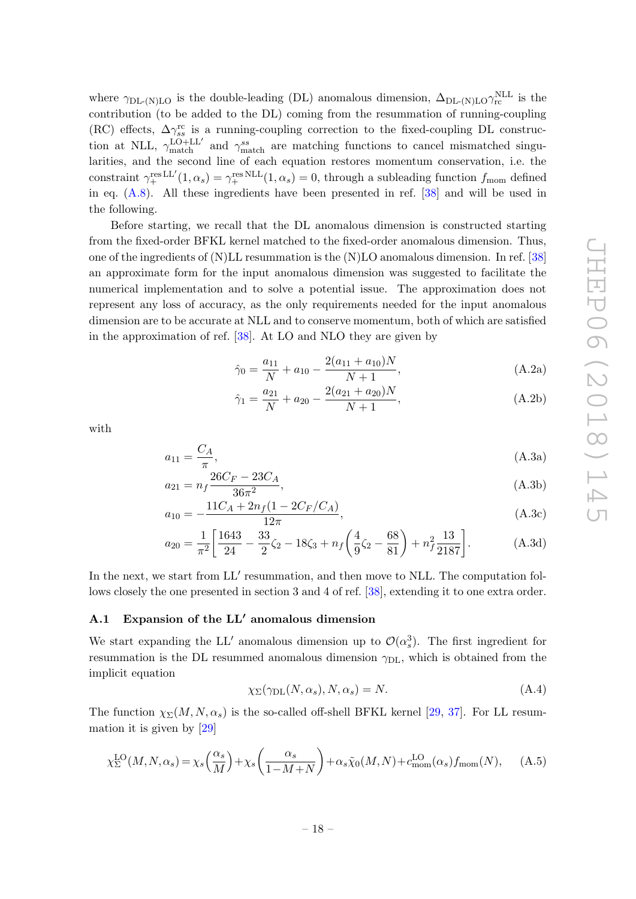where  $\gamma_{\text{DL-}(N)\text{LO}}$  is the double-leading (DL) anomalous dimension,  $\Delta_{\text{DL-}(N)\text{LO}}\gamma_{\text{rc}}^{\text{NLL}}$  is the contribution (to be added to the DL) coming from the resummation of running-coupling (RC) effects,  $\Delta\gamma_{ss}^{\rm rc}$  is a running-coupling correction to the fixed-coupling DL construction at NLL,  $\gamma_{\text{match}}^{\text{LO+LL'}}$  and  $\gamma_{\text{match}}^{ss}$  are matching functions to cancel mismatched singularities, and the second line of each equation restores momentum conservation, i.e. the constraint  $\gamma_+^{\text{res LL}'}(1,\alpha_s) = \gamma_+^{\text{res NLL}}(1,\alpha_s) = 0$ , through a subleading function  $f_{\text{mom}}$  defined in eq.  $(A.8)$ . All these ingredients have been presented in ref. [\[38\]](#page-37-0) and will be used in the following.

Before starting, we recall that the DL anomalous dimension is constructed starting from the fixed-order BFKL kernel matched to the fixed-order anomalous dimension. Thus, one of the ingredients of (N)LL resummation is the (N)LO anomalous dimension. In ref. [\[38\]](#page-37-0) an approximate form for the input anomalous dimension was suggested to facilitate the numerical implementation and to solve a potential issue. The approximation does not represent any loss of accuracy, as the only requirements needed for the input anomalous dimension are to be accurate at NLL and to conserve momentum, both of which are satisfied in the approximation of ref. [\[38\]](#page-37-0). At LO and NLO they are given by

<span id="page-18-2"></span>
$$
\hat{\gamma}_0 = \frac{a_{11}}{N} + a_{10} - \frac{2(a_{11} + a_{10})N}{N + 1},
$$
\n(A.2a)

$$
\hat{\gamma}_1 = \frac{a_{21}}{N} + a_{20} - \frac{2(a_{21} + a_{20})N}{N + 1},
$$
\n(A.2b)

<span id="page-18-1"></span>with

$$
a_{11} = \frac{C_A}{\pi},\tag{A.3a}
$$

$$
a_{21} = n_f \frac{26C_F - 23C_A}{36\pi^2},\tag{A.3b}
$$

$$
a_{10} = -\frac{11C_A + 2n_f(1 - 2C_F/C_A)}{12\pi},
$$
\n(A.3c)

$$
a_{20} = \frac{1}{\pi^2} \left[ \frac{1643}{24} - \frac{33}{2} \zeta_2 - 18 \zeta_3 + n_f \left( \frac{4}{9} \zeta_2 - \frac{68}{81} \right) + n_f^2 \frac{13}{2187} \right].
$$
 (A.3d)

In the next, we start from LL' resummation, and then move to NLL. The computation follows closely the one presented in section 3 and 4 of ref. [\[38\]](#page-37-0), extending it to one extra order.

## <span id="page-18-0"></span>A.1 Expansion of the LL' anomalous dimension

We start expanding the LL' anomalous dimension up to  $\mathcal{O}(\alpha_s^3)$ . The first ingredient for resummation is the DL resummed anomalous dimension  $\gamma_{\text{DL}}$ , which is obtained from the implicit equation

<span id="page-18-3"></span>
$$
\chi_{\Sigma}(\gamma_{\text{DL}}(N,\alpha_s), N, \alpha_s) = N. \tag{A.4}
$$

The function  $\chi_{\Sigma}(M, N, \alpha_s)$  is the so-called off-shell BFKL kernel [\[29,](#page-36-10) [37\]](#page-36-9). For LL resummation it is given by [\[29\]](#page-36-10)

<span id="page-18-4"></span>
$$
\chi_{\Sigma}^{\text{LO}}(M, N, \alpha_s) = \chi_s\left(\frac{\alpha_s}{M}\right) + \chi_s\left(\frac{\alpha_s}{1 - M + N}\right) + \alpha_s\tilde{\chi}_0(M, N) + c_{\text{mom}}^{\text{LO}}(\alpha_s)f_{\text{mom}}(N), \tag{A.5}
$$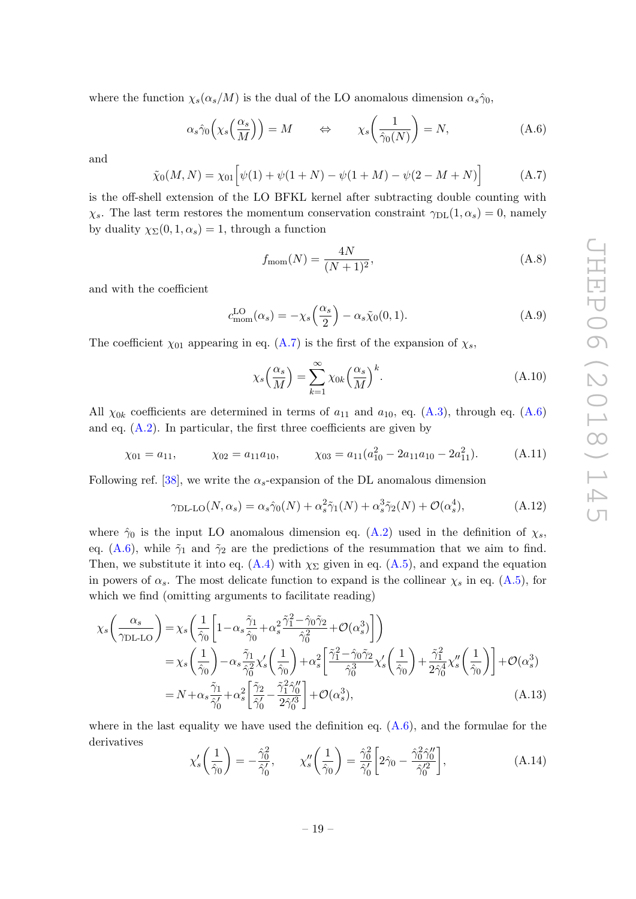where the function  $\chi_s(\alpha_s/M)$  is the dual of the LO anomalous dimension  $\alpha_s\hat{\gamma}_0$ ,

<span id="page-19-2"></span>
$$
\alpha_s \hat{\gamma}_0 \left( \chi_s \left( \frac{\alpha_s}{M} \right) \right) = M \qquad \Leftrightarrow \qquad \chi_s \left( \frac{1}{\hat{\gamma}_0(N)} \right) = N, \tag{A.6}
$$

and

<span id="page-19-1"></span>
$$
\tilde{\chi}_0(M, N) = \chi_{01} \left[ \psi(1) + \psi(1 + N) - \psi(1 + M) - \psi(2 - M + N) \right]
$$
 (A.7)

is the off-shell extension of the LO BFKL kernel after subtracting double counting with  $\chi_s$ . The last term restores the momentum conservation constraint  $\gamma_{\text{DL}}(1,\alpha_s) = 0$ , namely by duality  $\chi_{\Sigma}(0, 1, \alpha_s) = 1$ , through a function

<span id="page-19-0"></span>
$$
f_{\text{mom}}(N) = \frac{4N}{(N+1)^2},\tag{A.8}
$$

and with the coefficient

$$
c_{\text{mom}}^{\text{LO}}(\alpha_s) = -\chi_s\left(\frac{\alpha_s}{2}\right) - \alpha_s \tilde{\chi}_0(0, 1). \tag{A.9}
$$

The coefficient  $\chi_{01}$  appearing in eq. [\(A.7\)](#page-19-1) is the first of the expansion of  $\chi_s$ ,

<span id="page-19-5"></span><span id="page-19-4"></span>
$$
\chi_s\left(\frac{\alpha_s}{M}\right) = \sum_{k=1}^{\infty} \chi_{0k} \left(\frac{\alpha_s}{M}\right)^k.
$$
\n(A.10)

All  $\chi_{0k}$  coefficients are determined in terms of  $a_{11}$  and  $a_{10}$ , eq. [\(A.3\)](#page-18-1), through eq. [\(A.6\)](#page-19-2) and eq.  $(A.2)$ . In particular, the first three coefficients are given by

$$
\chi_{01} = a_{11},
$$
\n $\chi_{02} = a_{11}a_{10},$ \n $\chi_{03} = a_{11}(a_{10}^2 - 2a_{11}a_{10} - 2a_{11}^2).$ \n(A.11)

Following ref. [\[38\]](#page-37-0), we write the  $\alpha_s$ -expansion of the DL anomalous dimension

<span id="page-19-3"></span>
$$
\gamma_{\text{DL-LO}}(N,\alpha_s) = \alpha_s \hat{\gamma}_0(N) + \alpha_s^2 \tilde{\gamma}_1(N) + \alpha_s^3 \tilde{\gamma}_2(N) + \mathcal{O}(\alpha_s^4),\tag{A.12}
$$

where  $\hat{\gamma}_0$  is the input LO anomalous dimension eq. [\(A.2\)](#page-18-2) used in the definition of  $\chi_s$ , eq. [\(A.6\)](#page-19-2), while  $\tilde{\gamma}_1$  and  $\tilde{\gamma}_2$  are the predictions of the resummation that we aim to find. Then, we substitute it into eq. [\(A.4\)](#page-18-3) with  $\chi_{\Sigma}$  given in eq. [\(A.5\)](#page-18-4), and expand the equation in powers of  $\alpha_s$ . The most delicate function to expand is the collinear  $\chi_s$  in eq. [\(A.5\)](#page-18-4), for which we find (omitting arguments to facilitate reading)

$$
\chi_{s}\left(\frac{\alpha_{s}}{\gamma_{\text{DL-LO}}}\right) = \chi_{s}\left(\frac{1}{\hat{\gamma}_{0}}\left[1-\alpha_{s}\frac{\tilde{\gamma}_{1}}{\hat{\gamma}_{0}}+\alpha_{s}^{2}\frac{\tilde{\gamma}_{1}^{2}-\hat{\gamma}_{0}\tilde{\gamma}_{2}}{\hat{\gamma}_{0}^{2}}+\mathcal{O}(\alpha_{s}^{3})\right]\right)
$$
  
\n
$$
= \chi_{s}\left(\frac{1}{\hat{\gamma}_{0}}\right)-\alpha_{s}\frac{\tilde{\gamma}_{1}}{\hat{\gamma}_{0}^{2}}\chi'_{s}\left(\frac{1}{\hat{\gamma}_{0}}\right)+\alpha_{s}^{2}\left[\frac{\tilde{\gamma}_{1}^{2}-\hat{\gamma}_{0}\tilde{\gamma}_{2}}{\hat{\gamma}_{0}^{3}}\chi'_{s}\left(\frac{1}{\hat{\gamma}_{0}}\right)+\frac{\tilde{\gamma}_{1}^{2}}{2\hat{\gamma}_{0}^{4}}\chi''_{s}\left(\frac{1}{\hat{\gamma}_{0}}\right)\right]+\mathcal{O}(\alpha_{s}^{3})
$$
  
\n
$$
= N+\alpha_{s}\frac{\tilde{\gamma}_{1}}{\hat{\gamma}_{0}'}+\alpha_{s}^{2}\left[\frac{\tilde{\gamma}_{2}}{\hat{\gamma}_{0}'}-\frac{\tilde{\gamma}_{1}^{2}\hat{\gamma}_{0}''}{2\hat{\gamma}_{0}'^{3}}\right]+\mathcal{O}(\alpha_{s}^{3}), \tag{A.13}
$$

where in the last equality we have used the definition eq.  $(A.6)$ , and the formulae for the derivatives

<span id="page-19-6"></span>
$$
\chi'_s \left(\frac{1}{\hat{\gamma}_0}\right) = -\frac{\hat{\gamma}_0^2}{\hat{\gamma}_0'}, \qquad \chi''_s \left(\frac{1}{\hat{\gamma}_0}\right) = \frac{\hat{\gamma}_0^2}{\hat{\gamma}_0'} \left[2\hat{\gamma}_0 - \frac{\hat{\gamma}_0^2 \hat{\gamma}_0''}{\hat{\gamma}_0'^2}\right],\tag{A.14}
$$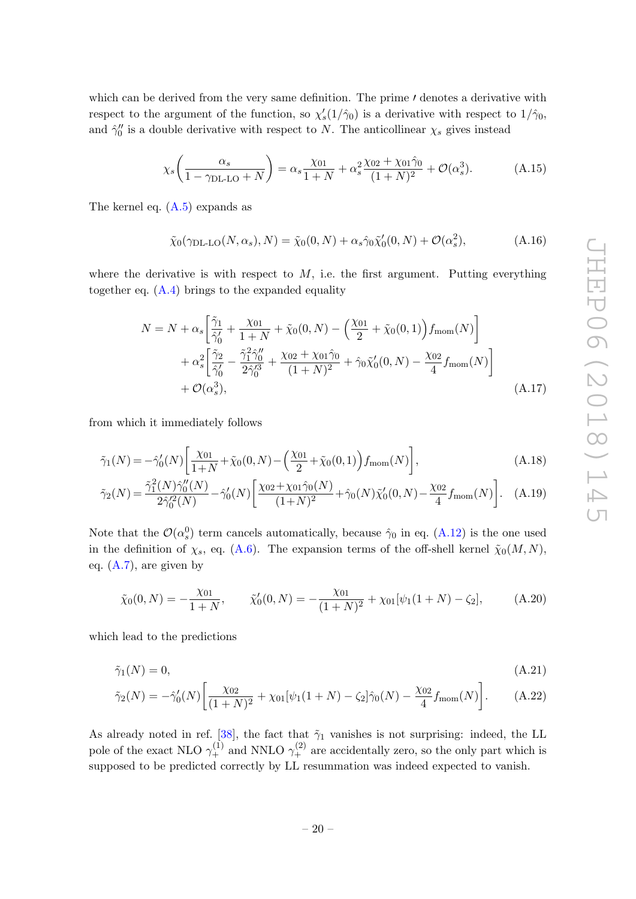which can be derived from the very same definition. The prime  $\prime$  denotes a derivative with respect to the argument of the function, so  $\chi'_{s}(1/\hat{\gamma}_{0})$  is a derivative with respect to  $1/\hat{\gamma}_{0}$ , and  $\hat{\gamma}_0''$  is a double derivative with respect to N. The anticollinear  $\chi_s$  gives instead

$$
\chi_s \left( \frac{\alpha_s}{1 - \gamma_{\text{DL-LO}} + N} \right) = \alpha_s \frac{\chi_{01}}{1 + N} + \alpha_s^2 \frac{\chi_{02} + \chi_{01} \hat{\gamma}_0}{(1 + N)^2} + \mathcal{O}(\alpha_s^3). \tag{A.15}
$$

The kernel eq.  $(A.5)$  expands as

$$
\tilde{\chi}_0(\gamma_{\text{DL-LO}}(N,\alpha_s),N) = \tilde{\chi}_0(0,N) + \alpha_s \hat{\gamma}_0 \tilde{\chi}_0'(0,N) + \mathcal{O}(\alpha_s^2),\tag{A.16}
$$

where the derivative is with respect to  $M$ , i.e. the first argument. Putting everything together eq. [\(A.4\)](#page-18-3) brings to the expanded equality

$$
N = N + \alpha_s \left[ \frac{\tilde{\gamma}_1}{\hat{\gamma}_0'} + \frac{\chi_{01}}{1+N} + \tilde{\chi}_0(0, N) - \left( \frac{\chi_{01}}{2} + \tilde{\chi}_0(0, 1) \right) f_{\text{mom}}(N) \right] + \alpha_s^2 \left[ \frac{\tilde{\gamma}_2}{\hat{\gamma}_0'} - \frac{\tilde{\gamma}_1^2 \hat{\gamma}_0''}{2 \hat{\gamma}_0'^3} + \frac{\chi_{02} + \chi_{01} \hat{\gamma}_0}{(1+N)^2} + \hat{\gamma}_0 \tilde{\chi}_0'(0, N) - \frac{\chi_{02}}{4} f_{\text{mom}}(N) \right] + \mathcal{O}(\alpha_s^3), \tag{A.17}
$$

from which it immediately follows

$$
\tilde{\gamma}_1(N) = -\hat{\gamma}_0'(N) \left[ \frac{\chi_{01}}{1+N} + \tilde{\chi}_0(0,N) - \left( \frac{\chi_{01}}{2} + \tilde{\chi}_0(0,1) \right) f_{\text{mom}}(N) \right],\tag{A.18}
$$

$$
\tilde{\gamma}_2(N) = \frac{\tilde{\gamma}_1^2(N)\hat{\gamma}_0''(N)}{2\hat{\gamma}_0'^2(N)} - \hat{\gamma}_0'(N) \left[ \frac{\chi_{02} + \chi_{01}\hat{\gamma}_0(N)}{(1+N)^2} + \hat{\gamma}_0(N)\tilde{\chi}_0'(0,N) - \frac{\chi_{02}}{4}f_{\text{mom}}(N) \right].
$$
 (A.19)

Note that the  $\mathcal{O}(\alpha_s^0)$  term cancels automatically, because  $\hat{\gamma}_0$  in eq. [\(A.12\)](#page-19-3) is the one used in the definition of  $\chi_s$ , eq. [\(A.6\)](#page-19-2). The expansion terms of the off-shell kernel  $\tilde{\chi}_0(M, N)$ , eq. [\(A.7\)](#page-19-1), are given by

<span id="page-20-0"></span>
$$
\tilde{\chi}_0(0,N) = -\frac{\chi_{01}}{1+N}, \qquad \tilde{\chi}'_0(0,N) = -\frac{\chi_{01}}{(1+N)^2} + \chi_{01}[\psi_1(1+N) - \zeta_2], \tag{A.20}
$$

which lead to the predictions

$$
\tilde{\gamma}_1(N) = 0,\tag{A.21}
$$

$$
\tilde{\gamma}_2(N) = -\hat{\gamma}_0'(N) \left[ \frac{\chi_{02}}{(1+N)^2} + \chi_{01} [\psi_1(1+N) - \zeta_2] \hat{\gamma}_0(N) - \frac{\chi_{02}}{4} f_{\text{mom}}(N) \right]. \tag{A.22}
$$

As already noted in ref. [\[38\]](#page-37-0), the fact that  $\tilde{\gamma}_1$  vanishes is not surprising: indeed, the LL pole of the exact NLO  $\gamma_+^{(1)}$  and NNLO  $\gamma_+^{(2)}$  are accidentally zero, so the only part which is supposed to be predicted correctly by LL resummation was indeed expected to vanish.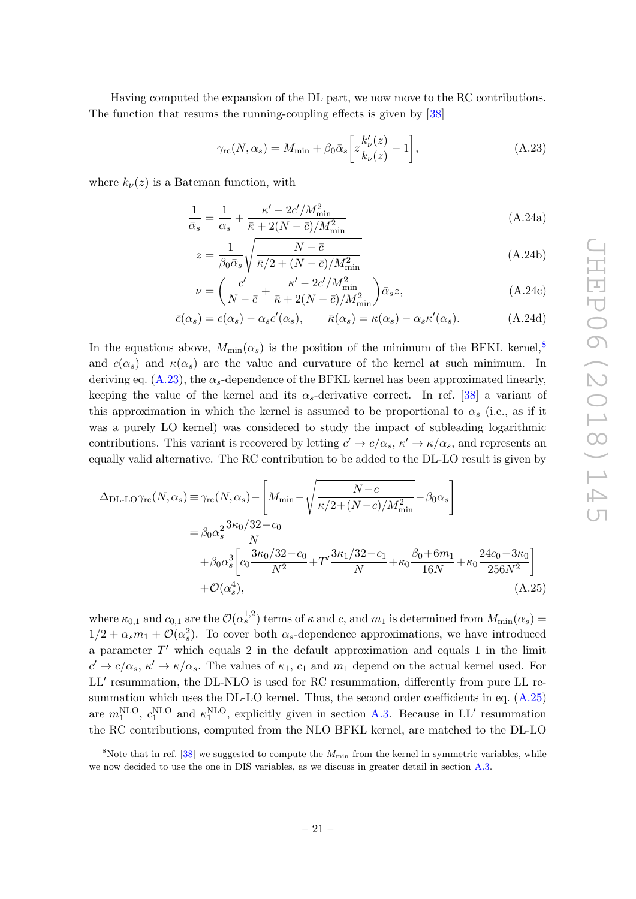Having computed the expansion of the DL part, we now move to the RC contributions. The function that resums the running-coupling effects is given by [\[38\]](#page-37-0)

<span id="page-21-1"></span>
$$
\gamma_{\rm rc}(N,\alpha_s) = M_{\rm min} + \beta_0 \bar{\alpha}_s \bigg[ z \frac{k'_{\nu}(z)}{k_{\nu}(z)} - 1 \bigg],\tag{A.23}
$$

where  $k_{\nu}(z)$  is a Bateman function, with

$$
\frac{1}{\bar{\alpha}_s} = \frac{1}{\alpha_s} + \frac{\kappa' - 2c'/M_{\text{min}}^2}{\bar{\kappa} + 2(N - \bar{c})/M_{\text{min}}^2}
$$
(A.24a)

$$
z = \frac{1}{\beta_0 \bar{\alpha}_s} \sqrt{\frac{N - \bar{c}}{\bar{\kappa}/2 + (N - \bar{c})/M_{\min}^2}}
$$
(A.24b)

$$
\nu = \left(\frac{c'}{N - \bar{c}} + \frac{\kappa' - 2c'/M_{\text{min}}^2}{\bar{\kappa} + 2(N - \bar{c})/M_{\text{min}}^2}\right)\bar{\alpha}_s z,
$$
\n(A.24c)

$$
\bar{c}(\alpha_s) = c(\alpha_s) - \alpha_s c'(\alpha_s), \qquad \bar{\kappa}(\alpha_s) = \kappa(\alpha_s) - \alpha_s \kappa'(\alpha_s). \tag{A.24d}
$$

In the equations above,  $M_{\text{min}}(\alpha_s)$  is the position of the minimum of the BFKL kernel,<sup>[8](#page-21-0)</sup> and  $c(\alpha_s)$  and  $\kappa(\alpha_s)$  are the value and curvature of the kernel at such minimum. In deriving eq.  $(A.23)$ , the  $\alpha_s$ -dependence of the BFKL kernel has been approximated linearly, keeping the value of the kernel and its  $\alpha_s$ -derivative correct. In ref. [\[38\]](#page-37-0) a variant of this approximation in which the kernel is assumed to be proportional to  $\alpha_s$  (i.e., as if it was a purely LO kernel) was considered to study the impact of subleading logarithmic contributions. This variant is recovered by letting  $c' \to c/\alpha_s$ ,  $\kappa' \to \kappa/\alpha_s$ , and represents an equally valid alternative. The RC contribution to be added to the DL-LO result is given by

<span id="page-21-2"></span>
$$
\Delta_{\text{DL-LO}}\gamma_{\text{rc}}(N,\alpha_{s}) \equiv \gamma_{\text{rc}}(N,\alpha_{s}) - \left[M_{\text{min}} - \sqrt{\frac{N-c}{\kappa/2 + (N-c)/M_{\text{min}}^{2}}} - \beta_{0}\alpha_{s}\right]
$$
  
=  $\beta_{0}\alpha_{s}^{2}\frac{3\kappa_{0}/32 - c_{0}}{N}$   
+  $\beta_{0}\alpha_{s}^{3}\left[c_{0}\frac{3\kappa_{0}/32 - c_{0}}{N^{2}} + T'\frac{3\kappa_{1}/32 - c_{1}}{N} + \kappa_{0}\frac{\beta_{0} + 6m_{1}}{16N} + \kappa_{0}\frac{24c_{0} - 3\kappa_{0}}{256N^{2}}\right]$   
+  $\mathcal{O}(\alpha_{s}^{4}),$  (A.25)

where  $\kappa_{0,1}$  and  $c_{0,1}$  are the  $\mathcal{O}(\alpha_s^{1,2})$  terms of  $\kappa$  and  $c$ , and  $m_1$  is determined from  $M_{\text{min}}(\alpha_s)$  =  $1/2 + \alpha_s m_1 + \mathcal{O}(\alpha_s^2)$ . To cover both  $\alpha_s$ -dependence approximations, we have introduced a parameter  $T'$  which equals 2 in the default approximation and equals 1 in the limit  $c' \to c/\alpha_s$ ,  $\kappa' \to \kappa/\alpha_s$ . The values of  $\kappa_1$ ,  $c_1$  and  $m_1$  depend on the actual kernel used. For LL' resummation, the DL-NLO is used for RC resummation, differently from pure LL resummation which uses the DL-LO kernel. Thus, the second order coefficients in eq.  $(A.25)$ are  $m_1^{\text{NLO}}$ ,  $c_1^{\text{NLO}}$  and  $\kappa_1^{\text{NLO}}$ , explicitly given in section [A.3.](#page-29-0) Because in LL' resummation the RC contributions, computed from the NLO BFKL kernel, are matched to the DL-LO

<span id="page-21-0"></span><sup>&</sup>lt;sup>8</sup>Note that in ref. [\[38\]](#page-37-0) we suggested to compute the  $M_{\text{min}}$  from the kernel in symmetric variables, while we now decided to use the one in DIS variables, as we discuss in greater detail in section [A.3.](#page-29-0)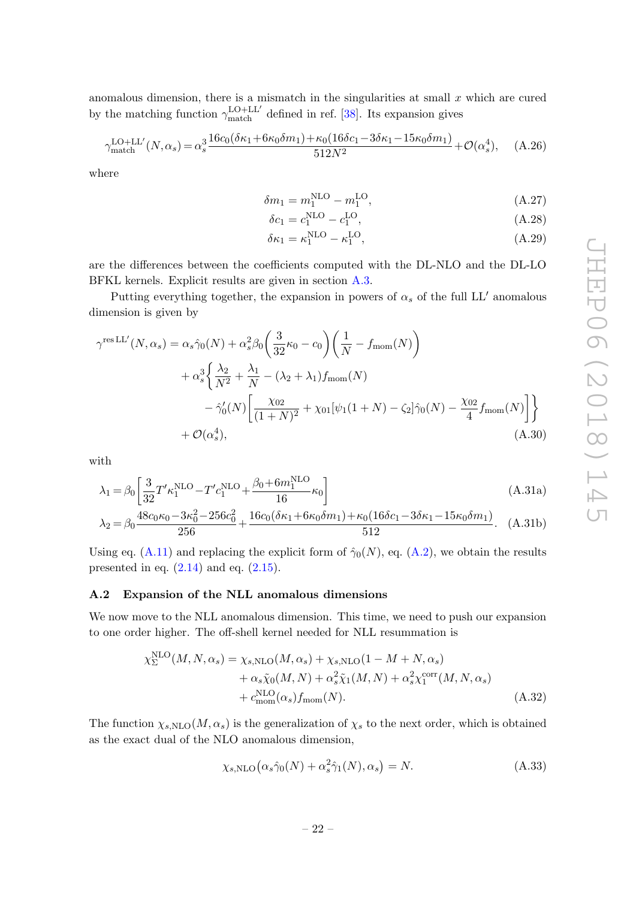anomalous dimension, there is a mismatch in the singularities at small  $x$  which are cured by the matching function  $\gamma_{\text{match}}^{\text{LO+LL'}}$  defined in ref. [\[38\]](#page-37-0). Its expansion gives

$$
\gamma_{\text{match}}^{\text{LO+LL}'}(N,\alpha_s) = \alpha_s^3 \frac{16c_0(\delta\kappa_1 + 6\kappa_0\delta m_1) + \kappa_0(16\delta c_1 - 3\delta\kappa_1 - 15\kappa_0\delta m_1)}{512N^2} + \mathcal{O}(\alpha_s^4), \quad (A.26)
$$

where

$$
\delta m_1 = m_1^{\text{NLO}} - m_1^{\text{LO}},\tag{A.27}
$$

$$
\delta c_1 = c_1^{\text{NLO}} - c_1^{\text{LO}},\tag{A.28}
$$

$$
\delta \kappa_1 = \kappa_1^{\text{NLO}} - \kappa_1^{\text{LO}},\tag{A.29}
$$

are the differences between the coefficients computed with the DL-NLO and the DL-LO BFKL kernels. Explicit results are given in section [A.3.](#page-29-0)

Putting everything together, the expansion in powers of  $\alpha_s$  of the full LL' anomalous dimension is given by

$$
\gamma^{\text{res LL}'}(N, \alpha_s) = \alpha_s \hat{\gamma}_0(N) + \alpha_s^2 \beta_0 \left(\frac{3}{32} \kappa_0 - c_0\right) \left(\frac{1}{N} - f_{\text{mom}}(N)\right) \n+ \alpha_s^3 \left\{\frac{\lambda_2}{N^2} + \frac{\lambda_1}{N} - (\lambda_2 + \lambda_1) f_{\text{mom}}(N) - \hat{\gamma}_0'(N) \left[\frac{\chi_{02}}{(1+N)^2} + \chi_{01} [\psi_1(1+N) - \zeta_2] \hat{\gamma}_0(N) - \frac{\chi_{02}}{4} f_{\text{mom}}(N) \right] \right\} \n+ \mathcal{O}(\alpha_s^4),
$$
\n(A.30)

with

$$
\lambda_1 = \beta_0 \left[ \frac{3}{32} T' \kappa_1^{\text{NLO}} - T' c_1^{\text{NLO}} + \frac{\beta_0 + 6m_1^{\text{NLO}}}{16} \kappa_0 \right]
$$
(A.31a)

$$
\lambda_2 = \beta_0 \frac{48c_0\kappa_0 - 3\kappa_0^2 - 256c_0^2}{256} + \frac{16c_0(\delta\kappa_1 + 6\kappa_0\delta m_1) + \kappa_0(16\delta c_1 - 3\delta\kappa_1 - 15\kappa_0\delta m_1)}{512}.
$$
 (A.31b)

Using eq. [\(A.11\)](#page-19-4) and replacing the explicit form of  $\hat{\gamma}_0(N)$ , eq. [\(A.2\)](#page-18-2), we obtain the results presented in eq.  $(2.14)$  and eq.  $(2.15)$ .

## <span id="page-22-0"></span>A.2 Expansion of the NLL anomalous dimensions

We now move to the NLL anomalous dimension. This time, we need to push our expansion to one order higher. The off-shell kernel needed for NLL resummation is

$$
\chi_{\Sigma}^{\text{NLO}}(M, N, \alpha_s) = \chi_{s, \text{NLO}}(M, \alpha_s) + \chi_{s, \text{NLO}}(1 - M + N, \alpha_s)
$$
  
+ 
$$
\alpha_s \tilde{\chi}_0(M, N) + \alpha_s^2 \tilde{\chi}_1(M, N) + \alpha_s^2 \chi_1^{\text{corr}}(M, N, \alpha_s)
$$
  
+ 
$$
c_{\text{mom}}^{\text{NLO}}(\alpha_s) f_{\text{mom}}(N). \tag{A.32}
$$

The function  $\chi_{s,\text{NLO}}(M,\alpha_s)$  is the generalization of  $\chi_s$  to the next order, which is obtained as the exact dual of the NLO anomalous dimension,

<span id="page-22-1"></span>
$$
\chi_{s,\text{NLO}}\left(\alpha_s \hat{\gamma}_0(N) + \alpha_s^2 \hat{\gamma}_1(N), \alpha_s\right) = N. \tag{A.33}
$$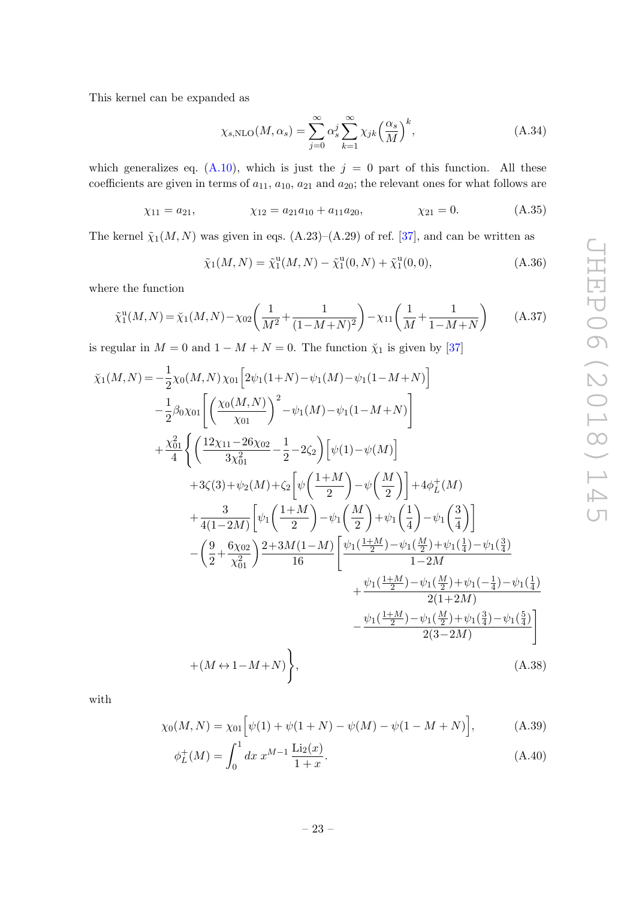This kernel can be expanded as

$$
\chi_{s,\text{NLO}}(M,\alpha_s) = \sum_{j=0}^{\infty} \alpha_s^j \sum_{k=1}^{\infty} \chi_{jk} \left(\frac{\alpha_s}{M}\right)^k, \tag{A.34}
$$

which generalizes eq.  $(A.10)$ , which is just the  $j = 0$  part of this function. All these coefficients are given in terms of  $a_{11}$ ,  $a_{10}$ ,  $a_{21}$  and  $a_{20}$ ; the relevant ones for what follows are

$$
\chi_{11} = a_{21},
$$
\n $\chi_{12} = a_{21}a_{10} + a_{11}a_{20},$ \n $\chi_{21} = 0.$ \n(A.35)

The kernel  $\tilde{\chi}_1(M, N)$  was given in eqs.  $(A.23)$ – $(A.29)$  of ref. [\[37\]](#page-36-9), and can be written as

$$
\tilde{\chi}_1(M, N) = \tilde{\chi}_1^{\rm u}(M, N) - \tilde{\chi}_1^{\rm u}(0, N) + \tilde{\chi}_1^{\rm u}(0, 0), \tag{A.36}
$$

where the function

$$
\tilde{\chi}_1^{\text{u}}(M,N) = \tilde{\chi}_1(M,N) - \chi_{02}\left(\frac{1}{M^2} + \frac{1}{(1-M+N)^2}\right) - \chi_{11}\left(\frac{1}{M} + \frac{1}{1-M+N}\right) \tag{A.37}
$$

is regular in  $M = 0$  and  $1 - M + N = 0$ . The function  $\tilde{\chi}_1$  is given by [\[37\]](#page-36-9)

$$
\tilde{\chi}_{1}(M,N) = -\frac{1}{2}\chi_{0}(M,N)\chi_{01}\left[2\psi_{1}(1+N)-\psi_{1}(M)-\psi_{1}(1-M+N)\right] \n- \frac{1}{2}\beta_{0}\chi_{01}\left[\left(\frac{\chi_{0}(M,N)}{\chi_{01}}\right)^{2}-\psi_{1}(M)-\psi_{1}(1-M+N)\right] \n+ \frac{\chi_{01}^{2}}{4}\left\{\left(\frac{12\chi_{11}-26\chi_{02}}{3\chi_{01}^{2}}-\frac{1}{2}-2\zeta_{2}\right)\left[\psi(1)-\psi(M)\right] \n+ 3\zeta(3)+\psi_{2}(M)+\zeta_{2}\left[\psi\left(\frac{1+M}{2}\right)-\psi\left(\frac{M}{2}\right)\right]+4\phi_{L}^{+}(M) \n+ \frac{3}{4(1-2M)}\left[\psi_{1}\left(\frac{1+M}{2}\right)-\psi_{1}\left(\frac{M}{2}\right)+\psi_{1}\left(\frac{1}{4}\right)-\psi_{1}\left(\frac{3}{4}\right)\right] \n- \left(\frac{9}{2}+\frac{6\chi_{02}}{\chi_{01}^{2}}\right)\frac{2+3M(1-M)}{16}\left[\frac{\psi_{1}(\frac{1+M}{2})-\psi_{1}(\frac{M}{2})+\psi_{1}(\frac{1}{4})-\psi_{1}(\frac{3}{4})}{1-2M} \n+ \frac{\psi_{1}(\frac{1+M}{2})-\psi_{1}(\frac{M}{2})+\psi_{1}(-\frac{1}{4})-\psi_{1}(\frac{1}{4})}{2(1+2M)} - \frac{\psi_{1}(\frac{1+M}{2})-\psi_{1}(\frac{M}{2})+\psi_{1}(\frac{3}{4})-\psi_{1}(\frac{5}{4})}{2(3-2M)}\right] \n+ (M \leftrightarrow 1-M+N)\bigg\}, \tag{A.38}
$$

with

$$
\chi_0(M, N) = \chi_{01} \left[ \psi(1) + \psi(1 + N) - \psi(M) - \psi(1 - M + N) \right],
$$
 (A.39)

<span id="page-23-1"></span><span id="page-23-0"></span>
$$
\phi_L^+(M) = \int_0^1 dx \ x^{M-1} \frac{\text{Li}_2(x)}{1+x}.
$$
\n(A.40)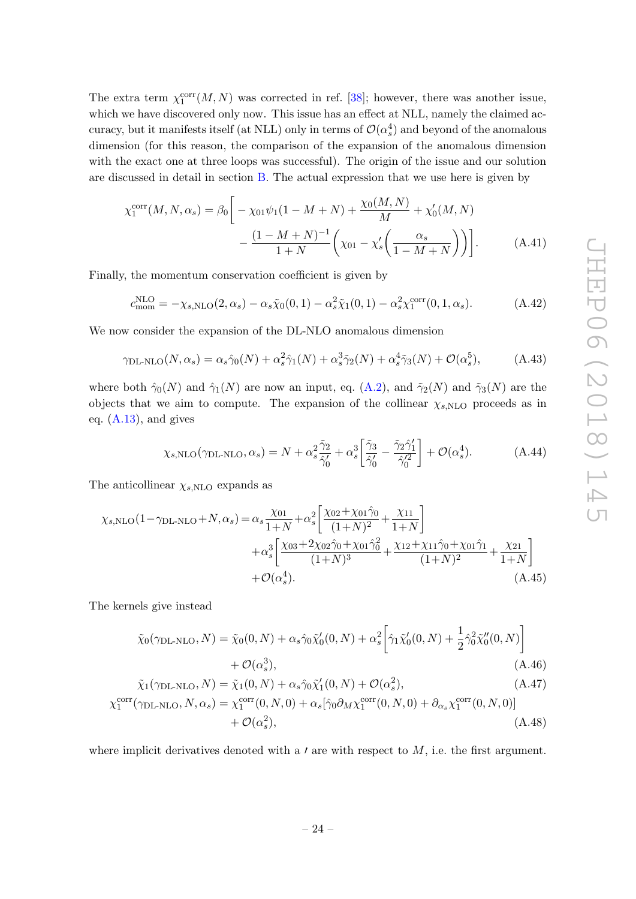The extra term  $\chi_1^{\text{corr}}(M, N)$  was corrected in ref. [\[38\]](#page-37-0); however, there was another issue, which we have discovered only now. This issue has an effect at NLL, namely the claimed accuracy, but it manifests itself (at NLL) only in terms of  $\mathcal{O}(\alpha_s^4)$  and beyond of the anomalous dimension (for this reason, the comparison of the expansion of the anomalous dimension with the exact one at three loops was successful). The origin of the issue and our solution are discussed in detail in section [B.](#page-32-0) The actual expression that we use here is given by

$$
\chi_1^{\text{corr}}(M, N, \alpha_s) = \beta_0 \left[ -\chi_{01} \psi_1 (1 - M + N) + \frac{\chi_0(M, N)}{M} + \chi'_0(M, N) - \frac{(1 - M + N)^{-1}}{1 + N} \left( \chi_{01} - \chi'_s \left( \frac{\alpha_s}{1 - M + N} \right) \right) \right].
$$
 (A.41)

Finally, the momentum conservation coefficient is given by

<span id="page-24-0"></span>
$$
c_{\text{mom}}^{\text{NLO}} = -\chi_{s,\text{NLO}}(2,\alpha_s) - \alpha_s \tilde{\chi}_0(0,1) - \alpha_s^2 \tilde{\chi}_1(0,1) - \alpha_s^2 \chi_1^{\text{corr}}(0,1,\alpha_s). \tag{A.42}
$$

We now consider the expansion of the DL-NLO anomalous dimension

$$
\gamma_{\text{DL-NLO}}(N,\alpha_s) = \alpha_s \hat{\gamma}_0(N) + \alpha_s^2 \hat{\gamma}_1(N) + \alpha_s^3 \tilde{\gamma}_2(N) + \alpha_s^4 \tilde{\gamma}_3(N) + \mathcal{O}(\alpha_s^5),\tag{A.43}
$$

where both  $\hat{\gamma}_0(N)$  and  $\hat{\gamma}_1(N)$  are now an input, eq. [\(A.2\)](#page-18-2), and  $\tilde{\gamma}_2(N)$  and  $\tilde{\gamma}_3(N)$  are the objects that we aim to compute. The expansion of the collinear  $\chi_{s,\text{NLO}}$  proceeds as in eq. [\(A.13\)](#page-19-6), and gives

$$
\chi_{s,\text{NLO}}(\gamma_{\text{DL-NLO}}, \alpha_s) = N + \alpha_s^2 \frac{\tilde{\gamma}_2}{\hat{\gamma}_0'} + \alpha_s^3 \left[ \frac{\tilde{\gamma}_3}{\hat{\gamma}_0'} - \frac{\tilde{\gamma}_2 \hat{\gamma}_1'}{\hat{\gamma}_0'^2} \right] + \mathcal{O}(\alpha_s^4). \tag{A.44}
$$

The anticollinear  $\chi_{s,\text{NLO}}$  expands as

$$
\chi_{s,\text{NLO}}(1-\gamma_{\text{DL-NLO}}+N,\alpha_s) = \alpha_s \frac{\chi_{01}}{1+N} + \alpha_s^2 \left[ \frac{\chi_{02} + \chi_{01}\hat{\gamma}_0}{(1+N)^2} + \frac{\chi_{11}}{1+N} \right] + \alpha_s^3 \left[ \frac{\chi_{03} + 2\chi_{02}\hat{\gamma}_0 + \chi_{01}\hat{\gamma}_0^2}{(1+N)^3} + \frac{\chi_{12} + \chi_{11}\hat{\gamma}_0 + \chi_{01}\hat{\gamma}_1}{(1+N)^2} + \frac{\chi_{21}}{1+N} \right] + \mathcal{O}(\alpha_s^4).
$$
 (A.45)

The kernels give instead

$$
\tilde{\chi}_0(\gamma_{\text{DL-NLO}}, N) = \tilde{\chi}_0(0, N) + \alpha_s \hat{\gamma}_0 \tilde{\chi}'_0(0, N) + \alpha_s^2 \left[ \hat{\gamma}_1 \tilde{\chi}'_0(0, N) + \frac{1}{2} \hat{\gamma}_0^2 \tilde{\chi}''_0(0, N) \right] + \mathcal{O}(\alpha_s^3),
$$
\n(A.46)

$$
\tilde{\chi}_1(\gamma_{\text{DL-NLO}}, N) = \tilde{\chi}_1(0, N) + \alpha_s \hat{\gamma}_0 \tilde{\chi}_1'(0, N) + \mathcal{O}(\alpha_s^2),
$$
\n
$$
\chi_1^{\text{corr}}(\gamma_{\text{DL-NLO}}, N, \alpha_s) = \chi_1^{\text{corr}}(0, N, 0) + \alpha_s [\hat{\gamma}_0 \partial_M \chi_1^{\text{corr}}(0, N, 0) + \partial_{\alpha_s} \chi_1^{\text{corr}}(0, N, 0)]
$$
\n
$$
+ \mathcal{O}(\alpha_s^2),
$$
\n(A.48)

where implicit derivatives denoted with a  $\prime$  are with respect to  $M$ , i.e. the first argument.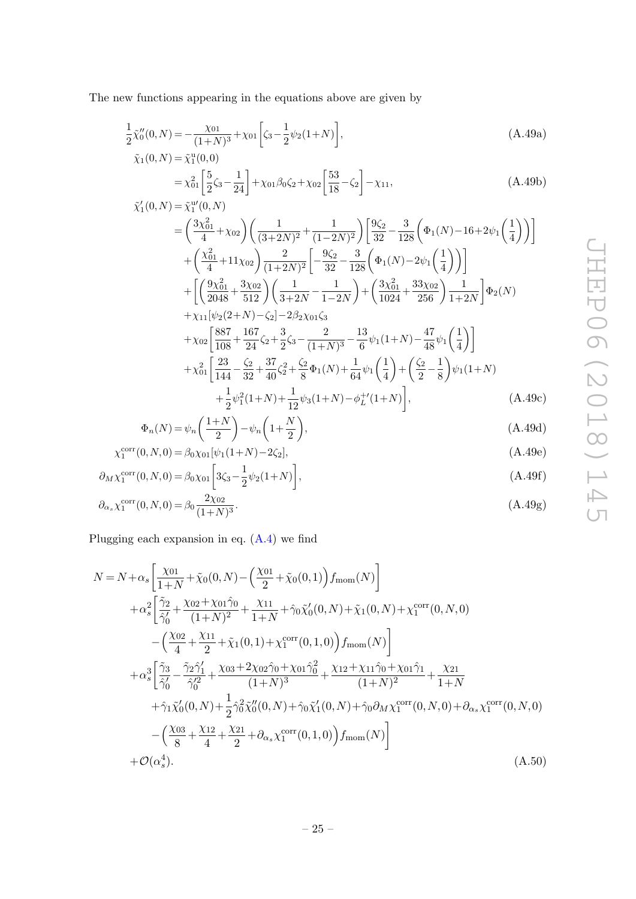<span id="page-25-0"></span>The new functions appearing in the equations above are given by

$$
\frac{1}{2}\tilde{\chi}_0''(0,N) = -\frac{\chi_{01}}{(1+N)^3} + \chi_{01}\left[\zeta_3 - \frac{1}{2}\psi_2(1+N)\right],\tag{A.49a}
$$

$$
\tilde{\chi}_1(0, N) = \tilde{\chi}_1^{\mathrm{u}}(0, 0)
$$
\n
$$
= \chi_{01}^2 \left[ \frac{5}{2} \zeta_3 - \frac{1}{24} \right] + \chi_{01} \beta_0 \zeta_2 + \chi_{02} \left[ \frac{53}{18} - \zeta_2 \right] - \chi_{11},
$$
\n(A.49b)\n
$$
\tilde{\chi}_1'(0, N) = \tilde{\chi}_1^{\mathrm{u}}(0, N)
$$

$$
= \left(\frac{3\chi_{01}^2}{4} + \chi_{02}\right) \left(\frac{1}{(3+2N)^2} + \frac{1}{(1-2N)^2}\right) \left[\frac{9\zeta_2}{32} - \frac{3}{128}\left(\Phi_1(N) - 16 + 2\psi_1\left(\frac{1}{4}\right)\right)\right] + \left(\frac{\chi_{01}^2}{4} + 11\chi_{02}\right) \frac{2}{(1+2N)^2} \left[-\frac{9\zeta_2}{32} - \frac{3}{128}\left(\Phi_1(N) - 2\psi_1\left(\frac{1}{4}\right)\right)\right] + \left[\left(\frac{9\chi_{01}^2}{2048} + \frac{3\chi_{02}}{512}\right)\left(\frac{1}{3+2N} - \frac{1}{1-2N}\right) + \left(\frac{3\chi_{01}^2}{1024} + \frac{33\chi_{02}}{256}\right) \frac{1}{1+2N}\right] \Phi_2(N) + \chi_{11}[\psi_2(2+N) - \zeta_2] - 2\beta_2\chi_{01}\zeta_3 + \chi_{02} \left[\frac{887}{108} + \frac{167}{24}\zeta_2 + \frac{3}{2}\zeta_3 - \frac{2}{(1+N)^3} - \frac{13}{6}\psi_1(1+N) - \frac{47}{48}\psi_1\left(\frac{1}{4}\right)\right] + \chi_{01}^2 \left[\frac{23}{144} - \frac{\zeta_2}{32} + \frac{37}{40}\zeta_2^2 + \frac{\zeta_2}{8}\Phi_1(N) + \frac{1}{64}\psi_1\left(\frac{1}{4}\right) + \left(\frac{\zeta_2}{2} - \frac{1}{8}\right)\psi_1(1+N)\right]
$$

$$
+\frac{1}{2}\psi_1^2(1+N)+\frac{1}{12}\psi_3(1+N)-\phi_L^{+\prime}(1+N)\bigg],\tag{A.49c}
$$

$$
\Phi_n(N) = \psi_n\left(\frac{1+N}{2}\right) - \psi_n\left(1+\frac{N}{2}\right),\tag{A.49d}
$$

$$
\chi_1^{\text{corr}}(0, N, 0) = \beta_0 \chi_{01} [\psi_1(1+N) - 2\zeta_2], \tag{A.49e}
$$

$$
\partial_M \chi_1^{\text{corr}}(0, N, 0) = \beta_0 \chi_{01} \left[ 3\zeta_3 - \frac{1}{2} \psi_2 (1 + N) \right],\tag{A.49f}
$$

$$
\partial_{\alpha_s} \chi_1^{\text{corr}}(0, N, 0) = \beta_0 \frac{2\chi_{02}}{(1+N)^3}.
$$
\n(A.49g)

Plugging each expansion in eq. [\(A.4\)](#page-18-3) we find

$$
N = N + \alpha_s \left[ \frac{\chi_{01}}{1+N} + \tilde{\chi}_0(0,N) - \left( \frac{\chi_{01}}{2} + \tilde{\chi}_0(0,1) \right) f_{\text{mom}}(N) \right] + \alpha_s^2 \left[ \frac{\tilde{\gamma}_2}{\tilde{\gamma}_0'} + \frac{\chi_{02} + \chi_{01}\hat{\gamma}_0}{(1+N)^2} + \frac{\chi_{11}}{1+N} + \hat{\gamma}_0 \tilde{\chi}_0'(0,N) + \tilde{\chi}_1(0,N) + \chi_1^{\text{corr}}(0,N,0) \right. \\ - \left( \frac{\chi_{02}}{4} + \frac{\chi_{11}}{2} + \tilde{\chi}_1(0,1) + \chi_1^{\text{corr}}(0,1,0) \right) f_{\text{mom}}(N) \right] + \alpha_s^3 \left[ \frac{\tilde{\gamma}_3}{\tilde{\gamma}_0'} - \frac{\tilde{\gamma}_2 \hat{\gamma}_1'}{\hat{\gamma}_0'^2} + \frac{\chi_{03} + 2\chi_{02}\hat{\gamma}_0 + \chi_{01}\hat{\gamma}_0^2}{(1+N)^3} + \frac{\chi_{12} + \chi_{11}\hat{\gamma}_0 + \chi_{01}\hat{\gamma}_1}{(1+N)^2} + \frac{\chi_{21}}{1+N} \right. \\ \left. + \hat{\gamma}_1 \tilde{\chi}_0'(0,N) + \frac{1}{2} \hat{\gamma}_0^2 \tilde{\chi}_0''(0,N) + \hat{\gamma}_0 \tilde{\chi}_1'(0,N) + \hat{\gamma}_0 \partial_M \chi_1^{\text{corr}}(0,N,0) + \partial_{\alpha_s} \chi_1^{\text{corr}}(0,N,0) \right. \\ - \left( \frac{\chi_{03}}{8} + \frac{\chi_{12}}{4} + \frac{\chi_{21}}{2} + \partial_{\alpha_s} \chi_1^{\text{corr}}(0,1,0) \right) f_{\text{mom}}(N) \right] + \mathcal{O}(\alpha_s^4).
$$
 (A.50)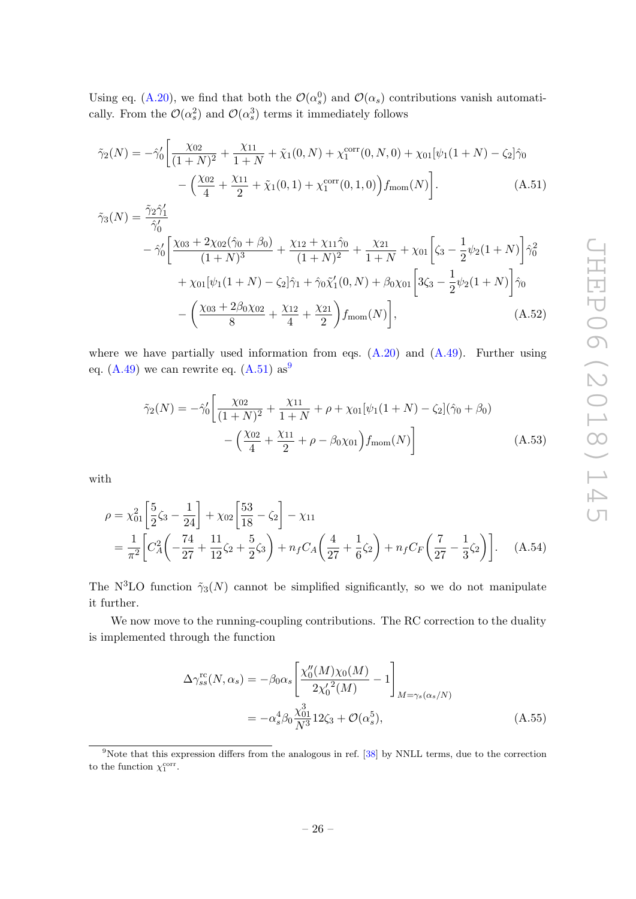Using eq. [\(A.20\)](#page-20-0), we find that both the  $\mathcal{O}(\alpha_s^0)$  and  $\mathcal{O}(\alpha_s)$  contributions vanish automatically. From the  $\mathcal{O}(\alpha_s^2)$  and  $\mathcal{O}(\alpha_s^3)$  terms it immediately follows

<span id="page-26-0"></span>
$$
\tilde{\gamma}_2(N) = -\hat{\gamma}_0' \bigg[ \frac{\chi_{02}}{(1+N)^2} + \frac{\chi_{11}}{1+N} + \tilde{\chi}_1(0,N) + \chi_1^{\text{corr}}(0,N,0) + \chi_{01}[\psi_1(1+N) - \zeta_2]\hat{\gamma}_0 - \Big(\frac{\chi_{02}}{4} + \frac{\chi_{11}}{2} + \tilde{\chi}_1(0,1) + \chi_1^{\text{corr}}(0,1,0)\Big) f_{\text{mom}}(N) \bigg].
$$
\n(A.51)

$$
\tilde{\gamma}_{3}(N) = \frac{\tilde{\gamma}_{2}\hat{\gamma}_{1}'}{\hat{\gamma}_{0}'} \n- \hat{\gamma}_{0}' \bigg[ \frac{\chi_{03} + 2\chi_{02}(\hat{\gamma}_{0} + \beta_{0})}{(1+N)^{3}} + \frac{\chi_{12} + \chi_{11}\hat{\gamma}_{0}}{(1+N)^{2}} + \frac{\chi_{21}}{1+N} + \chi_{01} \bigg[ \zeta_{3} - \frac{1}{2}\psi_{2}(1+N) \bigg] \hat{\gamma}_{0}^{2} \n+ \chi_{01}[\psi_{1}(1+N) - \zeta_{2}]\hat{\gamma}_{1} + \hat{\gamma}_{0}\tilde{\chi}_{1}'(0,N) + \beta_{0}\chi_{01} \bigg[ 3\zeta_{3} - \frac{1}{2}\psi_{2}(1+N) \bigg] \hat{\gamma}_{0} \n- \bigg( \frac{\chi_{03} + 2\beta_{0}\chi_{02}}{8} + \frac{\chi_{12}}{4} + \frac{\chi_{21}}{2} \bigg) f_{\text{mom}}(N) \bigg],
$$
\n(A.52)

where we have partially used information from eqs.  $(A.20)$  and  $(A.49)$ . Further using eq.  $(A.49)$  $(A.49)$  $(A.49)$  we can rewrite eq.  $(A.51)$  as<sup>9</sup>

$$
\tilde{\gamma}_2(N) = -\hat{\gamma}_0' \left[ \frac{\chi_{02}}{(1+N)^2} + \frac{\chi_{11}}{1+N} + \rho + \chi_{01} [\psi_1(1+N) - \zeta_2] (\hat{\gamma}_0 + \beta_0) - \left( \frac{\chi_{02}}{4} + \frac{\chi_{11}}{2} + \rho - \beta_0 \chi_{01} \right) f_{\text{mom}}(N) \right]
$$
\n(A.53)

with

$$
\rho = \chi_{01}^2 \left[ \frac{5}{2} \zeta_3 - \frac{1}{24} \right] + \chi_{02} \left[ \frac{53}{18} - \zeta_2 \right] - \chi_{11}
$$
  
=  $\frac{1}{\pi^2} \left[ C_A^2 \left( -\frac{74}{27} + \frac{11}{12} \zeta_2 + \frac{5}{2} \zeta_3 \right) + n_f C_A \left( \frac{4}{27} + \frac{1}{6} \zeta_2 \right) + n_f C_F \left( \frac{7}{27} - \frac{1}{3} \zeta_2 \right) \right].$  (A.54)

The N<sup>3</sup>LO function  $\tilde{\gamma}_3(N)$  cannot be simplified significantly, so we do not manipulate it further.

We now move to the running-coupling contributions. The RC correction to the duality is implemented through the function

<span id="page-26-2"></span>
$$
\Delta \gamma_{ss}^{\text{rc}}(N, \alpha_s) = -\beta_0 \alpha_s \left[ \frac{\chi_0''(M)\chi_0(M)}{2{\chi_0'}^2(M)} - 1 \right]_{M = \gamma_s(\alpha_s/N)}
$$
  
= 
$$
-\alpha_s^4 \beta_0 \frac{\chi_{01}^3}{N^3} 12\zeta_3 + \mathcal{O}(\alpha_s^5),
$$
 (A.55)

<span id="page-26-1"></span><sup>&</sup>lt;sup>9</sup>Note that this expression differs from the analogous in ref. [\[38\]](#page-37-0) by NNLL terms, due to the correction to the function  $\chi_1^{\text{corr}}$ .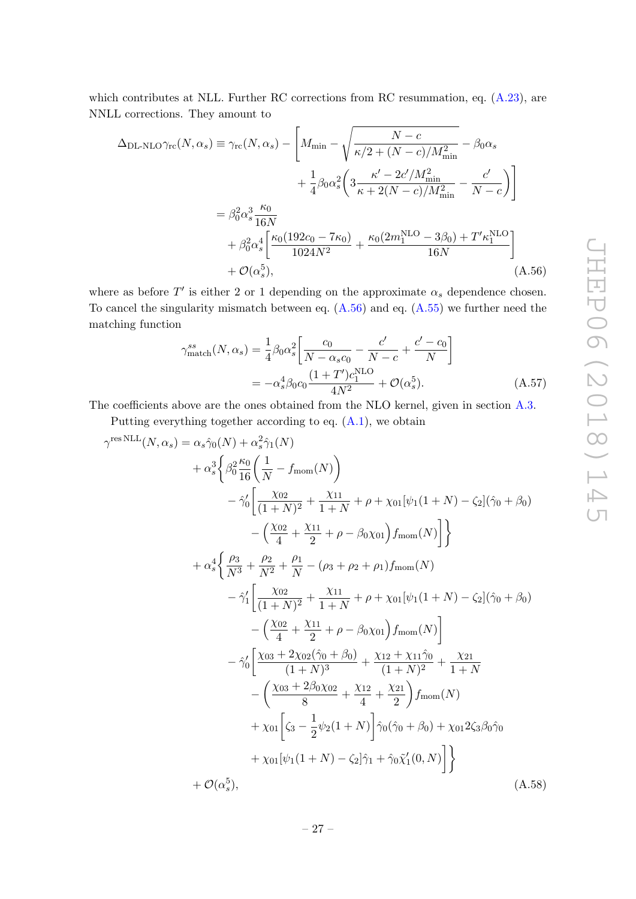which contributes at NLL. Further RC corrections from RC resummation, eq.  $(A.23)$ , are NNLL corrections. They amount to

$$
\Delta_{\text{DL-NLO}}\gamma_{\text{rc}}(N,\alpha_{s}) \equiv \gamma_{\text{rc}}(N,\alpha_{s}) - \left[M_{\text{min}} - \sqrt{\frac{N-c}{\kappa/2 + (N-c)/M_{\text{min}}^{2}}} - \beta_{0}\alpha_{s} + \frac{1}{4}\beta_{0}\alpha_{s}^{2}\left(3\frac{\kappa' - 2c'/M_{\text{min}}^{2}}{\kappa + 2(N-c)/M_{\text{min}}^{2}} - \frac{c'}{N-c}\right)\right]
$$

$$
= \beta_{0}^{2}\alpha_{s}^{3}\frac{\kappa_{0}}{16N}
$$

$$
+ \beta_{0}^{2}\alpha_{s}^{4}\left[\frac{\kappa_{0}(192c_{0} - 7\kappa_{0})}{1024N^{2}} + \frac{\kappa_{0}(2m_{1}^{\text{NLO}} - 3\beta_{0}) + T'\kappa_{1}^{\text{NLO}}}{16N}\right]
$$

$$
+ \mathcal{O}(\alpha_{s}^{5}), \qquad (A.56)
$$

where as before  $T'$  is either 2 or 1 depending on the approximate  $\alpha_s$  dependence chosen. To cancel the singularity mismatch between eq.  $(A.56)$  and eq.  $(A.55)$  we further need the matching function

<span id="page-27-0"></span>
$$
\gamma_{\text{match}}^{ss}(N, \alpha_s) = \frac{1}{4} \beta_0 \alpha_s^2 \left[ \frac{c_0}{N - \alpha_s c_0} - \frac{c'}{N - c} + \frac{c' - c_0}{N} \right]
$$

$$
= -\alpha_s^4 \beta_0 c_0 \frac{(1 + T')c_1^{\text{NLO}}}{4N^2} + \mathcal{O}(\alpha_s^5). \tag{A.57}
$$

The coefficients above are the ones obtained from the NLO kernel, given in section [A.3.](#page-29-0)

Putting everything together according to eq. [\(A.1\)](#page-17-1), we obtain

<span id="page-27-1"></span>
$$
\gamma^{\text{res NLL}}(N, \alpha_s) = \alpha_s \hat{\gamma}_0(N) + \alpha_s^2 \hat{\gamma}_1(N)
$$
  
+  $\alpha_s^3 \left\{ \beta_0^2 \frac{\kappa_0}{16} \left( \frac{1}{N} - f_{\text{mom}}(N) \right) - \hat{\gamma}_0' \left[ \frac{\chi_{02}}{(1+N)^2} + \frac{\chi_{11}}{1+N} + \rho + \chi_{01} [\psi_1(1+N) - \zeta_2] (\hat{\gamma}_0 + \beta_0) - \left( \frac{\chi_{02}}{4} + \frac{\chi_{11}}{2} + \rho - \beta_0 \chi_{01} \right) f_{\text{mom}}(N) \right] \right\}$   
+  $\alpha_s^4 \left\{ \frac{\rho_3}{N^3} + \frac{\rho_2}{N^2} + \frac{\rho_1}{N} - (\rho_3 + \rho_2 + \rho_1) f_{\text{mom}}(N) - \hat{\gamma}_1' \left[ \frac{\chi_{02}}{(1+N)^2} + \frac{\chi_{11}}{1+N} + \rho + \chi_{01} [\psi_1(1+N) - \zeta_2] (\hat{\gamma}_0 + \beta_0) - \left( \frac{\chi_{02}}{4} + \frac{\chi_{11}}{2} + \rho - \beta_0 \chi_{01} \right) f_{\text{mom}}(N) \right] - \hat{\gamma}_0' \left[ \frac{\chi_{03} + 2 \chi_{02} (\hat{\gamma}_0 + \beta_0)}{(1+N)^3} + \frac{\chi_{12} + \chi_{11} \hat{\gamma}_0}{(1+N)^2} + \frac{\chi_{21}}{1+N} - \left( \frac{\chi_{03} + 2 \beta_0 \chi_{02}}{8} + \frac{\chi_{12}}{4} + \frac{\chi_{21}}{2} \right) f_{\text{mom}}(N) + \chi_{01} \left[ \zeta_3 - \frac{1}{2} \psi_2(1+N) \right] \hat{\gamma}_0(\hat{\gamma}_0 + \beta_0) + \chi_{01} 2 \zeta_3 \beta_0 \hat{\gamma}_0 + \chi_{01} [\psi_1(1+N) - \zeta_2] \hat{\gamma}_1 + \hat{\gamma}_0 \tilde{\chi}_1'(0,N) \right] \right\}$   
+  $\mathcal{O}(\alpha_s^5)$ , (A.58)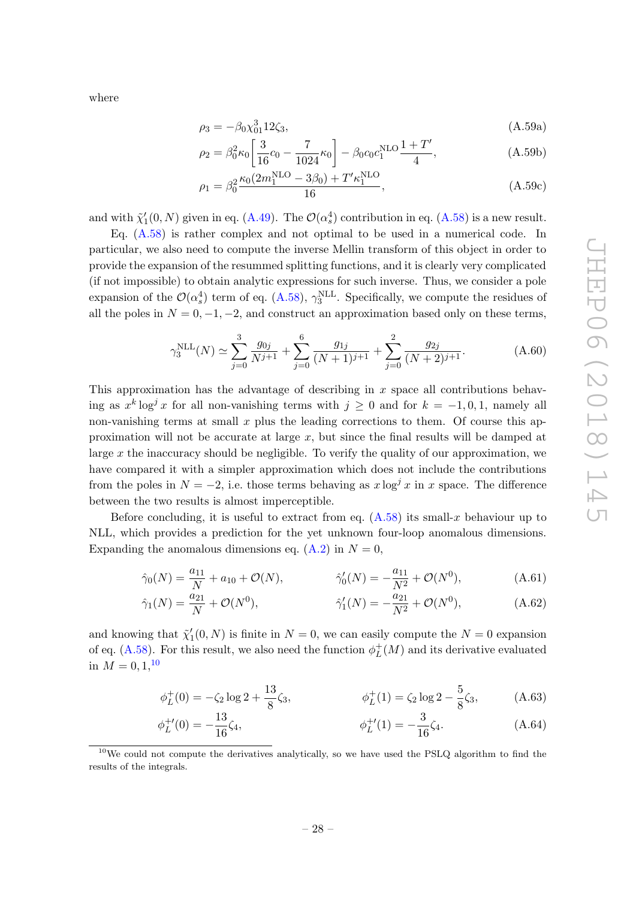where

$$
\rho_3 = -\beta_0 \chi_{01}^3 12 \zeta_3,\tag{A.59a}
$$

$$
\rho_2 = \beta_0^2 \kappa_0 \left[ \frac{3}{16} c_0 - \frac{7}{1024} \kappa_0 \right] - \beta_0 c_0 c_1^{\text{NLO}} \frac{1+T'}{4},\tag{A.59b}
$$

$$
\rho_1 = \beta_0^2 \frac{\kappa_0 (2m_1^{\text{NLO}} - 3\beta_0) + T' \kappa_1^{\text{NLO}}}{16},\tag{A.59c}
$$

and with  $\tilde{\chi}'_1(0,N)$  given in eq. [\(A.49\)](#page-25-0). The  $\mathcal{O}(\alpha_s^4)$  contribution in eq. [\(A.58\)](#page-27-1) is a new result.

Eq. [\(A.58\)](#page-27-1) is rather complex and not optimal to be used in a numerical code. In particular, we also need to compute the inverse Mellin transform of this object in order to provide the expansion of the resummed splitting functions, and it is clearly very complicated (if not impossible) to obtain analytic expressions for such inverse. Thus, we consider a pole expansion of the  $\mathcal{O}(\alpha_s^4)$  term of eq. [\(A.58\)](#page-27-1),  $\gamma_3^{\text{NLL}}$ . Specifically, we compute the residues of all the poles in  $N = 0, -1, -2$ , and construct an approximation based only on these terms,

$$
\gamma_3^{\text{NLL}}(N) \simeq \sum_{j=0}^3 \frac{g_{0j}}{N^{j+1}} + \sum_{j=0}^6 \frac{g_{1j}}{(N+1)^{j+1}} + \sum_{j=0}^2 \frac{g_{2j}}{(N+2)^{j+1}}.
$$
 (A.60)

This approximation has the advantage of describing in  $x$  space all contributions behaving as  $x^k \log^j x$  for all non-vanishing terms with  $j \geq 0$  and for  $k = -1, 0, 1$ , namely all non-vanishing terms at small  $x$  plus the leading corrections to them. Of course this approximation will not be accurate at large  $x$ , but since the final results will be damped at large  $x$  the inaccuracy should be negligible. To verify the quality of our approximation, we have compared it with a simpler approximation which does not include the contributions from the poles in  $N = -2$ , i.e. those terms behaving as  $x \log^{j} x$  in x space. The difference between the two results is almost imperceptible.

Before concluding, it is useful to extract from eq. [\(A.58\)](#page-27-1) its small-x behaviour up to NLL, which provides a prediction for the yet unknown four-loop anomalous dimensions. Expanding the anomalous dimensions eq.  $(A.2)$  in  $N = 0$ ,

$$
\hat{\gamma}_0(N) = \frac{a_{11}}{N} + a_{10} + \mathcal{O}(N), \qquad \hat{\gamma}'_0(N) = -\frac{a_{11}}{N^2} + \mathcal{O}(N^0), \tag{A.61}
$$

$$
\hat{\gamma}_1(N) = \frac{a_{21}}{N} + \mathcal{O}(N^0), \qquad \hat{\gamma}_1'(N) = -\frac{a_{21}}{N^2} + \mathcal{O}(N^0), \qquad (A.62)
$$

and knowing that  $\tilde{\chi}'_1(0,N)$  is finite in  $N=0$ , we can easily compute the  $N=0$  expansion of eq. [\(A.58\)](#page-27-1). For this result, we also need the function  $\phi_L^+$  $L^+(M)$  and its derivative evaluated in  $M = 0, 1, 10$  $M = 0, 1, 10$ 

$$
\phi_L^+(0) = -\zeta_2 \log 2 + \frac{13}{8} \zeta_3, \qquad \phi_L^+(1) = \zeta_2 \log 2 - \frac{5}{8} \zeta_3, \qquad (A.63)
$$

$$
\phi_L^{+'}(0) = -\frac{13}{16}\zeta_4, \qquad \phi_L^{+'}(1) = -\frac{3}{16}\zeta_4. \tag{A.64}
$$

<span id="page-28-0"></span><sup>10</sup>We could not compute the derivatives analytically, so we have used the PSLQ algorithm to find the results of the integrals.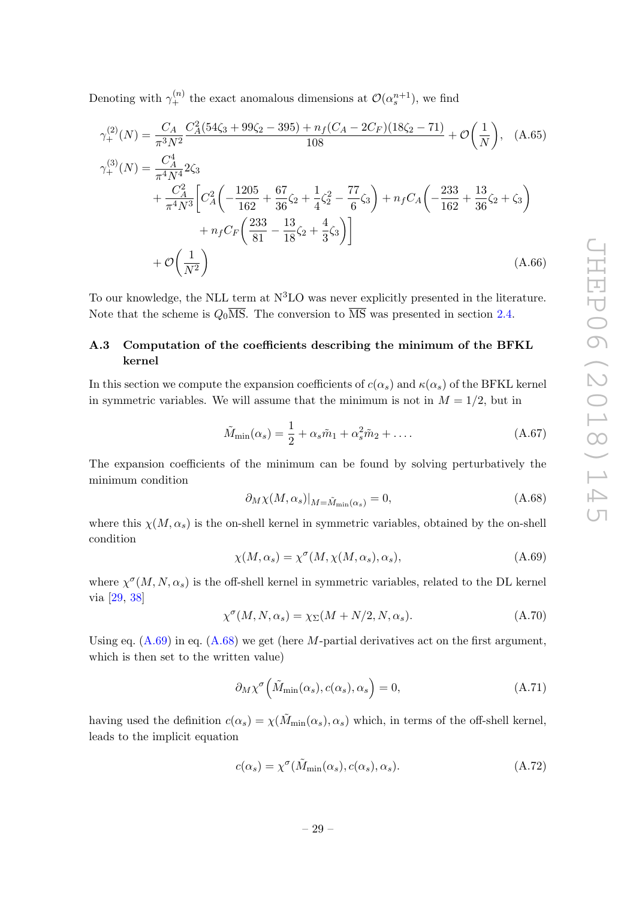Denoting with  $\gamma_+^{(n)}$  the exact anomalous dimensions at  $\mathcal{O}(\alpha_s^{n+1})$ , we find

$$
\gamma_{+}^{(2)}(N) = \frac{C_A}{\pi^3 N^2} \frac{C_A^2 (54\zeta_3 + 99\zeta_2 - 395) + n_f (C_A - 2C_F)(18\zeta_2 - 71)}{108} + \mathcal{O}\left(\frac{1}{N}\right), \quad \text{(A.65)}
$$
  
\n
$$
\gamma_{+}^{(3)}(N) = \frac{C_A^4}{\pi^4 N^4} 2\zeta_3
$$
  
\n
$$
+ \frac{C_A^2}{\pi^4 N^3} \left[ C_A^2 \left( -\frac{1205}{162} + \frac{67}{36} \zeta_2 + \frac{1}{4} \zeta_2^2 - \frac{77}{6} \zeta_3 \right) + n_f C_A \left( -\frac{233}{162} + \frac{13}{36} \zeta_2 + \zeta_3 \right) + n_f C_F \left( \frac{233}{81} - \frac{13}{18} \zeta_2 + \frac{4}{3} \zeta_3 \right) \right]
$$
  
\n
$$
+ \mathcal{O}\left(\frac{1}{N^2}\right) \qquad \qquad \text{(A.66)}
$$

To our knowledge, the NLL term at  $N<sup>3</sup>LO$  was never explicitly presented in the literature. Note that the scheme is  $Q_0\overline{\text{MS}}$ . The conversion to  $\overline{\text{MS}}$  was presented in section [2.4.](#page-10-0)

## <span id="page-29-0"></span>A.3 Computation of the coefficients describing the minimum of the BFKL kernel

In this section we compute the expansion coefficients of  $c(\alpha_s)$  and  $\kappa(\alpha_s)$  of the BFKL kernel in symmetric variables. We will assume that the minimum is not in  $M = 1/2$ , but in

<span id="page-29-5"></span>
$$
\tilde{M}_{\min}(\alpha_s) = \frac{1}{2} + \alpha_s \tilde{m}_1 + \alpha_s^2 \tilde{m}_2 + \dots
$$
\n(A.67)

The expansion coefficients of the minimum can be found by solving perturbatively the minimum condition

<span id="page-29-2"></span>
$$
\partial_M \chi(M, \alpha_s)|_{M = \tilde{M}_{\text{min}}(\alpha_s)} = 0,\tag{A.68}
$$

where this  $\chi(M, \alpha_s)$  is the on-shell kernel in symmetric variables, obtained by the on-shell condition

<span id="page-29-1"></span>
$$
\chi(M, \alpha_s) = \chi^{\sigma}(M, \chi(M, \alpha_s), \alpha_s), \tag{A.69}
$$

where  $\chi^{\sigma}(M, N, \alpha_s)$  is the off-shell kernel in symmetric variables, related to the DL kernel via [\[29,](#page-36-10) [38\]](#page-37-0)

$$
\chi^{\sigma}(M, N, \alpha_s) = \chi_{\Sigma}(M + N/2, N, \alpha_s). \tag{A.70}
$$

Using eq.  $(A.69)$  in eq.  $(A.68)$  we get (here M-partial derivatives act on the first argument, which is then set to the written value)

<span id="page-29-3"></span>
$$
\partial_M \chi^{\sigma} \left( \tilde{M}_{\min}(\alpha_s), c(\alpha_s), \alpha_s \right) = 0, \tag{A.71}
$$

having used the definition  $c(\alpha_s) = \chi(\tilde{M}_{\text{min}}(\alpha_s), \alpha_s)$  which, in terms of the off-shell kernel, leads to the implicit equation

<span id="page-29-4"></span>
$$
c(\alpha_s) = \chi^{\sigma}(\tilde{M}_{\min}(\alpha_s), c(\alpha_s), \alpha_s). \tag{A.72}
$$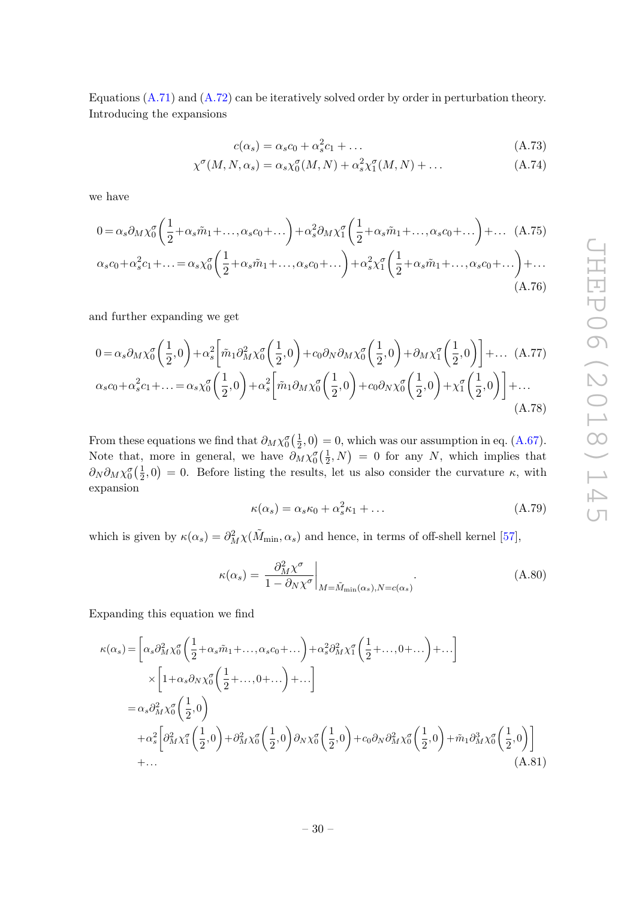Equations [\(A.71\)](#page-29-3) and [\(A.72\)](#page-29-4) can be iteratively solved order by order in perturbation theory. Introducing the expansions

$$
c(\alpha_s) = \alpha_s c_0 + \alpha_s^2 c_1 + \dots \tag{A.73}
$$

$$
\chi^{\sigma}(M, N, \alpha_s) = \alpha_s \chi_0^{\sigma}(M, N) + \alpha_s^2 \chi_1^{\sigma}(M, N) + \dots
$$
 (A.74)

we have

$$
0 = \alpha_s \partial_M \chi_0^{\sigma} \left( \frac{1}{2} + \alpha_s \tilde{m}_1 + \dots, \alpha_s c_0 + \dots \right) + \alpha_s^2 \partial_M \chi_1^{\sigma} \left( \frac{1}{2} + \alpha_s \tilde{m}_1 + \dots, \alpha_s c_0 + \dots \right) + \dots (A.75)
$$
  

$$
\alpha_s c_0 + \alpha_s^2 c_1 + \dots = \alpha_s \chi_0^{\sigma} \left( \frac{1}{2} + \alpha_s \tilde{m}_1 + \dots, \alpha_s c_0 + \dots \right) + \alpha_s^2 \chi_1^{\sigma} \left( \frac{1}{2} + \alpha_s \tilde{m}_1 + \dots, \alpha_s c_0 + \dots \right) + \dots (A.76)
$$

and further expanding we get

$$
0 = \alpha_s \partial_M \chi_0^{\sigma} \left( \frac{1}{2}, 0 \right) + \alpha_s^2 \left[ \tilde{m}_1 \partial_M^2 \chi_0^{\sigma} \left( \frac{1}{2}, 0 \right) + c_0 \partial_N \partial_M \chi_0^{\sigma} \left( \frac{1}{2}, 0 \right) + \partial_M \chi_1^{\sigma} \left( \frac{1}{2}, 0 \right) \right] + \dots (A.77)
$$
  

$$
\alpha_s c_0 + \alpha_s^2 c_1 + \dots = \alpha_s \chi_0^{\sigma} \left( \frac{1}{2}, 0 \right) + \alpha_s^2 \left[ \tilde{m}_1 \partial_M \chi_0^{\sigma} \left( \frac{1}{2}, 0 \right) + c_0 \partial_N \chi_0^{\sigma} \left( \frac{1}{2}, 0 \right) + \chi_1^{\sigma} \left( \frac{1}{2}, 0 \right) \right] + \dots (A.78)
$$

From these equations we find that  $\partial_M \chi_0^{\sigma}(\frac{1}{2})$  $(\frac{1}{2}, 0) = 0$ , which was our assumption in eq. [\(A.67\)](#page-29-5). Note that, more in general, we have  $\partial_M \chi_0^{\sigma}(\frac{1}{2})$  $(\frac{1}{2}, N) = 0$  for any N, which implies that  $\partial_N \partial_M \chi_0^{\sigma}\big(\frac{1}{2}$  $(\frac{1}{2},0) = 0$ . Before listing the results, let us also consider the curvature  $\kappa$ , with expansion

$$
\kappa(\alpha_s) = \alpha_s \kappa_0 + \alpha_s^2 \kappa_1 + \dots \tag{A.79}
$$

which is given by  $\kappa(\alpha_s) = \partial_M^2 \chi(\tilde{M}_{\text{min}}, \alpha_s)$  and hence, in terms of off-shell kernel [\[57\]](#page-37-15),

$$
\kappa(\alpha_s) = \left. \frac{\partial_M^2 \chi^{\sigma}}{1 - \partial_N \chi^{\sigma}} \right|_{M = \tilde{M}_{\min}(\alpha_s), N = c(\alpha_s)}.
$$
\n(A.80)

Expanding this equation we find

$$
\kappa(\alpha_s) = \left[ \alpha_s \partial_M^2 \chi_0^{\sigma} \left( \frac{1}{2} + \alpha_s \tilde{m}_1 + \dots, \alpha_s c_0 + \dots \right) + \alpha_s^2 \partial_M^2 \chi_1^{\sigma} \left( \frac{1}{2} + \dots, 0 + \dots \right) + \dots \right] \times \left[ 1 + \alpha_s \partial_N \chi_0^{\sigma} \left( \frac{1}{2} + \dots, 0 + \dots \right) + \dots \right]
$$
  
\n
$$
= \alpha_s \partial_M^2 \chi_0^{\sigma} \left( \frac{1}{2}, 0 \right)
$$
  
\n
$$
+ \alpha_s^2 \left[ \partial_M^2 \chi_1^{\sigma} \left( \frac{1}{2}, 0 \right) + \partial_M^2 \chi_0^{\sigma} \left( \frac{1}{2}, 0 \right) \partial_N \chi_0^{\sigma} \left( \frac{1}{2}, 0 \right) + c_0 \partial_N \partial_M^2 \chi_0^{\sigma} \left( \frac{1}{2}, 0 \right) + \tilde{m}_1 \partial_M^3 \chi_0^{\sigma} \left( \frac{1}{2}, 0 \right) \right]
$$
  
\n+... (A.81)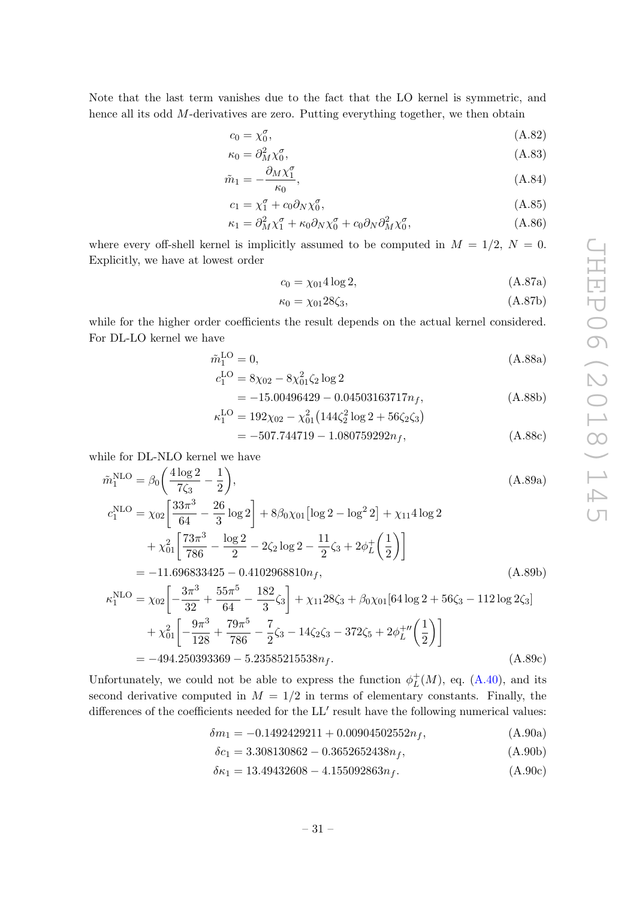Note that the last term vanishes due to the fact that the LO kernel is symmetric, and hence all its odd M-derivatives are zero. Putting everything together, we then obtain

$$
c_0 = \chi_0^{\sigma},\tag{A.82}
$$

$$
\kappa_0 = \partial_M^2 \chi_0^\sigma,\tag{A.83}
$$

$$
\tilde{m}_1 = -\frac{\partial_M \chi_1^{\sigma}}{\kappa_0},\tag{A.84}
$$

$$
c_1 = \chi_1^{\sigma} + c_0 \partial_N \chi_0^{\sigma}, \qquad (A.85)
$$

$$
\kappa_1 = \partial_M^2 \chi_1^\sigma + \kappa_0 \partial_N \chi_0^\sigma + c_0 \partial_N \partial_M^2 \chi_0^\sigma, \tag{A.86}
$$

where every off-shell kernel is implicitly assumed to be computed in  $M = 1/2$ ,  $N = 0$ . Explicitly, we have at lowest order

$$
c_0 = \chi_{01} 4 \log 2, \tag{A.87a}
$$

$$
\kappa_0 = \chi_{01} 28 \zeta_3,\tag{A.87b}
$$

while for the higher order coefficients the result depends on the actual kernel considered. For DL-LO kernel we have

$$
\tilde{m}_1^{\text{LO}} = 0,\tag{A.88a}
$$

$$
c_1^{\text{LO}} = 8\chi_{02} - 8\chi_{01}^2 \zeta_2 \log 2
$$
  
= -15,00496429 - 0,04503163717n (A 88b)

$$
\kappa_1^{\text{LO}} = 192\chi_{02} - \chi_{01}^2 \left(144\zeta_2^2 \log 2 + 56\zeta_2\zeta_3\right)
$$
\n(A.880)

$$
= -507.744719 - 1.080759292n_f, \tag{A.88c}
$$

while for DL-NLO kernel we have

$$
\tilde{m}_1^{\text{NLO}} = \beta_0 \left( \frac{4 \log 2}{7 \zeta_3} - \frac{1}{2} \right),\tag{A.89a}
$$
\n
$$
c_1^{\text{NLO}} = \chi_{02} \left[ \frac{33 \pi^3}{64} - \frac{26}{3} \log 2 \right] + 8 \beta_0 \chi_{01} \left[ \log 2 - \log^2 2 \right] + \chi_{11} 4 \log 2
$$
\n
$$
+ \chi_{01}^2 \left[ \frac{73 \pi^3}{786} - \frac{\log 2}{2} - 2 \zeta_2 \log 2 - \frac{11}{2} \zeta_3 + 2 \phi_L^+ \left( \frac{1}{2} \right) \right]
$$
\n(A.89a)

$$
= -11.696833425 - 0.4102968810n_f,
$$
\n(A.89b)

$$
\kappa_1^{\text{NLO}} = \chi_{02} \left[ -\frac{3\pi^3}{32} + \frac{55\pi^5}{64} - \frac{182}{3}\zeta_3 \right] + \chi_{11} 28\zeta_3 + \beta_0 \chi_{01} [64 \log 2 + 56\zeta_3 - 112 \log 2\zeta_3] + \chi_{01}^2 \left[ -\frac{9\pi^3}{128} + \frac{79\pi^5}{786} - \frac{7}{2}\zeta_3 - 14\zeta_2\zeta_3 - 372\zeta_5 + 2\phi_L^{+\prime\prime} \left(\frac{1}{2}\right) \right] = -494.250393369 - 5.23585215538n_f.
$$
 (A.89c)

Unfortunately, we could not be able to express the function  $\phi_L^+$  $L^+(M)$ , eq.  $(A.40)$ , and its second derivative computed in  $M = 1/2$  in terms of elementary constants. Finally, the differences of the coefficients needed for the  $LL'$  result have the following numerical values:

$$
\delta m_1 = -0.1492429211 + 0.00904502552n_f, \tag{A.90a}
$$

<span id="page-31-0"></span>
$$
\delta c_1 = 3.308130862 - 0.3652652438n_f, \tag{A.90b}
$$

$$
\delta \kappa_1 = 13.49432608 - 4.155092863n_f. \tag{A.90c}
$$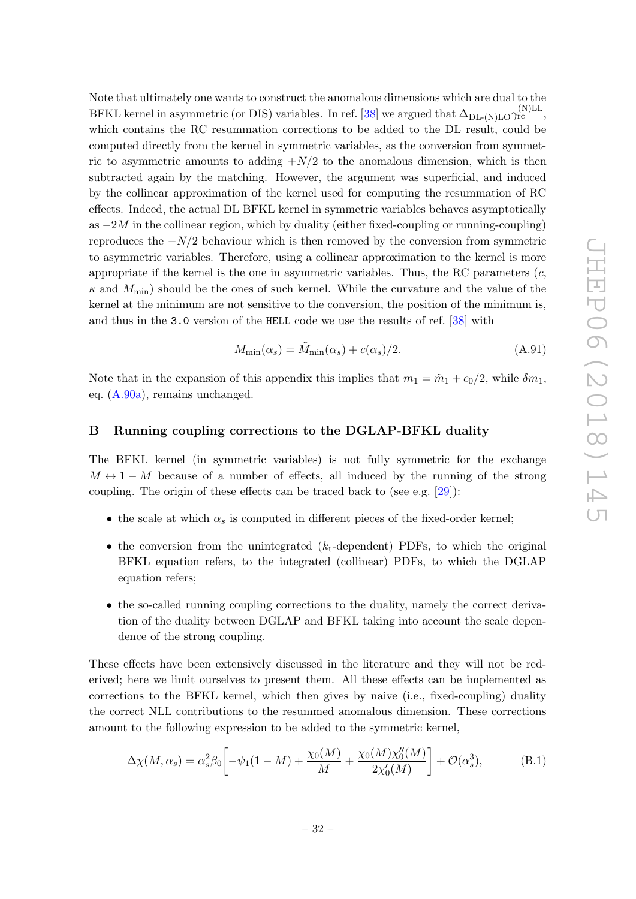Note that ultimately one wants to construct the anomalous dimensions which are dual to the BFKL kernel in asymmetric (or DIS) variables. In ref. [\[38\]](#page-37-0) we argued that  $\Delta_{\text{DL-}(N)\text{LO}}\gamma_{\text{rc}}^{(N)\text{LL}},$ which contains the RC resummation corrections to be added to the DL result, could be computed directly from the kernel in symmetric variables, as the conversion from symmetric to asymmetric amounts to adding  $+N/2$  to the anomalous dimension, which is then subtracted again by the matching. However, the argument was superficial, and induced by the collinear approximation of the kernel used for computing the resummation of RC effects. Indeed, the actual DL BFKL kernel in symmetric variables behaves asymptotically as  $-2M$  in the collinear region, which by duality (either fixed-coupling or running-coupling) reproduces the  $-N/2$  behaviour which is then removed by the conversion from symmetric to asymmetric variables. Therefore, using a collinear approximation to the kernel is more appropriate if the kernel is the one in asymmetric variables. Thus, the RC parameters  $(c,$  $\kappa$  and  $M_{\text{min}}$ ) should be the ones of such kernel. While the curvature and the value of the kernel at the minimum are not sensitive to the conversion, the position of the minimum is, and thus in the 3.0 version of the HELL code we use the results of ref. [\[38\]](#page-37-0) with

<span id="page-32-2"></span>
$$
M_{\min}(\alpha_s) = \tilde{M}_{\min}(\alpha_s) + c(\alpha_s)/2.
$$
 (A.91)

Note that in the expansion of this appendix this implies that  $m_1 = \tilde{m}_1 + c_0/2$ , while  $\delta m_1$ , eq. [\(A.90a\)](#page-31-0), remains unchanged.

### <span id="page-32-0"></span>B Running coupling corrections to the DGLAP-BFKL duality

The BFKL kernel (in symmetric variables) is not fully symmetric for the exchange  $M \leftrightarrow 1-M$  because of a number of effects, all induced by the running of the strong coupling. The origin of these effects can be traced back to (see e.g. [\[29\]](#page-36-10)):

- the scale at which  $\alpha_s$  is computed in different pieces of the fixed-order kernel;
- the conversion from the unintegrated  $(k_t$ -dependent) PDFs, to which the original BFKL equation refers, to the integrated (collinear) PDFs, to which the DGLAP equation refers;
- the so-called running coupling corrections to the duality, namely the correct derivation of the duality between DGLAP and BFKL taking into account the scale dependence of the strong coupling.

These effects have been extensively discussed in the literature and they will not be rederived; here we limit ourselves to present them. All these effects can be implemented as corrections to the BFKL kernel, which then gives by naive (i.e., fixed-coupling) duality the correct NLL contributions to the resummed anomalous dimension. These corrections amount to the following expression to be added to the symmetric kernel,

<span id="page-32-1"></span>
$$
\Delta \chi(M, \alpha_s) = \alpha_s^2 \beta_0 \left[ -\psi_1 (1 - M) + \frac{\chi_0(M)}{M} + \frac{\chi_0(M) \chi_0''(M)}{2 \chi_0'(M)} \right] + \mathcal{O}(\alpha_s^3),\tag{B.1}
$$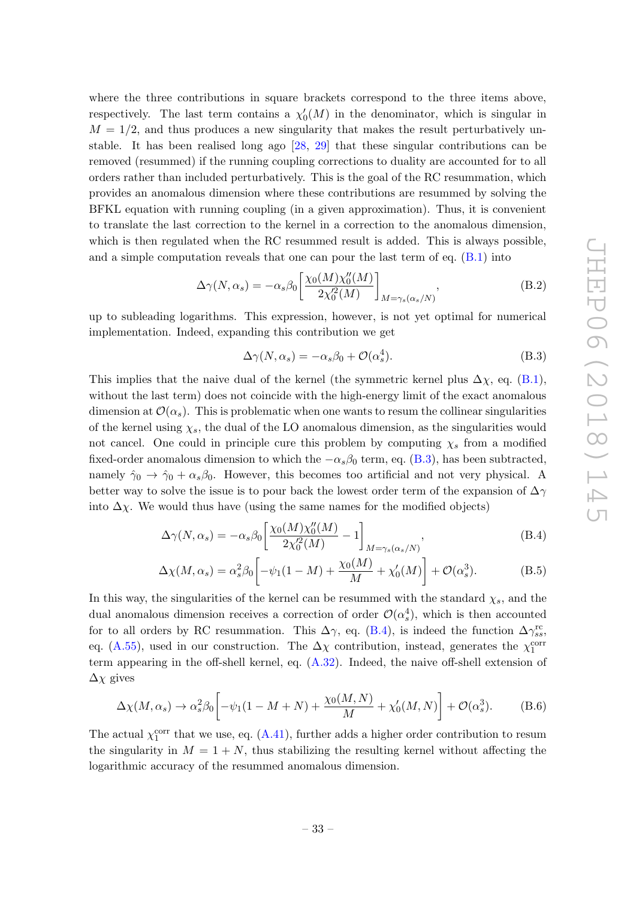where the three contributions in square brackets correspond to the three items above, respectively. The last term contains a  $\chi'_0(M)$  in the denominator, which is singular in  $M = 1/2$ , and thus produces a new singularity that makes the result perturbatively unstable. It has been realised long ago [\[28,](#page-36-11) [29\]](#page-36-10) that these singular contributions can be removed (resummed) if the running coupling corrections to duality are accounted for to all orders rather than included perturbatively. This is the goal of the RC resummation, which provides an anomalous dimension where these contributions are resummed by solving the BFKL equation with running coupling (in a given approximation). Thus, it is convenient to translate the last correction to the kernel in a correction to the anomalous dimension, which is then regulated when the RC resummed result is added. This is always possible, and a simple computation reveals that one can pour the last term of eq.  $(B.1)$  into

$$
\Delta\gamma(N,\alpha_s) = -\alpha_s\beta_0 \left[ \frac{\chi_0(M)\chi_0''(M)}{2\chi_0^2(M)} \right]_{M=\gamma_s(\alpha_s/N)},\tag{B.2}
$$

up to subleading logarithms. This expression, however, is not yet optimal for numerical implementation. Indeed, expanding this contribution we get

<span id="page-33-1"></span><span id="page-33-0"></span>
$$
\Delta\gamma(N,\alpha_s) = -\alpha_s\beta_0 + \mathcal{O}(\alpha_s^4). \tag{B.3}
$$

This implies that the naive dual of the kernel (the symmetric kernel plus  $\Delta \chi$ , eq. [\(B.1\)](#page-32-1), without the last term) does not coincide with the high-energy limit of the exact anomalous dimension at  $\mathcal{O}(\alpha_s)$ . This is problematic when one wants to resum the collinear singularities of the kernel using  $\chi_s$ , the dual of the LO anomalous dimension, as the singularities would not cancel. One could in principle cure this problem by computing  $\chi_s$  from a modified fixed-order anomalous dimension to which the  $-\alpha_s\beta_0$  term, eq. [\(B.3\)](#page-33-0), has been subtracted, namely  $\hat{\gamma}_0 \to \hat{\gamma}_0 + \alpha_s \beta_0$ . However, this becomes too artificial and not very physical. A better way to solve the issue is to pour back the lowest order term of the expansion of  $\Delta \gamma$ into  $\Delta \chi$ . We would thus have (using the same names for the modified objects)

$$
\Delta\gamma(N,\alpha_s) = -\alpha_s\beta_0 \left[ \frac{\chi_0(M)\chi_0''(M)}{2\chi_0'^2(M)} - 1 \right]_{M=\gamma_s(\alpha_s/N)},\tag{B.4}
$$

$$
\Delta \chi(M, \alpha_s) = \alpha_s^2 \beta_0 \left[ -\psi_1 (1 - M) + \frac{\chi_0(M)}{M} + \chi'_0(M) \right] + \mathcal{O}(\alpha_s^3). \tag{B.5}
$$

In this way, the singularities of the kernel can be resummed with the standard  $\chi_s$ , and the dual anomalous dimension receives a correction of order  $\mathcal{O}(\alpha_s^4)$ , which is then accounted for to all orders by RC resummation. This  $\Delta\gamma$ , eq. [\(B.4\)](#page-33-1), is indeed the function  $\Delta\gamma_{ss}^{\text{rc}}$ , eq. [\(A.55\)](#page-26-2), used in our construction. The  $\Delta \chi$  contribution, instead, generates the  $\chi_1^{\text{corr}}$ term appearing in the off-shell kernel, eq. [\(A.32\)](#page-22-1). Indeed, the naive off-shell extension of  $\Delta \chi$  gives

<span id="page-33-2"></span>
$$
\Delta \chi(M, \alpha_s) \to \alpha_s^2 \beta_0 \left[ -\psi_1 (1 - M + N) + \frac{\chi_0(M, N)}{M} + \chi'_0(M, N) \right] + \mathcal{O}(\alpha_s^3). \tag{B.6}
$$

The actual  $\chi_1^{\text{corr}}$  that we use, eq. [\(A.41\)](#page-24-0), further adds a higher order contribution to resum the singularity in  $M = 1 + N$ , thus stabilizing the resulting kernel without affecting the logarithmic accuracy of the resummed anomalous dimension.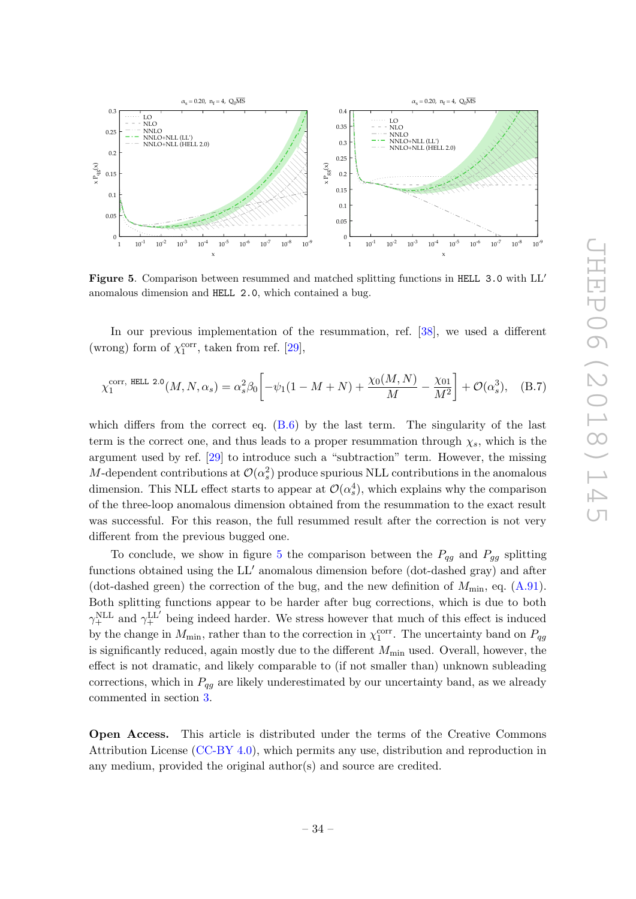

<span id="page-34-0"></span>Figure 5. Comparison between resummed and matched splitting functions in HELL 3.0 with LL' anomalous dimension and HELL 2.0, which contained a bug.

In our previous implementation of the resummation, ref. [\[38\]](#page-37-0), we used a different (wrong) form of  $\chi_1^{\text{corr}}$ , taken from ref. [\[29\]](#page-36-10),

$$
\chi_1^{\text{corr, HEL 2.0}}(M, N, \alpha_s) = \alpha_s^2 \beta_0 \left[ -\psi_1 (1 - M + N) + \frac{\chi_0(M, N)}{M} - \frac{\chi_{01}}{M^2} \right] + \mathcal{O}(\alpha_s^3), \quad \text{(B.7)}
$$

which differs from the correct eq.  $(B.6)$  by the last term. The singularity of the last term is the correct one, and thus leads to a proper resummation through  $\chi_s$ , which is the argument used by ref. [\[29\]](#page-36-10) to introduce such a "subtraction" term. However, the missing M-dependent contributions at  $\mathcal{O}(\alpha_s^2)$  produce spurious NLL contributions in the anomalous dimension. This NLL effect starts to appear at  $\mathcal{O}(\alpha_s^4)$ , which explains why the comparison of the three-loop anomalous dimension obtained from the resummation to the exact result was successful. For this reason, the full resummed result after the correction is not very different from the previous bugged one.

To conclude, we show in figure [5](#page-34-0) the comparison between the  $P_{qq}$  and  $P_{qq}$  splitting functions obtained using the  $LL'$  anomalous dimension before (dot-dashed gray) and after (dot-dashed green) the correction of the bug, and the new definition of  $M_{\text{min}}$ , eq. [\(A.91\)](#page-32-2). Both splitting functions appear to be harder after bug corrections, which is due to both  $\gamma_{+}^{\text{NLL}}$  and  $\gamma_{+}^{\text{LL'}}$  being indeed harder. We stress however that much of this effect is induced by the change in  $M_{\text{min}}$ , rather than to the correction in  $\chi_1^{\text{corr}}$ . The uncertainty band on  $P_{qg}$ is significantly reduced, again mostly due to the different  $M_{\text{min}}$  used. Overall, however, the effect is not dramatic, and likely comparable to (if not smaller than) unknown subleading corrections, which in  $P_{qq}$  are likely underestimated by our uncertainty band, as we already commented in section [3.](#page-12-0)

Open Access. This article is distributed under the terms of the Creative Commons Attribution License [\(CC-BY 4.0\)](https://creativecommons.org/licenses/by/4.0/), which permits any use, distribution and reproduction in any medium, provided the original author(s) and source are credited.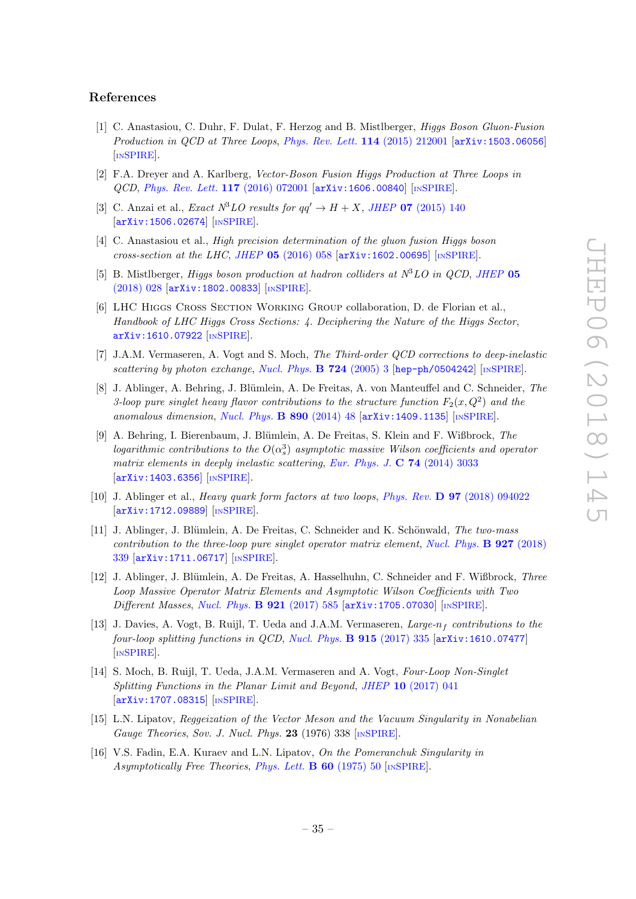### References

- <span id="page-35-0"></span>[1] C. Anastasiou, C. Duhr, F. Dulat, F. Herzog and B. Mistlberger, Higgs Boson Gluon-Fusion Production in QCD at Three Loops, [Phys. Rev. Lett.](https://doi.org/10.1103/PhysRevLett.114.212001) 114 (2015) 212001 [[arXiv:1503.06056](https://arxiv.org/abs/1503.06056)] [IN[SPIRE](https://inspirehep.net/search?p=find+EPRINT+arXiv:1503.06056)].
- <span id="page-35-1"></span>[2] F.A. Dreyer and A. Karlberg, Vector-Boson Fusion Higgs Production at Three Loops in QCD, [Phys. Rev. Lett.](https://doi.org/10.1103/PhysRevLett.117.072001) 117 (2016) 072001 [[arXiv:1606.00840](https://arxiv.org/abs/1606.00840)] [IN[SPIRE](https://inspirehep.net/search?p=find+EPRINT+arXiv:1606.00840)].
- <span id="page-35-2"></span>[3] C. Anzai et al., *Exact*  $N^3LO$  results for  $qq' \rightarrow H + X$ , *JHEP* **07** [\(2015\) 140](https://doi.org/10.1007/JHEP07(2015)140) [[arXiv:1506.02674](https://arxiv.org/abs/1506.02674)] [IN[SPIRE](https://inspirehep.net/search?p=find+EPRINT+arXiv:1506.02674)].
- [4] C. Anastasiou et al., High precision determination of the gluon fusion Higgs boson  $cross-section at the LHC, JHEP 05 (2016) 058 [arXiv:1602.00695] [mSPIRE].$  $cross-section at the LHC, JHEP 05 (2016) 058 [arXiv:1602.00695] [mSPIRE].$  $cross-section at the LHC, JHEP 05 (2016) 058 [arXiv:1602.00695] [mSPIRE].$  $cross-section at the LHC, JHEP 05 (2016) 058 [arXiv:1602.00695] [mSPIRE].$  $cross-section at the LHC, JHEP 05 (2016) 058 [arXiv:1602.00695] [mSPIRE].$  $cross-section at the LHC, JHEP 05 (2016) 058 [arXiv:1602.00695] [mSPIRE].$  $cross-section at the LHC, JHEP 05 (2016) 058 [arXiv:1602.00695] [mSPIRE].$
- <span id="page-35-3"></span>[5] B. Mistlberger, *Higgs boson production at hadron colliders at*  $N<sup>3</sup>LO$  in *QCD*, *[JHEP](https://doi.org/10.1007/JHEP05(2018)028)* 05 [\(2018\) 028](https://doi.org/10.1007/JHEP05(2018)028) [[arXiv:1802.00833](https://arxiv.org/abs/1802.00833)] [IN[SPIRE](https://inspirehep.net/search?p=find+EPRINT+arXiv:1802.00833)].
- <span id="page-35-4"></span>[6] LHC Higgs Cross Section Working Group collaboration, D. de Florian et al., Handbook of LHC Higgs Cross Sections: 4. Deciphering the Nature of the Higgs Sector, [arXiv:1610.07922](https://arxiv.org/abs/1610.07922) [IN[SPIRE](https://inspirehep.net/search?p=find+EPRINT+arXiv:1610.07922)].
- <span id="page-35-5"></span>[7] J.A.M. Vermaseren, A. Vogt and S. Moch, The Third-order QCD corrections to deep-inelastic scattering by photon exchange, [Nucl. Phys.](https://doi.org/10.1016/j.nuclphysb.2005.06.020)  $B$  724 (2005) 3 [[hep-ph/0504242](https://arxiv.org/abs/hep-ph/0504242)] [IN[SPIRE](https://inspirehep.net/search?p=find+EPRINT+hep-ph/0504242)].
- <span id="page-35-6"></span>[8] J. Ablinger, A. Behring, J. Blümlein, A. De Freitas, A. von Manteuffel and C. Schneider, The 3-loop pure singlet heavy flavor contributions to the structure function  $F_2(x,Q^2)$  and the anomalous dimension, [Nucl. Phys.](https://doi.org/10.1016/j.nuclphysb.2014.10.008)  $B$  890 (2014) 48 [[arXiv:1409.1135](https://arxiv.org/abs/1409.1135)] [IN[SPIRE](https://inspirehep.net/search?p=find+EPRINT+arXiv:1409.1135)].
- [9] A. Behring, I. Bierenbaum, J. Blümlein, A. De Freitas, S. Klein and F. Wißbrock, The logarithmic contributions to the  $O(\alpha_s^3)$  asymptotic massive Wilson coefficients and operator matrix elements in deeply inelastic scattering, [Eur. Phys. J.](https://doi.org/10.1140/epjc/s10052-014-3033-x)  $C$  74 (2014) 3033 [[arXiv:1403.6356](https://arxiv.org/abs/1403.6356)] [IN[SPIRE](https://inspirehep.net/search?p=find+EPRINT+arXiv:1403.6356)].
- [10] J. Ablinger et al., Heavy quark form factors at two loops, Phys. Rev. D 97 [\(2018\) 094022](https://doi.org/10.1103/PhysRevD.97.094022) [[arXiv:1712.09889](https://arxiv.org/abs/1712.09889)] [IN[SPIRE](https://inspirehep.net/search?p=find+EPRINT+arXiv:1712.09889)].
- [11] J. Ablinger, J. Blümlein, A. De Freitas, C. Schneider and K. Schönwald, The two-mass contribution to the three-loop pure singlet operator matrix element, [Nucl. Phys.](https://doi.org/10.1016/j.nuclphysb.2017.12.018)  $\bf{B}$  927 (2018) [339](https://doi.org/10.1016/j.nuclphysb.2017.12.018) [[arXiv:1711.06717](https://arxiv.org/abs/1711.06717)] [IN[SPIRE](https://inspirehep.net/search?p=find+EPRINT+arXiv:1711.06717)].
- <span id="page-35-7"></span>[12] J. Ablinger, J. Blümlein, A. De Freitas, A. Hasselhuhn, C. Schneider and F. Wißbrock, Three Loop Massive Operator Matrix Elements and Asymptotic Wilson Coefficients with Two Different Masses, [Nucl. Phys.](https://doi.org/10.1016/j.nuclphysb.2017.05.017) **B 921** (2017) 585 [[arXiv:1705.07030](https://arxiv.org/abs/1705.07030)] [IN[SPIRE](https://inspirehep.net/search?p=find+EPRINT+arXiv:1705.07030)].
- <span id="page-35-8"></span>[13] J. Davies, A. Vogt, B. Ruijl, T. Ueda and J.A.M. Vermaseren,  $Large_n$  contributions to the four-loop splitting functions in QCD, [Nucl. Phys.](https://doi.org/10.1016/j.nuclphysb.2016.12.012)  $\bf{B}$  915 (2017) 335 [[arXiv:1610.07477](https://arxiv.org/abs/1610.07477)] [IN[SPIRE](https://inspirehep.net/search?p=find+EPRINT+arXiv:1610.07477)].
- <span id="page-35-9"></span>[14] S. Moch, B. Ruijl, T. Ueda, J.A.M. Vermaseren and A. Vogt, Four-Loop Non-Singlet Splitting Functions in the Planar Limit and Beyond, JHEP 10 [\(2017\) 041](https://doi.org/10.1007/JHEP10(2017)041) [[arXiv:1707.08315](https://arxiv.org/abs/1707.08315)] [IN[SPIRE](https://inspirehep.net/search?p=find+EPRINT+arXiv:1707.08315)].
- <span id="page-35-10"></span>[15] L.N. Lipatov, Reggeization of the Vector Meson and the Vacuum Singularity in Nonabelian Gauge Theories, Sov. J. Nucl. Phys. 23 (1976) 338 [IN[SPIRE](https://inspirehep.net/search?p=find+J+%22Sov.J.Nucl.Phys.,23,338%22)].
- [16] V.S. Fadin, E.A. Kuraev and L.N. Lipatov, On the Pomeranchuk Singularity in Asymptotically Free Theories, [Phys. Lett.](https://doi.org/10.1016/0370-2693(75)90524-9)  $\bf{B}$  60 (1975) 50 [IN[SPIRE](https://inspirehep.net/search?p=find+J+%22Phys.Lett.,B60,50%22)].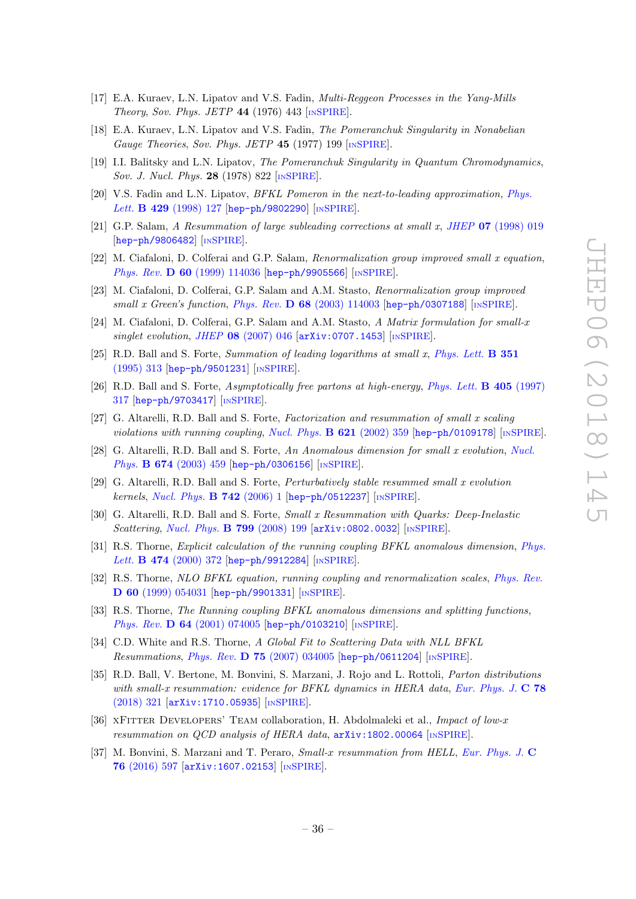- [17] E.A. Kuraev, L.N. Lipatov and V.S. Fadin, Multi-Reggeon Processes in the Yang-Mills Theory, Sov. Phys. JETP  $44$  (1976) 443 [IN[SPIRE](https://inspirehep.net/search?p=find+J+%22Sov.Phys.JETP,44,443%22)].
- [18] E.A. Kuraev, L.N. Lipatov and V.S. Fadin, The Pomeranchuk Singularity in Nonabelian Gauge Theories, Sov. Phys. JETP  $45$  (1977) 199 [IN[SPIRE](https://inspirehep.net/search?p=find+J+%22Sov.Phys.JETP,45,199%22)].
- [19] I.I. Balitsky and L.N. Lipatov, The Pomeranchuk Singularity in Quantum Chromodynamics, Sov. J. Nucl. Phys. 28 (1978) 822 [IN[SPIRE](https://inspirehep.net/search?p=find+J+%22Sov.J.Nucl.Phys.,28,822%22)].
- <span id="page-36-0"></span>[20] V.S. Fadin and L.N. Lipatov, BFKL Pomeron in the next-to-leading approximation, [Phys.](https://doi.org/10.1016/S0370-2693(98)00473-0) Lett. B 429 [\(1998\) 127](https://doi.org/10.1016/S0370-2693(98)00473-0) [[hep-ph/9802290](https://arxiv.org/abs/hep-ph/9802290)] [IN[SPIRE](https://inspirehep.net/search?p=find+EPRINT+hep-ph/9802290)].
- <span id="page-36-1"></span>[21] G.P. Salam, A Resummation of large subleading corrections at small x, JHEP  $07$  [\(1998\) 019](https://doi.org/10.1088/1126-6708/1998/07/019) [[hep-ph/9806482](https://arxiv.org/abs/hep-ph/9806482)] [IN[SPIRE](https://inspirehep.net/search?p=find+EPRINT+hep-ph/9806482)].
- [22] M. Ciafaloni, D. Colferai and G.P. Salam, Renormalization group improved small x equation, Phys. Rev. **D 60** [\(1999\) 114036](https://doi.org/10.1103/PhysRevD.60.114036) [[hep-ph/9905566](https://arxiv.org/abs/hep-ph/9905566)] [IN[SPIRE](https://inspirehep.net/search?p=find+EPRINT+hep-ph/9905566)].
- [23] M. Ciafaloni, D. Colferai, G.P. Salam and A.M. Stasto, Renormalization group improved small x Green's function, Phys. Rev.  $\bf{D} 68$  [\(2003\) 114003](https://doi.org/10.1103/PhysRevD.68.114003) [[hep-ph/0307188](https://arxiv.org/abs/hep-ph/0307188)] [IN[SPIRE](https://inspirehep.net/search?p=find+EPRINT+hep-ph/0307188)].
- <span id="page-36-2"></span>[24] M. Ciafaloni, D. Colferai, G.P. Salam and A.M. Stasto, A Matrix formulation for small-x singlet evolution, JHEP  $08$  [\(2007\) 046](https://doi.org/10.1088/1126-6708/2007/08/046)  $\left[$ [arXiv:0707.1453](https://arxiv.org/abs/0707.1453) $\right]$   $\left[$ IN[SPIRE](https://inspirehep.net/search?p=find+EPRINT+arXiv:0707.1453) $\right]$ .
- <span id="page-36-3"></span>[25] R.D. Ball and S. Forte, Summation of leading logarithms at small x, [Phys. Lett.](https://doi.org/10.1016/0370-2693(95)00395-2) B 351 [\(1995\) 313](https://doi.org/10.1016/0370-2693(95)00395-2) [[hep-ph/9501231](https://arxiv.org/abs/hep-ph/9501231)] [IN[SPIRE](https://inspirehep.net/search?p=find+EPRINT+hep-ph/9501231)].
- [26] R.D. Ball and S. Forte, Asymptotically free partons at high-energy, [Phys. Lett.](https://doi.org/10.1016/S0370-2693(97)00625-4) B 405 (1997) [317](https://doi.org/10.1016/S0370-2693(97)00625-4) [[hep-ph/9703417](https://arxiv.org/abs/hep-ph/9703417)] [IN[SPIRE](https://inspirehep.net/search?p=find+EPRINT+hep-ph/9703417)].
- [27] G. Altarelli, R.D. Ball and S. Forte, Factorization and resummation of small x scaling violations with running coupling, [Nucl. Phys.](https://doi.org/10.1016/S0550-3213(01)00563-6) B 621 (2002) 359 [[hep-ph/0109178](https://arxiv.org/abs/hep-ph/0109178)] [IN[SPIRE](https://inspirehep.net/search?p=find+EPRINT+hep-ph/0109178)].
- <span id="page-36-11"></span>[28] G. Altarelli, R.D. Ball and S. Forte, An Anomalous dimension for small x evolution, [Nucl.](https://doi.org/10.1016/j.nuclphysb.2003.09.040) Phys. **B 674** [\(2003\) 459](https://doi.org/10.1016/j.nuclphysb.2003.09.040) [[hep-ph/0306156](https://arxiv.org/abs/hep-ph/0306156)] [IN[SPIRE](https://inspirehep.net/search?p=find+EPRINT+hep-ph/0306156)].
- <span id="page-36-10"></span>[29] G. Altarelli, R.D. Ball and S. Forte, Perturbatively stable resummed small x evolution kernels, [Nucl. Phys.](https://doi.org/10.1016/j.nuclphysb.2006.01.046) **B 742** (2006) 1 [[hep-ph/0512237](https://arxiv.org/abs/hep-ph/0512237)] [IN[SPIRE](https://inspirehep.net/search?p=find+EPRINT+hep-ph/0512237)].
- <span id="page-36-4"></span>[30] G. Altarelli, R.D. Ball and S. Forte, Small x Resummation with Quarks: Deep-Inelastic Scattering, [Nucl. Phys.](https://doi.org/10.1016/j.nuclphysb.2008.03.003) **B 799** (2008) 199 [[arXiv:0802.0032](https://arxiv.org/abs/0802.0032)] [IN[SPIRE](https://inspirehep.net/search?p=find+EPRINT+arXiv:0802.0032)].
- <span id="page-36-5"></span>[31] R.S. Thorne, Explicit calculation of the running coupling BFKL anomalous dimension, [Phys.](https://doi.org/10.1016/S0370-2693(00)00019-8) Lett. **B 474** [\(2000\) 372](https://doi.org/10.1016/S0370-2693(00)00019-8) [[hep-ph/9912284](https://arxiv.org/abs/hep-ph/9912284)] [IN[SPIRE](https://inspirehep.net/search?p=find+EPRINT+hep-ph/9912284)].
- [32] R.S. Thorne, NLO BFKL equation, running coupling and renormalization scales, [Phys. Rev.](https://doi.org/10.1103/PhysRevD.60.054031) D 60 [\(1999\) 054031](https://doi.org/10.1103/PhysRevD.60.054031) [[hep-ph/9901331](https://arxiv.org/abs/hep-ph/9901331)] [IN[SPIRE](https://inspirehep.net/search?p=find+EPRINT+hep-ph/9901331)].
- [33] R.S. Thorne, The Running coupling BFKL anomalous dimensions and splitting functions, Phys. Rev. D 64 [\(2001\) 074005](https://doi.org/10.1103/PhysRevD.64.074005) [[hep-ph/0103210](https://arxiv.org/abs/hep-ph/0103210)] [IN[SPIRE](https://inspirehep.net/search?p=find+EPRINT+hep-ph/0103210)].
- <span id="page-36-6"></span>[34] C.D. White and R.S. Thorne, A Global Fit to Scattering Data with NLL BFKL Resummations, Phys. Rev. D 75 [\(2007\) 034005](https://doi.org/10.1103/PhysRevD.75.034005) [[hep-ph/0611204](https://arxiv.org/abs/hep-ph/0611204)] [IN[SPIRE](https://inspirehep.net/search?p=find+EPRINT+hep-ph/0611204)].
- <span id="page-36-7"></span>[35] R.D. Ball, V. Bertone, M. Bonvini, S. Marzani, J. Rojo and L. Rottoli, Parton distributions with small-x resummation: evidence for BFKL dynamics in HERA data, [Eur. Phys. J.](https://doi.org/10.1140/epjc/s10052-018-5774-4) C 78 [\(2018\) 321](https://doi.org/10.1140/epjc/s10052-018-5774-4) [[arXiv:1710.05935](https://arxiv.org/abs/1710.05935)] [IN[SPIRE](https://inspirehep.net/search?p=find+EPRINT+arXiv:1710.05935)].
- <span id="page-36-8"></span>[36] XFITTER DEVELOPERS' TEAM collaboration, H. Abdolmaleki et al., Impact of low-x resummation on QCD analysis of HERA data,  $arXiv:1802.00064$  [IN[SPIRE](https://inspirehep.net/search?p=find+EPRINT+arXiv:1802.00064)].
- <span id="page-36-9"></span>[37] M. Bonvini, S. Marzani and T. Peraro, Small-x resummation from HELL, [Eur. Phys. J.](https://doi.org/10.1140/epjc/s10052-016-4445-6) C 76 [\(2016\) 597](https://doi.org/10.1140/epjc/s10052-016-4445-6) [[arXiv:1607.02153](https://arxiv.org/abs/1607.02153)] [IN[SPIRE](https://inspirehep.net/search?p=find+EPRINT+arXiv:1607.02153)].